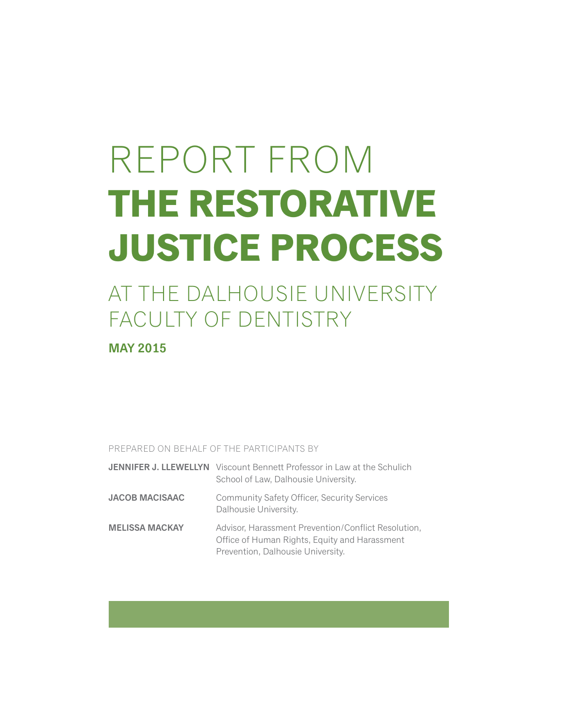# at the Dalhousie University Faculty of Dentistry

**May 2015**

Prepared on behalf of the participants by

|                       | JENNIFER J. LLEWELLYN Viscount Bennett Professor in Law at the Schulich<br>School of Law, Dalhousie University.                           |
|-----------------------|-------------------------------------------------------------------------------------------------------------------------------------------|
| <b>JACOB MACISAAC</b> | <b>Community Safety Officer, Security Services</b><br>Dalhousie University.                                                               |
| <b>MELISSA MACKAY</b> | Advisor, Harassment Prevention/Conflict Resolution,<br>Office of Human Rights, Equity and Harassment<br>Prevention, Dalhousie University. |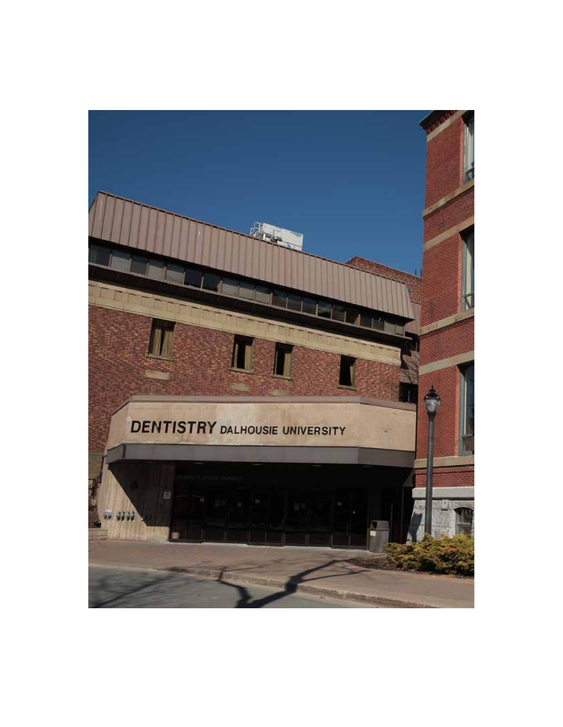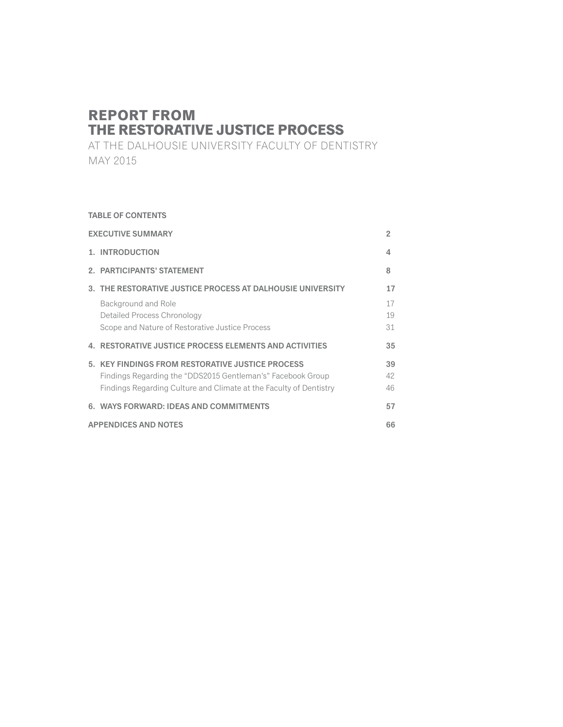at the Dalhousie University Faculty of Dentistry May 2015

#### **Table of ContentS**

| <b>EXECUTIVE SUMMARY</b>                                           |    |
|--------------------------------------------------------------------|----|
| 1. INTRODUCTION                                                    | 4  |
| 2. PARTICIPANTS' STATEMENT                                         | 8  |
| 3. THE RESTORATIVE JUSTICE PROCESS AT DALHOUSIE UNIVERSITY         | 17 |
| Background and Role                                                | 17 |
| Detailed Process Chronology                                        | 19 |
| Scope and Nature of Restorative Justice Process                    | 31 |
| 4. RESTORATIVE JUSTICE PROCESS ELEMENTS AND ACTIVITIES             | 35 |
| 5. KEY FINDINGS FROM RESTORATIVE JUSTICE PROCESS                   | 39 |
| Findings Regarding the "DDS2015 Gentleman's" Facebook Group        | 42 |
| Findings Regarding Culture and Climate at the Faculty of Dentistry | 46 |
| 6. WAYS FORWARD: IDEAS AND COMMITMENTS                             | 57 |
| <b>APPENDICES AND NOTES</b>                                        |    |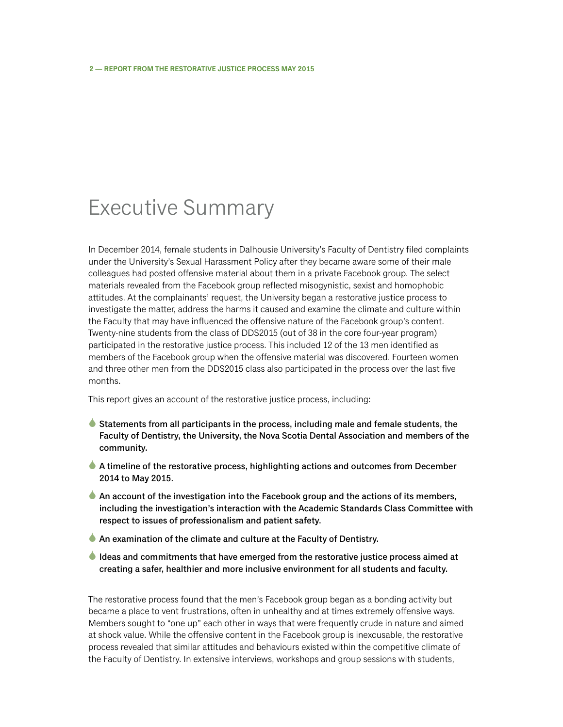# <span id="page-3-0"></span>Executive Summary

In December 2014, female students in Dalhousie University's Faculty of Dentistry filed complaints under the University's Sexual Harassment Policy after they became aware some of their male colleagues had posted offensive material about them in a private Facebook group. The select materials revealed from the Facebook group reflected misogynistic, sexist and homophobic attitudes. At the complainants' request, the University began a restorative justice process to investigate the matter, address the harms it caused and examine the climate and culture within the Faculty that may have influenced the offensive nature of the Facebook group's content. Twenty-nine students from the class of DDS2015 (out of 38 in the core four-year program) participated in the restorative justice process. This included 12 of the 13 men identified as members of the Facebook group when the offensive material was discovered. Fourteen women and three other men from the DDS2015 class also participated in the process over the last five months.

This report gives an account of the restorative justice process, including:

- 6 Statements from all participants in the process, including male and female students, the Faculty of Dentistry, the University, the Nova Scotia Dental Association and members of the community.
- 6 A timeline of the restorative process, highlighting actions and outcomes from December 2014 to May 2015.
- $\bullet$  An account of the investigation into the Facebook group and the actions of its members, including the investigation's interaction with the Academic Standards Class Committee with respect to issues of professionalism and patient safety.
- An examination of the climate and culture at the Faculty of Dentistry.
- $\bullet$  Ideas and commitments that have emerged from the restorative iustice process aimed at creating a safer, healthier and more inclusive environment for all students and faculty.

The restorative process found that the men's Facebook group began as a bonding activity but became a place to vent frustrations, often in unhealthy and at times extremely offensive ways. Members sought to "one up" each other in ways that were frequently crude in nature and aimed at shock value. While the offensive content in the Facebook group is inexcusable, the restorative process revealed that similar attitudes and behaviours existed within the competitive climate of the Faculty of Dentistry. In extensive interviews, workshops and group sessions with students,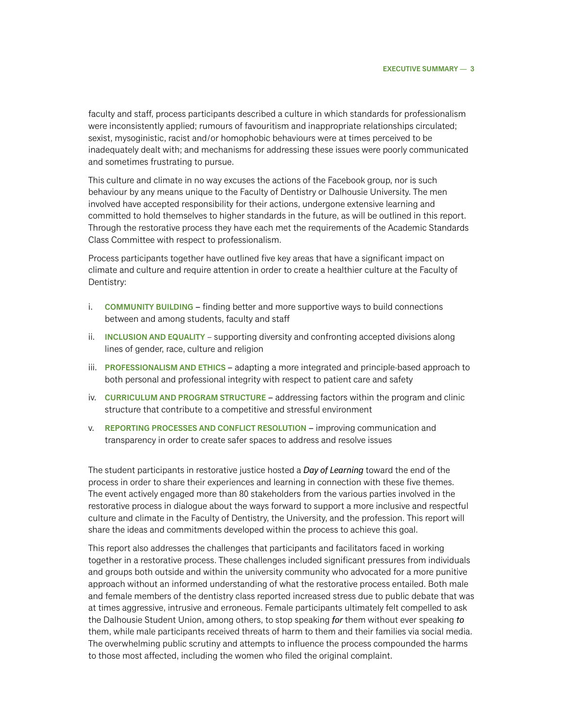faculty and staff, process participants described a culture in which standards for professionalism were inconsistently applied; rumours of favouritism and inappropriate relationships circulated; sexist, mysoginistic, racist and/or homophobic behaviours were at times perceived to be inadequately dealt with; and mechanisms for addressing these issues were poorly communicated and sometimes frustrating to pursue.

This culture and climate in no way excuses the actions of the Facebook group, nor is such behaviour by any means unique to the Faculty of Dentistry or Dalhousie University. The men involved have accepted responsibility for their actions, undergone extensive learning and committed to hold themselves to higher standards in the future, as will be outlined in this report. Through the restorative process they have each met the requirements of the Academic Standards Class Committee with respect to professionalism.

Process participants together have outlined five key areas that have a significant impact on climate and culture and require attention in order to create a healthier culture at the Faculty of Dentistry:

- i. **Community Building** finding better and more supportive ways to build connections between and among students, faculty and staff
- ii. **Inclusion and Equality** supporting diversity and confronting accepted divisions along lines of gender, race, culture and religion
- iii. **Professionalism and Ethics**  adapting a more integrated and principle-based approach to both personal and professional integrity with respect to patient care and safety
- iv. **Curriculum and Program Structure** addressing factors within the program and clinic structure that contribute to a competitive and stressful environment
- v. **Reporting Processes and Conflict Resolution** improving communication and transparency in order to create safer spaces to address and resolve issues

The student participants in restorative justice hosted a *Day of Learning* toward the end of the process in order to share their experiences and learning in connection with these five themes. The event actively engaged more than 80 stakeholders from the various parties involved in the restorative process in dialogue about the ways forward to support a more inclusive and respectful culture and climate in the Faculty of Dentistry, the University, and the profession. This report will share the ideas and commitments developed within the process to achieve this goal.

This report also addresses the challenges that participants and facilitators faced in working together in a restorative process. These challenges included significant pressures from individuals and groups both outside and within the university community who advocated for a more punitive approach without an informed understanding of what the restorative process entailed. Both male and female members of the dentistry class reported increased stress due to public debate that was at times aggressive, intrusive and erroneous. Female participants ultimately felt compelled to ask the Dalhousie Student Union, among others, to stop speaking *for* them without ever speaking *to* them, while male participants received threats of harm to them and their families via social media. The overwhelming public scrutiny and attempts to influence the process compounded the harms to those most affected, including the women who filed the original complaint.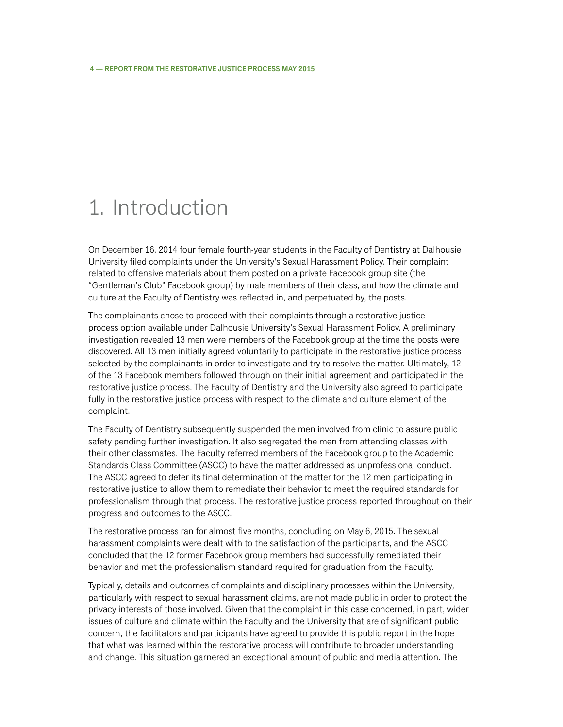# <span id="page-5-0"></span>1. Introduction

On December 16, 2014 four female fourth-year students in the Faculty of Dentistry at Dalhousie University filed complaints under the University's Sexual Harassment Policy. Their complaint related to offensive materials about them posted on a private Facebook group site (the "Gentleman's Club" Facebook group) by male members of their class, and how the climate and culture at the Faculty of Dentistry was reflected in, and perpetuated by, the posts.

The complainants chose to proceed with their complaints through a restorative justice process option available under Dalhousie University's Sexual Harassment Policy. A preliminary investigation revealed 13 men were members of the Facebook group at the time the posts were discovered. All 13 men initially agreed voluntarily to participate in the restorative justice process selected by the complainants in order to investigate and try to resolve the matter. Ultimately, 12 of the 13 Facebook members followed through on their initial agreement and participated in the restorative justice process. The Faculty of Dentistry and the University also agreed to participate fully in the restorative justice process with respect to the climate and culture element of the complaint.

The Faculty of Dentistry subsequently suspended the men involved from clinic to assure public safety pending further investigation. It also segregated the men from attending classes with their other classmates. The Faculty referred members of the Facebook group to the Academic Standards Class Committee (ASCC) to have the matter addressed as unprofessional conduct. The ASCC agreed to defer its final determination of the matter for the 12 men participating in restorative justice to allow them to remediate their behavior to meet the required standards for professionalism through that process. The restorative justice process reported throughout on their progress and outcomes to the ASCC.

The restorative process ran for almost five months, concluding on May 6, 2015. The sexual harassment complaints were dealt with to the satisfaction of the participants, and the ASCC concluded that the 12 former Facebook group members had successfully remediated their behavior and met the professionalism standard required for graduation from the Faculty.

Typically, details and outcomes of complaints and disciplinary processes within the University, particularly with respect to sexual harassment claims, are not made public in order to protect the privacy interests of those involved. Given that the complaint in this case concerned, in part, wider issues of culture and climate within the Faculty and the University that are of significant public concern, the facilitators and participants have agreed to provide this public report in the hope that what was learned within the restorative process will contribute to broader understanding and change. This situation garnered an exceptional amount of public and media attention. The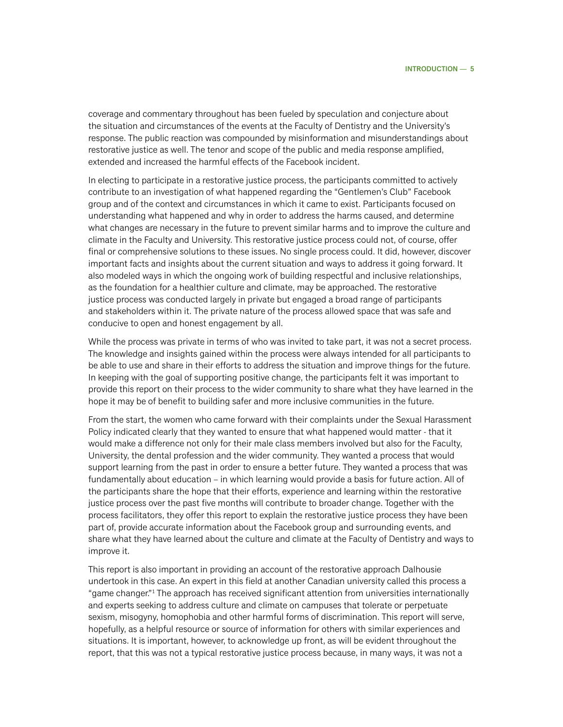coverage and commentary throughout has been fueled by speculation and conjecture about the situation and circumstances of the events at the Faculty of Dentistry and the University's response. The public reaction was compounded by misinformation and misunderstandings about restorative justice as well. The tenor and scope of the public and media response amplified, extended and increased the harmful effects of the Facebook incident.

In electing to participate in a restorative justice process, the participants committed to actively contribute to an investigation of what happened regarding the "Gentlemen's Club" Facebook group and of the context and circumstances in which it came to exist. Participants focused on understanding what happened and why in order to address the harms caused, and determine what changes are necessary in the future to prevent similar harms and to improve the culture and climate in the Faculty and University. This restorative justice process could not, of course, offer final or comprehensive solutions to these issues. No single process could. It did, however, discover important facts and insights about the current situation and ways to address it going forward. It also modeled ways in which the ongoing work of building respectful and inclusive relationships, as the foundation for a healthier culture and climate, may be approached. The restorative justice process was conducted largely in private but engaged a broad range of participants and stakeholders within it. The private nature of the process allowed space that was safe and conducive to open and honest engagement by all.

While the process was private in terms of who was invited to take part, it was not a secret process. The knowledge and insights gained within the process were always intended for all participants to be able to use and share in their efforts to address the situation and improve things for the future. In keeping with the goal of supporting positive change, the participants felt it was important to provide this report on their process to the wider community to share what they have learned in the hope it may be of benefit to building safer and more inclusive communities in the future.

From the start, the women who came forward with their complaints under the Sexual Harassment Policy indicated clearly that they wanted to ensure that what happened would matter - that it would make a difference not only for their male class members involved but also for the Faculty, University, the dental profession and the wider community. They wanted a process that would support learning from the past in order to ensure a better future. They wanted a process that was fundamentally about education – in which learning would provide a basis for future action. All of the participants share the hope that their efforts, experience and learning within the restorative justice process over the past five months will contribute to broader change. Together with the process facilitators, they offer this report to explain the restorative justice process they have been part of, provide accurate information about the Facebook group and surrounding events, and share what they have learned about the culture and climate at the Faculty of Dentistry and ways to improve it.

This report is also important in providing an account of the restorative approach Dalhousie undertook in this case. An expert in this field at another Canadian university called this process a "game changer."1 The approach has received significant attention from universities internationally and experts seeking to address culture and climate on campuses that tolerate or perpetuate sexism, misogyny, homophobia and other harmful forms of discrimination. This report will serve, hopefully, as a helpful resource or source of information for others with similar experiences and situations. It is important, however, to acknowledge up front, as will be evident throughout the report, that this was not a typical restorative justice process because, in many ways, it was not a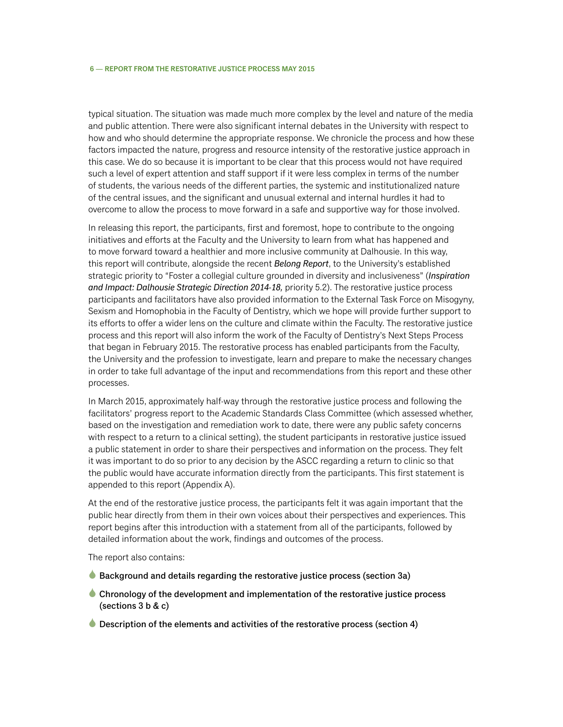typical situation. The situation was made much more complex by the level and nature of the media and public attention. There were also significant internal debates in the University with respect to how and who should determine the appropriate response. We chronicle the process and how these factors impacted the nature, progress and resource intensity of the restorative justice approach in this case. We do so because it is important to be clear that this process would not have required such a level of expert attention and staff support if it were less complex in terms of the number of students, the various needs of the different parties, the systemic and institutionalized nature of the central issues, and the significant and unusual external and internal hurdles it had to overcome to allow the process to move forward in a safe and supportive way for those involved.

In releasing this report, the participants, first and foremost, hope to contribute to the ongoing initiatives and efforts at the Faculty and the University to learn from what has happened and to move forward toward a healthier and more inclusive community at Dalhousie. In this way, this report will contribute, alongside the recent *Belong Report*, to the University's established strategic priority to "Foster a collegial culture grounded in diversity and inclusiveness" (*Inspiration and Impact: Dalhousie Strategic Direction 2014-18,* priority 5.2). The restorative justice process participants and facilitators have also provided information to the External Task Force on Misogyny, Sexism and Homophobia in the Faculty of Dentistry, which we hope will provide further support to its efforts to offer a wider lens on the culture and climate within the Faculty. The restorative justice process and this report will also inform the work of the Faculty of Dentistry's Next Steps Process that began in February 2015. The restorative process has enabled participants from the Faculty, the University and the profession to investigate, learn and prepare to make the necessary changes in order to take full advantage of the input and recommendations from this report and these other processes.

In March 2015, approximately half-way through the restorative justice process and following the facilitators' progress report to the Academic Standards Class Committee (which assessed whether, based on the investigation and remediation work to date, there were any public safety concerns with respect to a return to a clinical setting), the student participants in restorative justice issued a public statement in order to share their perspectives and information on the process. They felt it was important to do so prior to any decision by the ASCC regarding a return to clinic so that the public would have accurate information directly from the participants. This first statement is appended to this report (Appendix A).

At the end of the restorative justice process, the participants felt it was again important that the public hear directly from them in their own voices about their perspectives and experiences. This report begins after this introduction with a statement from all of the participants, followed by detailed information about the work, findings and outcomes of the process.

The report also contains:

- **6** Background and details regarding the restorative justice process (section 3a)
- 6 Chronology of the development and implementation of the restorative justice process (sections 3 b & c)
- $\bullet$  Description of the elements and activities of the restorative process (section 4)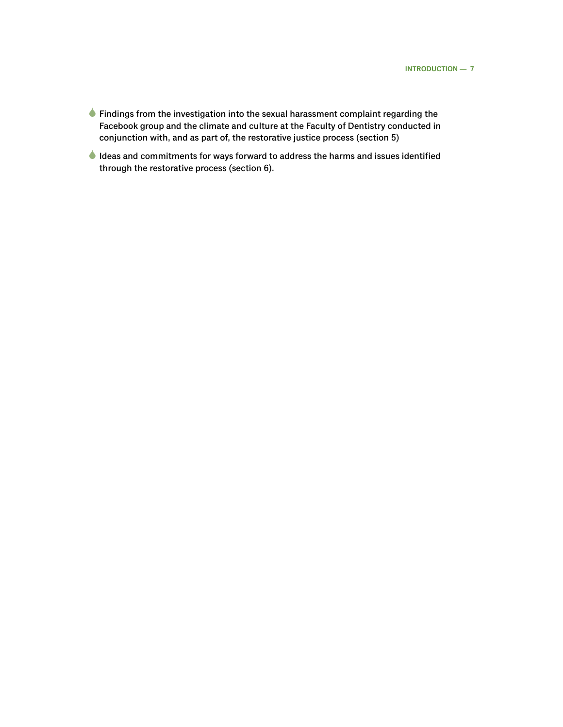- 6 Findings from the investigation into the sexual harassment complaint regarding the Facebook group and the climate and culture at the Faculty of Dentistry conducted in conjunction with, and as part of, the restorative justice process (section 5)
- 6 Ideas and commitments for ways forward to address the harms and issues identified through the restorative process (section 6).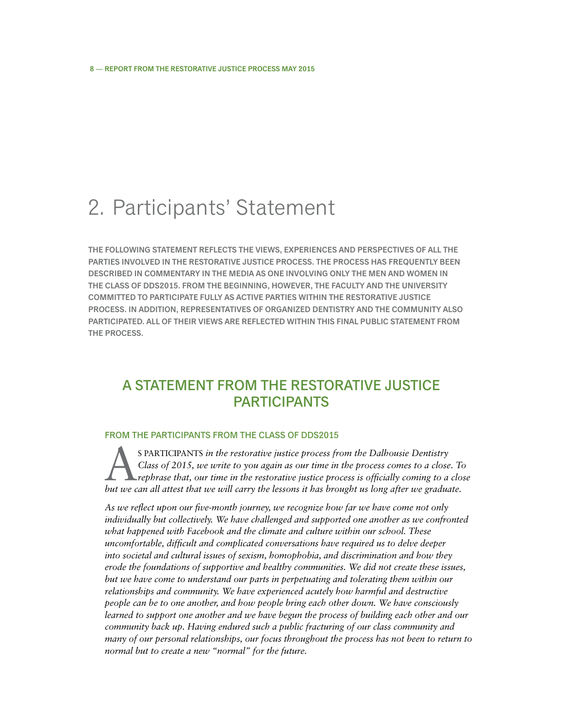# <span id="page-9-0"></span>2. Participants' Statement

**The following statement reflects the views, experiences and perspectives of all the parties involved in the restorative justice process. The process has frequently been described in commentary in the media as one involving only the men and women in the class of DDS2015. From the beginning, however, the Faculty and the University committed to participate fully as active parties within the restorative justice process. In addition, representatives of organized dentistry and the community also participated. All of their views are reflected within this final public statement from the process.**

### A Statement from the Restorative Justice **PARTICIPANTS**

#### From the Participants from the Class of DDS2015

S PARTICIPANTS in the restorative justice process from the Dalhousie Dentistry<br>Class of 2015, we write to you again as our time in the process comes to a close<br>rephrase that, our time in the restorative justice process is *Class of 2015, we write to you again as our time in the process comes to a close. To rephrase that, our time in the restorative justice process is officially coming to a close but we can all attest that we will carry the lessons it has brought us long after we graduate.*

*As we reflect upon our five-month journey, we recognize how far we have come not only individually but collectively. We have challenged and supported one another as we confronted what happened with Facebook and the climate and culture within our school. These uncomfortable, difficult and complicated conversations have required us to delve deeper into societal and cultural issues of sexism, homophobia, and discrimination and how they erode the foundations of supportive and healthy communities. We did not create these issues, but we have come to understand our parts in perpetuating and tolerating them within our relationships and community. We have experienced acutely how harmful and destructive people can be to one another, and how people bring each other down. We have consciously learned to support one another and we have begun the process of building each other and our community back up. Having endured such a public fracturing of our class community and many of our personal relationships, our focus throughout the process has not been to return to normal but to create a new "normal" for the future.*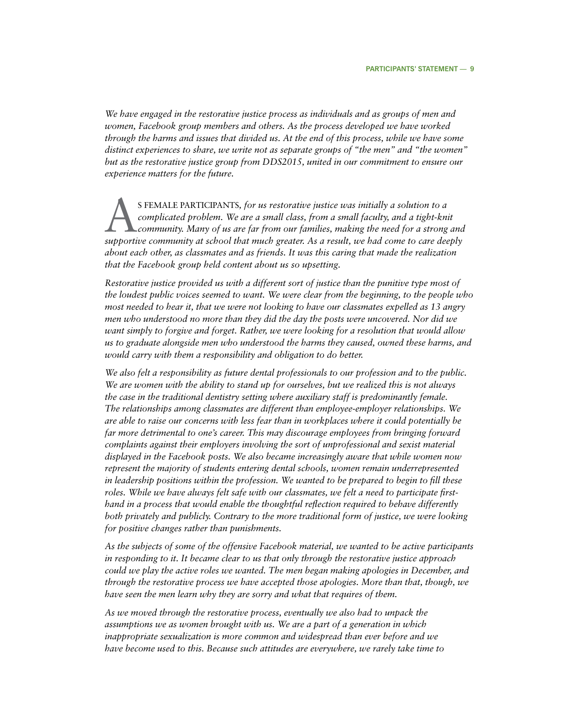*We have engaged in the restorative justice process as individuals and as groups of men and women, Facebook group members and others. As the process developed we have worked through the harms and issues that divided us. At the end of this process, while we have some distinct experiences to share, we write not as separate groups of "the men" and "the women"*  but as the restorative justice group from DDS2015, united in our commitment to ensure our *experience matters for the future.*

S FEMALE PARTICIPANTS, for us restorative justice was initially a solution to a complicated problem. We are a small class, from a small faculty, and a tight-knick community. Many of us are far from our families, making the *complicated problem. We are a small class, from a small faculty, and a tight-knit community. Many of us are far from our families, making the need for a strong and supportive community at school that much greater. As a result, we had come to care deeply about each other, as classmates and as friends. It was this caring that made the realization that the Facebook group held content about us so upsetting.*

*Restorative justice provided us with a different sort of justice than the punitive type most of the loudest public voices seemed to want. We were clear from the beginning, to the people who most needed to hear it, that we were not looking to have our classmates expelled as 13 angry men who understood no more than they did the day the posts were uncovered. Nor did we want simply to forgive and forget. Rather, we were looking for a resolution that would allow us to graduate alongside men who understood the harms they caused, owned these harms, and would carry with them a responsibility and obligation to do better.*

*We also felt a responsibility as future dental professionals to our profession and to the public. We are women with the ability to stand up for ourselves, but we realized this is not always the case in the traditional dentistry setting where auxiliary staff is predominantly female. The relationships among classmates are different than employee-employer relationships. We are able to raise our concerns with less fear than in workplaces where it could potentially be far more detrimental to one's career. This may discourage employees from bringing forward complaints against their employers involving the sort of unprofessional and sexist material displayed in the Facebook posts. We also became increasingly aware that while women now represent the majority of students entering dental schools, women remain underrepresented in leadership positions within the profession. We wanted to be prepared to begin to fill these roles. While we have always felt safe with our classmates, we felt a need to participate firsthand in a process that would enable the thoughtful reflection required to behave differently both privately and publicly. Contrary to the more traditional form of justice, we were looking for positive changes rather than punishments.*

*As the subjects of some of the offensive Facebook material, we wanted to be active participants in responding to it. It became clear to us that only through the restorative justice approach could we play the active roles we wanted. The men began making apologies in December, and through the restorative process we have accepted those apologies. More than that, though, we have seen the men learn why they are sorry and what that requires of them.*

*As we moved through the restorative process, eventually we also had to unpack the assumptions we as women brought with us. We are a part of a generation in which inappropriate sexualization is more common and widespread than ever before and we have become used to this. Because such attitudes are everywhere, we rarely take time to*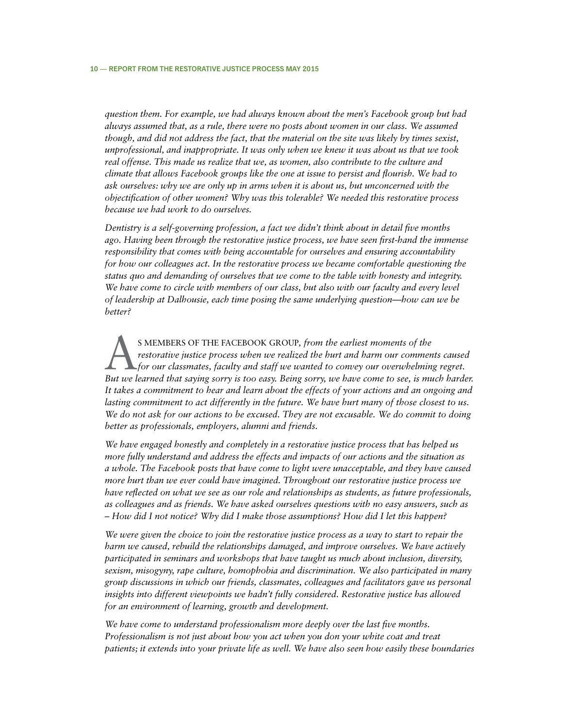*question them. For example, we had always known about the men's Facebook group but had always assumed that, as a rule, there were no posts about women in our class. We assumed though, and did not address the fact, that the material on the site was likely by times sexist, unprofessional, and inappropriate. It was only when we knew it was about us that we took real offense. This made us realize that we, as women, also contribute to the culture and climate that allows Facebook groups like the one at issue to persist and flourish. We had to ask ourselves: why we are only up in arms when it is about us, but unconcerned with the objectification of other women? Why was this tolerable? We needed this restorative process because we had work to do ourselves.*

*Dentistry is a self-governing profession, a fact we didn't think about in detail five months ago. Having been through the restorative justice process, we have seen first-hand the immense responsibility that comes with being accountable for ourselves and ensuring accountability for how our colleagues act. In the restorative process we became comfortable questioning the status quo and demanding of ourselves that we come to the table with honesty and integrity. We have come to circle with members of our class, but also with our faculty and every level of leadership at Dalhousie, each time posing the same underlying question—how can we be better?*

S MEMBERS OF THE FACEBOOK GROUP, from the earliest moments of the restorative justice process when we realized the hurt and harm our comments of the for our classmates, faculty and staff we wanted to convey our overwhelmin *restorative justice process when we realized the hurt and harm our comments caused for our classmates, faculty and staff we wanted to convey our overwhelming regret. But we learned that saying sorry is too easy. Being sorry, we have come to see, is much harder. It takes a commitment to hear and learn about the effects of your actions and an ongoing and lasting commitment to act differently in the future. We have hurt many of those closest to us. We do not ask for our actions to be excused. They are not excusable. We do commit to doing better as professionals, employers, alumni and friends.*

*We have engaged honestly and completely in a restorative justice process that has helped us more fully understand and address the effects and impacts of our actions and the situation as a whole. The Facebook posts that have come to light were unacceptable, and they have caused more hurt than we ever could have imagined. Throughout our restorative justice process we have reflected on what we see as our role and relationships as students, as future professionals, as colleagues and as friends. We have asked ourselves questions with no easy answers, such as – How did I not notice? Why did I make those assumptions? How did I let this happen?*

*We were given the choice to join the restorative justice process as a way to start to repair the harm we caused, rebuild the relationships damaged, and improve ourselves. We have actively participated in seminars and workshops that have taught us much about inclusion, diversity, sexism, misogyny, rape culture, homophobia and discrimination. We also participated in many group discussions in which our friends, classmates, colleagues and facilitators gave us personal insights into different viewpoints we hadn't fully considered. Restorative justice has allowed for an environment of learning, growth and development.*

*We have come to understand professionalism more deeply over the last five months. Professionalism is not just about how you act when you don your white coat and treat patients; it extends into your private life as well. We have also seen how easily these boundaries*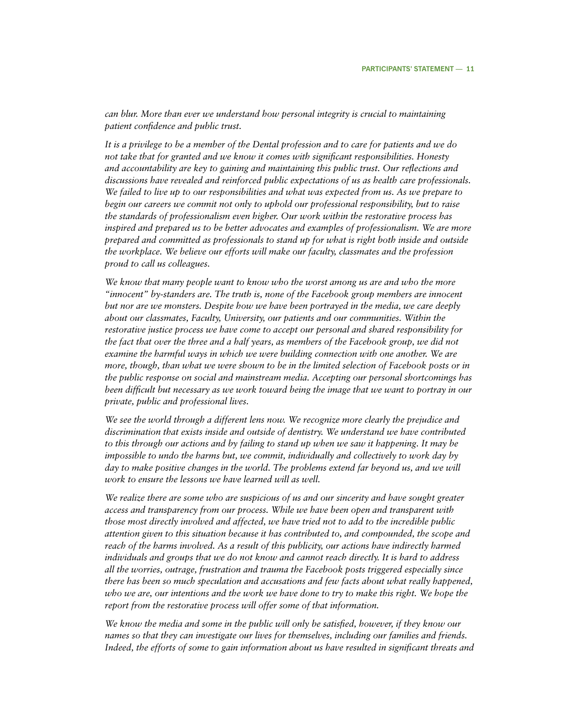*can blur. More than ever we understand how personal integrity is crucial to maintaining patient confidence and public trust.*

*It is a privilege to be a member of the Dental profession and to care for patients and we do not take that for granted and we know it comes with significant responsibilities. Honesty and accountability are key to gaining and maintaining this public trust. Our reflections and discussions have revealed and reinforced public expectations of us as health care professionals. We failed to live up to our responsibilities and what was expected from us. As we prepare to begin our careers we commit not only to uphold our professional responsibility, but to raise the standards of professionalism even higher. Our work within the restorative process has inspired and prepared us to be better advocates and examples of professionalism. We are more prepared and committed as professionals to stand up for what is right both inside and outside the workplace. We believe our efforts will make our faculty, classmates and the profession proud to call us colleagues.*

*We know that many people want to know who the worst among us are and who the more "innocent" by-standers are. The truth is, none of the Facebook group members are innocent but nor are we monsters. Despite how we have been portrayed in the media, we care deeply about our classmates, Faculty, University, our patients and our communities. Within the restorative justice process we have come to accept our personal and shared responsibility for the fact that over the three and a half years, as members of the Facebook group, we did not examine the harmful ways in which we were building connection with one another. We are more, though, than what we were shown to be in the limited selection of Facebook posts or in the public response on social and mainstream media. Accepting our personal shortcomings has been difficult but necessary as we work toward being the image that we want to portray in our private, public and professional lives.*

*We see the world through a different lens now. We recognize more clearly the prejudice and discrimination that exists inside and outside of dentistry. We understand we have contributed*  to this through our actions and by failing to stand up when we saw it happening. It may be *impossible to undo the harms but, we commit, individually and collectively to work day by day to make positive changes in the world. The problems extend far beyond us, and we will work to ensure the lessons we have learned will as well.*

*We realize there are some who are suspicious of us and our sincerity and have sought greater access and transparency from our process. While we have been open and transparent with those most directly involved and affected, we have tried not to add to the incredible public attention given to this situation because it has contributed to, and compounded, the scope and reach of the harms involved. As a result of this publicity, our actions have indirectly harmed individuals and groups that we do not know and cannot reach directly. It is hard to address all the worries, outrage, frustration and trauma the Facebook posts triggered especially since there has been so much speculation and accusations and few facts about what really happened, who we are, our intentions and the work we have done to try to make this right. We hope the report from the restorative process will offer some of that information.*

*We know the media and some in the public will only be satisfied, however, if they know our names so that they can investigate our lives for themselves, including our families and friends. Indeed, the efforts of some to gain information about us have resulted in significant threats and*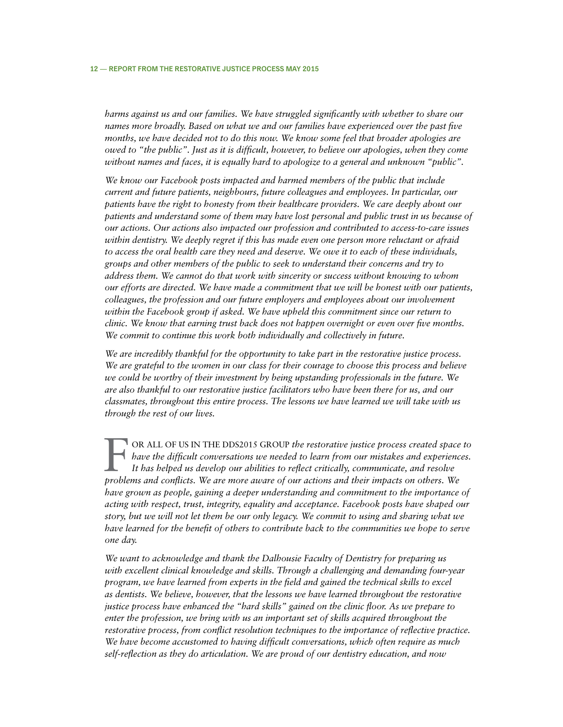*harms against us and our families. We have struggled significantly with whether to share our names more broadly. Based on what we and our families have experienced over the past five months, we have decided not to do this now. We know some feel that broader apologies are owed to "the public". Just as it is difficult, however, to believe our apologies, when they come without names and faces, it is equally hard to apologize to a general and unknown "public".*

*We know our Facebook posts impacted and harmed members of the public that include current and future patients, neighbours, future colleagues and employees. In particular, our patients have the right to honesty from their healthcare providers. We care deeply about our patients and understand some of them may have lost personal and public trust in us because of our actions. Our actions also impacted our profession and contributed to access-to-care issues within dentistry. We deeply regret if this has made even one person more reluctant or afraid to access the oral health care they need and deserve. We owe it to each of these individuals, groups and other members of the public to seek to understand their concerns and try to address them. We cannot do that work with sincerity or success without knowing to whom our efforts are directed. We have made a commitment that we will be honest with our patients, colleagues, the profession and our future employers and employees about our involvement within the Facebook group if asked. We have upheld this commitment since our return to clinic. We know that earning trust back does not happen overnight or even over five months. We commit to continue this work both individually and collectively in future.*

*We are incredibly thankful for the opportunity to take part in the restorative justice process. We are grateful to the women in our class for their courage to choose this process and believe we could be worthy of their investment by being upstanding professionals in the future. We are also thankful to our restorative justice facilitators who have been there for us, and our classmates, throughout this entire process. The lessons we have learned we will take with us through the rest of our lives.*

F OR ALL OF US IN THE DDS2015 GROUP *the restorative justice process created space to*<br>have the difficult conversations we needed to learn from our mistakes and experiences.<br>It has helped us develop our abilities to reflec *have the difficult conversations we needed to learn from our mistakes and experiences. It has helped us develop our abilities to reflect critically, communicate, and resolve problems and conflicts. We are more aware of our actions and their impacts on others. We have grown as people, gaining a deeper understanding and commitment to the importance of acting with respect, trust, integrity, equality and acceptance. Facebook posts have shaped our story, but we will not let them be our only legacy. We commit to using and sharing what we have learned for the benefit of others to contribute back to the communities we hope to serve one day.*

*We want to acknowledge and thank the Dalhousie Faculty of Dentistry for preparing us with excellent clinical knowledge and skills. Through a challenging and demanding four-year program, we have learned from experts in the field and gained the technical skills to excel as dentists. We believe, however, that the lessons we have learned throughout the restorative justice process have enhanced the "hard skills" gained on the clinic floor. As we prepare to enter the profession, we bring with us an important set of skills acquired throughout the restorative process, from conflict resolution techniques to the importance of reflective practice. We have become accustomed to having difficult conversations, which often require as much self-reflection as they do articulation. We are proud of our dentistry education, and now*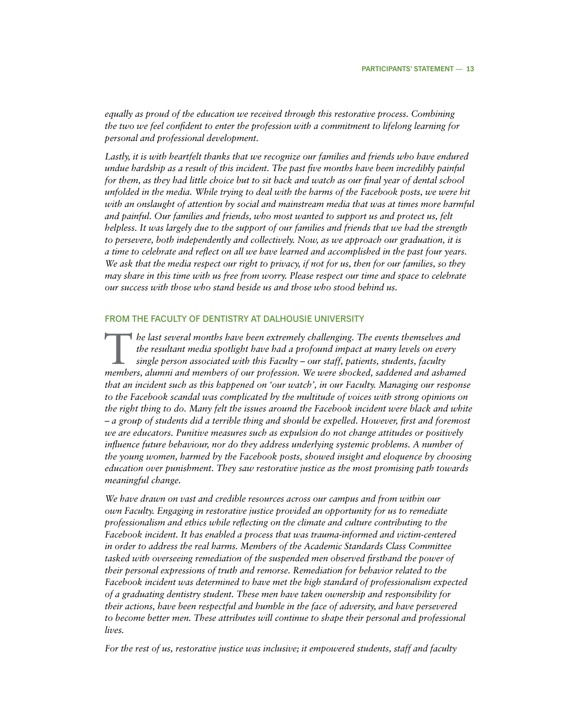*equally as proud of the education we received through this restorative process. Combining the two we feel confident to enter the profession with a commitment to lifelong learning for personal and professional development.*

Lastly, it is with heartfelt thanks that we recognize our families and friends who have endured *undue hardship as a result of this incident. The past five months have been incredibly painful for them, as they had little choice but to sit back and watch as our final year of dental school unfolded in the media. While trying to deal with the harms of the Facebook posts, we were hit*  with an onslaught of attention by social and mainstream media that was at times more harmful *and painful. Our families and friends, who most wanted to support us and protect us, felt helpless. It was largely due to the support of our families and friends that we had the strength to persevere, both independently and collectively. Now, as we approach our graduation, it is a time to celebrate and reflect on all we have learned and accomplished in the past four years. We ask that the media respect our right to privacy, if not for us, then for our families, so they may share in this time with us free from worry. Please respect our time and space to celebrate our success with those who stand beside us and those who stood behind us.*

#### From the Faculty of Dentistry at Dalhousie University

T*he last several months have been extremely challenging. The events themselves and the resultant media spotlight have had a profound impact at many levels on every single person associated with this Faculty – our staff, patients, students, faculty members, alumni and members of our profession. We were shocked, saddened and ashamed that an incident such as this happened on 'our watch', in our Faculty. Managing our response to the Facebook scandal was complicated by the multitude of voices with strong opinions on the right thing to do. Many felt the issues around the Facebook incident were black and white – a group of students did a terrible thing and should be expelled. However, first and foremost we are educators. Punitive measures such as expulsion do not change attitudes or positively influence future behaviour, nor do they address underlying systemic problems. A number of the young women, harmed by the Facebook posts, showed insight and eloquence by choosing education over punishment. They saw restorative justice as the most promising path towards meaningful change.*

*We have drawn on vast and credible resources across our campus and from within our own Faculty. Engaging in restorative justice provided an opportunity for us to remediate professionalism and ethics while reflecting on the climate and culture contributing to the Facebook incident. It has enabled a process that was trauma-informed and victim-centered in order to address the real harms. Members of the Academic Standards Class Committee tasked with overseeing remediation of the suspended men observed firsthand the power of their personal expressions of truth and remorse. Remediation for behavior related to the Facebook incident was determined to have met the high standard of professionalism expected of a graduating dentistry student. These men have taken ownership and responsibility for their actions, have been respectful and humble in the face of adversity, and have persevered*  to become better men. These attributes will continue to shape their personal and professional *lives.*

*For the rest of us, restorative justice was inclusive; it empowered students, staff and faculty*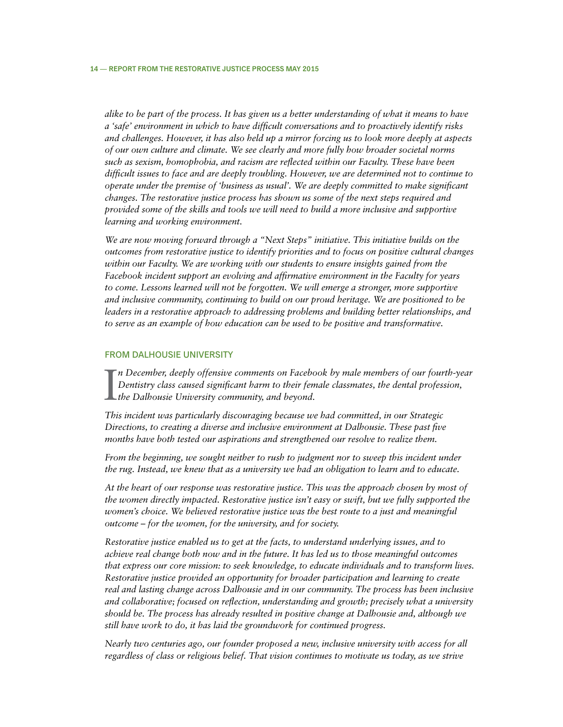*alike to be part of the process. It has given us a better understanding of what it means to have a 'safe' environment in which to have difficult conversations and to proactively identify risks and challenges. However, it has also held up a mirror forcing us to look more deeply at aspects of our own culture and climate. We see clearly and more fully how broader societal norms such as sexism, homophobia, and racism are reflected within our Faculty. These have been difficult issues to face and are deeply troubling. However, we are determined not to continue to operate under the premise of 'business as usual'. We are deeply committed to make significant changes. The restorative justice process has shown us some of the next steps required and provided some of the skills and tools we will need to build a more inclusive and supportive learning and working environment.*

*We are now moving forward through a "Next Steps" initiative. This initiative builds on the outcomes from restorative justice to identify priorities and to focus on positive cultural changes within our Faculty. We are working with our students to ensure insights gained from the Facebook incident support an evolving and affirmative environment in the Faculty for years to come. Lessons learned will not be forgotten. We will emerge a stronger, more supportive and inclusive community, continuing to build on our proud heritage. We are positioned to be leaders in a restorative approach to addressing problems and building better relationships, and to serve as an example of how education can be used to be positive and transformative.*

#### From Dalhousie University

In December, deeply offensive comments on Facebor Dentistry class caused significant harm to their fentile Dalhousie University community, and beyond. *n December, deeply offensive comments on Facebook by male members of our fourth-year Dentistry class caused significant harm to their female classmates, the dental profession,* 

*This incident was particularly discouraging because we had committed, in our Strategic Directions, to creating a diverse and inclusive environment at Dalhousie. These past five months have both tested our aspirations and strengthened our resolve to realize them.*

*From the beginning, we sought neither to rush to judgment nor to sweep this incident under the rug. Instead, we knew that as a university we had an obligation to learn and to educate.*

*At the heart of our response was restorative justice. This was the approach chosen by most of the women directly impacted. Restorative justice isn't easy or swift, but we fully supported the women's choice. We believed restorative justice was the best route to a just and meaningful outcome – for the women, for the university, and for society.*

*Restorative justice enabled us to get at the facts, to understand underlying issues, and to achieve real change both now and in the future. It has led us to those meaningful outcomes that express our core mission: to seek knowledge, to educate individuals and to transform lives. Restorative justice provided an opportunity for broader participation and learning to create real and lasting change across Dalhousie and in our community. The process has been inclusive and collaborative; focused on reflection, understanding and growth; precisely what a university should be. The process has already resulted in positive change at Dalhousie and, although we still have work to do, it has laid the groundwork for continued progress.*

*Nearly two centuries ago, our founder proposed a new, inclusive university with access for all regardless of class or religious belief. That vision continues to motivate us today, as we strive*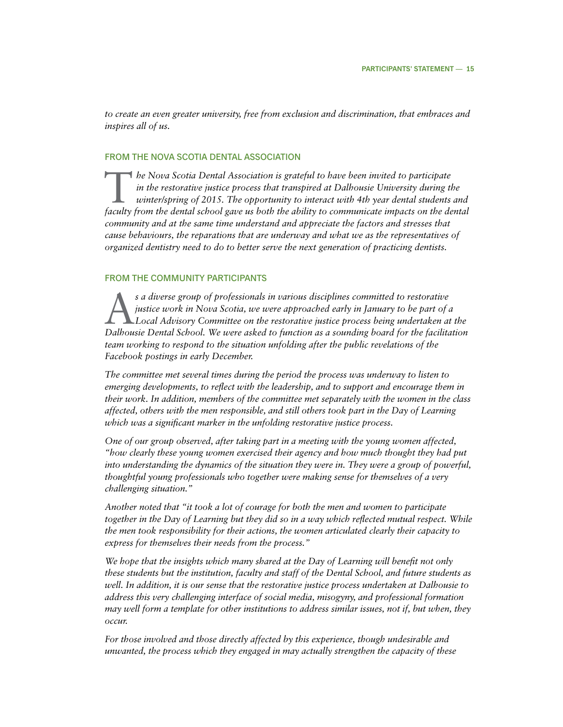*to create an even greater university, free from exclusion and discrimination, that embraces and inspires all of us.*

#### From the Nova Scotia Dental Association

T*he Nova Scotia Dental Association is grateful to have been invited to participate in the restorative justice process that transpired at Dalhousie University during the winter/spring of 2015. The opportunity to interact with 4th year dental students and faculty from the dental school gave us both the ability to communicate impacts on the dental community and at the same time understand and appreciate the factors and stresses that cause behaviours, the reparations that are underway and what we as the representatives of organized dentistry need to do to better serve the next generation of practicing dentists.*

#### From the Community Participants

**As a diverse group of professionals in various disciplines committed to restorative**<br> *Local Advisory Committee on the restorative justice process being undertaken at the*<br> **Palleouse Davial School, We were school to func** *justice work in Nova Scotia, we were approached early in January to be part of a Dalhousie Dental School. We were asked to function as a sounding board for the facilitation team working to respond to the situation unfolding after the public revelations of the Facebook postings in early December.*

*The committee met several times during the period the process was underway to listen to emerging developments, to reflect with the leadership, and to support and encourage them in their work. In addition, members of the committee met separately with the women in the class affected, others with the men responsible, and still others took part in the Day of Learning which was a significant marker in the unfolding restorative justice process.*

*One of our group observed, after taking part in a meeting with the young women affected, "how clearly these young women exercised their agency and how much thought they had put into understanding the dynamics of the situation they were in. They were a group of powerful, thoughtful young professionals who together were making sense for themselves of a very challenging situation."*

*Another noted that "it took a lot of courage for both the men and women to participate together in the Day of Learning but they did so in a way which reflected mutual respect. While the men took responsibility for their actions, the women articulated clearly their capacity to express for themselves their needs from the process."*

*We hope that the insights which many shared at the Day of Learning will benefit not only these students but the institution, faculty and staff of the Dental School, and future students as well. In addition, it is our sense that the restorative justice process undertaken at Dalhousie to address this very challenging interface of social media, misogyny, and professional formation may well form a template for other institutions to address similar issues, not if, but when, they occur.*

*For those involved and those directly affected by this experience, though undesirable and unwanted, the process which they engaged in may actually strengthen the capacity of these*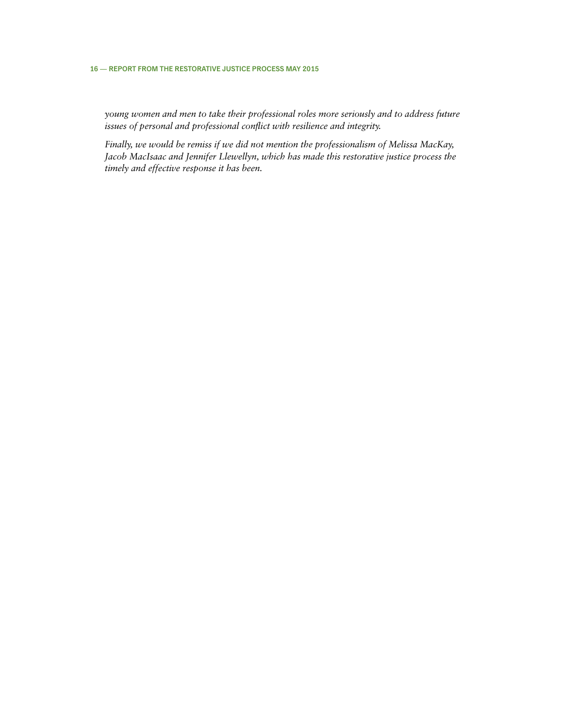*young women and men to take their professional roles more seriously and to address future issues of personal and professional conflict with resilience and integrity.*

*Finally, we would be remiss if we did not mention the professionalism of Melissa MacKay, Jacob MacIsaac and Jennifer Llewellyn, which has made this restorative justice process the timely and effective response it has been.*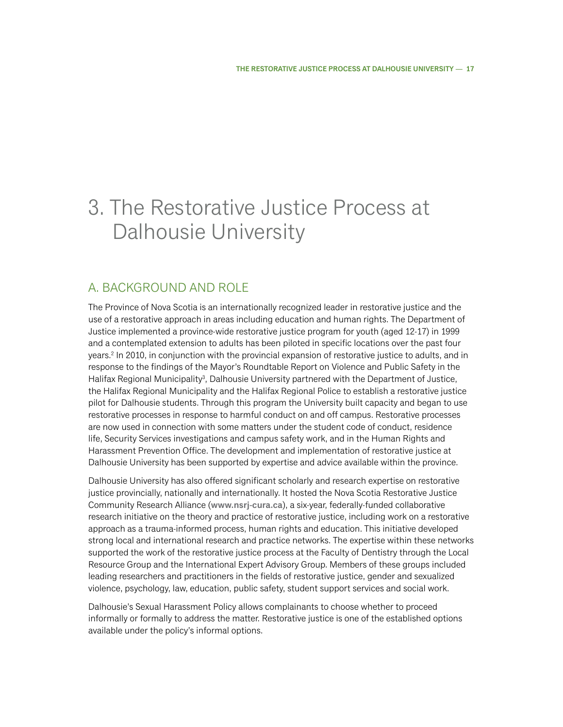# <span id="page-18-0"></span>3. The Restorative Justice Process at Dalhousie University

### A. Background and Role

The Province of Nova Scotia is an internationally recognized leader in restorative justice and the use of a restorative approach in areas including education and human rights. The Department of Justice implemented a province-wide restorative justice program for youth (aged 12-17) in 1999 and a contemplated extension to adults has been piloted in specific locations over the past four years. $^2$  In 2010, in conjunction with the provincial expansion of restorative justice to adults, and in response to the findings of the Mayor's Roundtable Report on Violence and Public Safety in the Halifax Regional Municipality<sup>3</sup>, Dalhousie University partnered with the Department of Justice, the Halifax Regional Municipality and the Halifax Regional Police to establish a restorative justice pilot for Dalhousie students. Through this program the University built capacity and began to use restorative processes in response to harmful conduct on and off campus. Restorative processes are now used in connection with some matters under the student code of conduct, residence life, Security Services investigations and campus safety work, and in the Human Rights and Harassment Prevention Office. The development and implementation of restorative justice at Dalhousie University has been supported by expertise and advice available within the province.

Dalhousie University has also offered significant scholarly and research expertise on restorative justice provincially, nationally and internationally. It hosted the Nova Scotia Restorative Justice Community Research Alliance (**[www.nsrj-cura.ca](http://www.nsrj-cura.ca)**), a six-year, federally-funded collaborative research initiative on the theory and practice of restorative justice, including work on a restorative approach as a trauma-informed process, human rights and education. This initiative developed strong local and international research and practice networks. The expertise within these networks supported the work of the restorative justice process at the Faculty of Dentistry through the Local Resource Group and the International Expert Advisory Group. Members of these groups included leading researchers and practitioners in the fields of restorative justice, gender and sexualized violence, psychology, law, education, public safety, student support services and social work.

Dalhousie's Sexual Harassment Policy allows complainants to choose whether to proceed informally or formally to address the matter. Restorative justice is one of the established options available under the policy's informal options.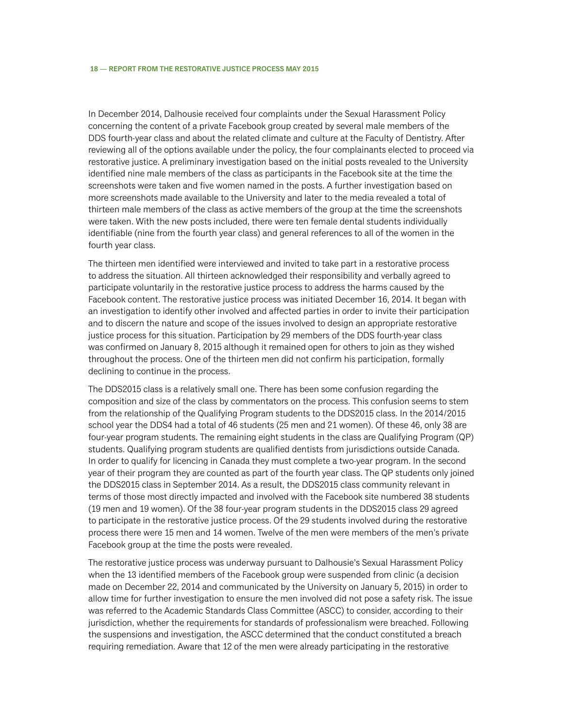In December 2014, Dalhousie received four complaints under the Sexual Harassment Policy concerning the content of a private Facebook group created by several male members of the DDS fourth-year class and about the related climate and culture at the Faculty of Dentistry. After reviewing all of the options available under the policy, the four complainants elected to proceed via restorative justice. A preliminary investigation based on the initial posts revealed to the University identified nine male members of the class as participants in the Facebook site at the time the screenshots were taken and five women named in the posts. A further investigation based on more screenshots made available to the University and later to the media revealed a total of thirteen male members of the class as active members of the group at the time the screenshots were taken. With the new posts included, there were ten female dental students individually identifiable (nine from the fourth year class) and general references to all of the women in the fourth year class.

The thirteen men identified were interviewed and invited to take part in a restorative process to address the situation. All thirteen acknowledged their responsibility and verbally agreed to participate voluntarily in the restorative justice process to address the harms caused by the Facebook content. The restorative justice process was initiated December 16, 2014. It began with an investigation to identify other involved and affected parties in order to invite their participation and to discern the nature and scope of the issues involved to design an appropriate restorative justice process for this situation. Participation by 29 members of the DDS fourth-year class was confirmed on January 8, 2015 although it remained open for others to join as they wished throughout the process. One of the thirteen men did not confirm his participation, formally declining to continue in the process.

The DDS2015 class is a relatively small one. There has been some confusion regarding the composition and size of the class by commentators on the process. This confusion seems to stem from the relationship of the Qualifying Program students to the DDS2015 class. In the 2014/2015 school year the DDS4 had a total of 46 students (25 men and 21 women). Of these 46, only 38 are four-year program students. The remaining eight students in the class are Qualifying Program (QP) students. Qualifying program students are qualified dentists from jurisdictions outside Canada. In order to qualify for licencing in Canada they must complete a two-year program. In the second year of their program they are counted as part of the fourth year class. The QP students only joined the DDS2015 class in September 2014. As a result, the DDS2015 class community relevant in terms of those most directly impacted and involved with the Facebook site numbered 38 students (19 men and 19 women). Of the 38 four-year program students in the DDS2015 class 29 agreed to participate in the restorative justice process. Of the 29 students involved during the restorative process there were 15 men and 14 women. Twelve of the men were members of the men's private Facebook group at the time the posts were revealed.

The restorative justice process was underway pursuant to Dalhousie's Sexual Harassment Policy when the 13 identified members of the Facebook group were suspended from clinic (a decision made on December 22, 2014 and communicated by the University on January 5, 2015) in order to allow time for further investigation to ensure the men involved did not pose a safety risk. The issue was referred to the Academic Standards Class Committee (ASCC) to consider, according to their jurisdiction, whether the requirements for standards of professionalism were breached. Following the suspensions and investigation, the ASCC determined that the conduct constituted a breach requiring remediation. Aware that 12 of the men were already participating in the restorative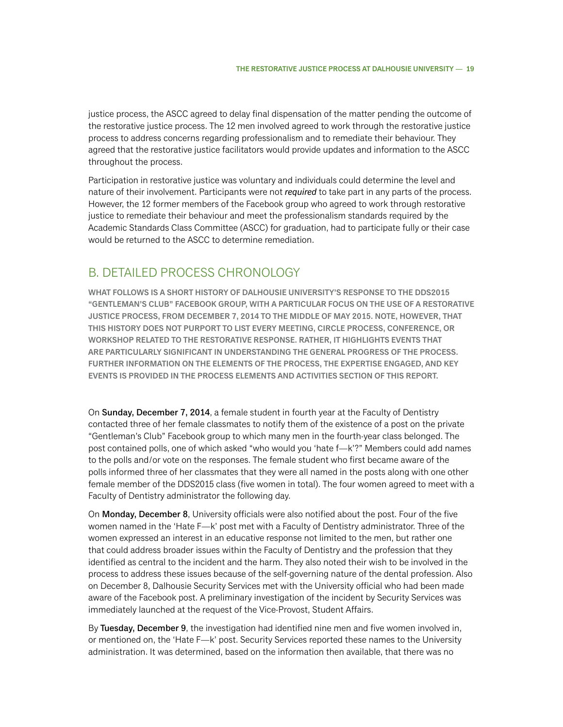<span id="page-20-0"></span>justice process, the ASCC agreed to delay final dispensation of the matter pending the outcome of the restorative justice process. The 12 men involved agreed to work through the restorative justice process to address concerns regarding professionalism and to remediate their behaviour. They agreed that the restorative justice facilitators would provide updates and information to the ASCC throughout the process.

Participation in restorative justice was voluntary and individuals could determine the level and nature of their involvement. Participants were not *required* to take part in any parts of the process. However, the 12 former members of the Facebook group who agreed to work through restorative justice to remediate their behaviour and meet the professionalism standards required by the Academic Standards Class Committee (ASCC) for graduation, had to participate fully or their case would be returned to the ASCC to determine remediation.

### B. Detailed Process Chronology

**What follows is a short history of Dalhousie University's response to the DDS2015 "Gentleman's Club" Facebook group, with a particular focus on the use of a restorative justice process, from December 7, 2014 to the middle of May 2015. Note, however, that this history does not purport to list every meeting, circle process, conference, or workshop related to the restorative response. Rather, it highlights events that are particularly significant in understanding the general progress of the process. Further information on the elements of the process, the expertise engaged, and key events is provided in the Process Elements and Activities section of this report.**

On Sunday, December 7, 2014, a female student in fourth year at the Faculty of Dentistry contacted three of her female classmates to notify them of the existence of a post on the private "Gentleman's Club" Facebook group to which many men in the fourth-year class belonged. The post contained polls, one of which asked "who would you 'hate f—k'?" Members could add names to the polls and/or vote on the responses. The female student who first became aware of the polls informed three of her classmates that they were all named in the posts along with one other female member of the DDS2015 class (five women in total). The four women agreed to meet with a Faculty of Dentistry administrator the following day.

On Monday, December 8, University officials were also notified about the post. Four of the five women named in the 'Hate F—k' post met with a Faculty of Dentistry administrator. Three of the women expressed an interest in an educative response not limited to the men, but rather one that could address broader issues within the Faculty of Dentistry and the profession that they identified as central to the incident and the harm. They also noted their wish to be involved in the process to address these issues because of the self-governing nature of the dental profession. Also on December 8, Dalhousie Security Services met with the University official who had been made aware of the Facebook post. A preliminary investigation of the incident by Security Services was immediately launched at the request of the Vice-Provost, Student Affairs.

By Tuesday, December 9, the investigation had identified nine men and five women involved in, or mentioned on, the 'Hate F—k' post. Security Services reported these names to the University administration. It was determined, based on the information then available, that there was no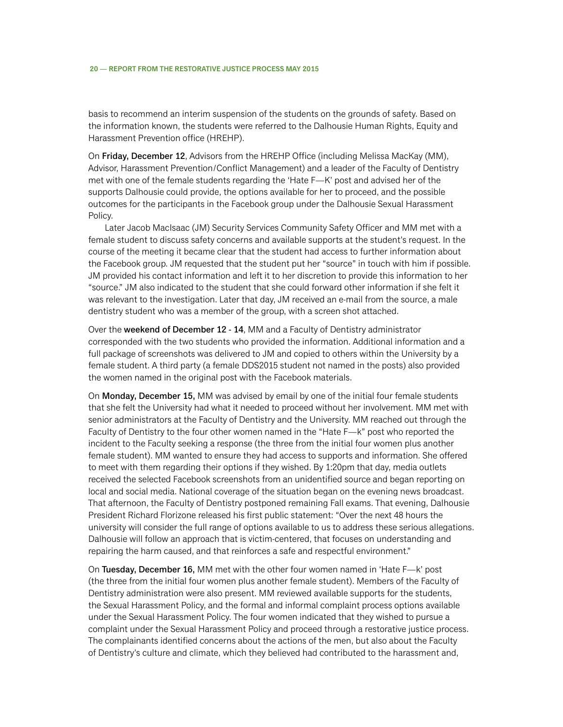basis to recommend an interim suspension of the students on the grounds of safety. Based on the information known, the students were referred to the Dalhousie Human Rights, Equity and Harassment Prevention office (HREHP).

On Friday, December 12, Advisors from the HREHP Office (including Melissa MacKay (MM), Advisor, Harassment Prevention/Conflict Management) and a leader of the Faculty of Dentistry met with one of the female students regarding the 'Hate F—K' post and advised her of the supports Dalhousie could provide, the options available for her to proceed, and the possible outcomes for the participants in the Facebook group under the Dalhousie Sexual Harassment Policy.

Later Jacob MacIsaac (JM) Security Services Community Safety Officer and MM met with a female student to discuss safety concerns and available supports at the student's request. In the course of the meeting it became clear that the student had access to further information about the Facebook group. JM requested that the student put her "source" in touch with him if possible. JM provided his contact information and left it to her discretion to provide this information to her "source." JM also indicated to the student that she could forward other information if she felt it was relevant to the investigation. Later that day, JM received an e-mail from the source, a male dentistry student who was a member of the group, with a screen shot attached.

Over the weekend of December 12 - 14, MM and a Faculty of Dentistry administrator corresponded with the two students who provided the information. Additional information and a full package of screenshots was delivered to JM and copied to others within the University by a female student. A third party (a female DDS2015 student not named in the posts) also provided the women named in the original post with the Facebook materials.

On Monday, December 15, MM was advised by email by one of the initial four female students that she felt the University had what it needed to proceed without her involvement. MM met with senior administrators at the Faculty of Dentistry and the University. MM reached out through the Faculty of Dentistry to the four other women named in the "Hate F—k" post who reported the incident to the Faculty seeking a response (the three from the initial four women plus another female student). MM wanted to ensure they had access to supports and information. She offered to meet with them regarding their options if they wished. By 1:20pm that day, media outlets received the selected Facebook screenshots from an unidentified source and began reporting on local and social media. National coverage of the situation began on the evening news broadcast. That afternoon, the Faculty of Dentistry postponed remaining Fall exams. That evening, Dalhousie President Richard Florizone released his first public statement: "Over the next 48 hours the university will consider the full range of options available to us to address these serious allegations. Dalhousie will follow an approach that is victim-centered, that focuses on understanding and repairing the harm caused, and that reinforces a safe and respectful environment."

On Tuesday, December 16, MM met with the other four women named in 'Hate F—k' post (the three from the initial four women plus another female student). Members of the Faculty of Dentistry administration were also present. MM reviewed available supports for the students, the Sexual Harassment Policy, and the formal and informal complaint process options available under the Sexual Harassment Policy. The four women indicated that they wished to pursue a complaint under the Sexual Harassment Policy and proceed through a restorative justice process. The complainants identified concerns about the actions of the men, but also about the Faculty of Dentistry's culture and climate, which they believed had contributed to the harassment and,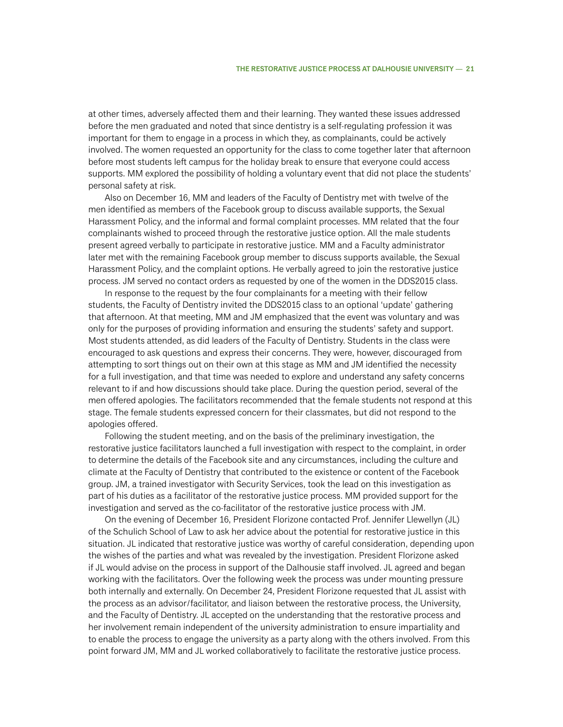at other times, adversely affected them and their learning. They wanted these issues addressed before the men graduated and noted that since dentistry is a self-regulating profession it was important for them to engage in a process in which they, as complainants, could be actively involved. The women requested an opportunity for the class to come together later that afternoon before most students left campus for the holiday break to ensure that everyone could access supports. MM explored the possibility of holding a voluntary event that did not place the students' personal safety at risk.

Also on December 16, MM and leaders of the Faculty of Dentistry met with twelve of the men identified as members of the Facebook group to discuss available supports, the Sexual Harassment Policy, and the informal and formal complaint processes. MM related that the four complainants wished to proceed through the restorative justice option. All the male students present agreed verbally to participate in restorative justice. MM and a Faculty administrator later met with the remaining Facebook group member to discuss supports available, the Sexual Harassment Policy, and the complaint options. He verbally agreed to join the restorative justice process. JM served no contact orders as requested by one of the women in the DDS2015 class.

In response to the request by the four complainants for a meeting with their fellow students, the Faculty of Dentistry invited the DDS2015 class to an optional 'update' gathering that afternoon. At that meeting, MM and JM emphasized that the event was voluntary and was only for the purposes of providing information and ensuring the students' safety and support. Most students attended, as did leaders of the Faculty of Dentistry. Students in the class were encouraged to ask questions and express their concerns. They were, however, discouraged from attempting to sort things out on their own at this stage as MM and JM identified the necessity for a full investigation, and that time was needed to explore and understand any safety concerns relevant to if and how discussions should take place. During the question period, several of the men offered apologies. The facilitators recommended that the female students not respond at this stage. The female students expressed concern for their classmates, but did not respond to the apologies offered.

Following the student meeting, and on the basis of the preliminary investigation, the restorative justice facilitators launched a full investigation with respect to the complaint, in order to determine the details of the Facebook site and any circumstances, including the culture and climate at the Faculty of Dentistry that contributed to the existence or content of the Facebook group. JM, a trained investigator with Security Services, took the lead on this investigation as part of his duties as a facilitator of the restorative justice process. MM provided support for the investigation and served as the co-facilitator of the restorative justice process with JM.

On the evening of December 16, President Florizone contacted Prof. Jennifer Llewellyn (JL) of the Schulich School of Law to ask her advice about the potential for restorative justice in this situation. JL indicated that restorative justice was worthy of careful consideration, depending upon the wishes of the parties and what was revealed by the investigation. President Florizone asked if JL would advise on the process in support of the Dalhousie staff involved. JL agreed and began working with the facilitators. Over the following week the process was under mounting pressure both internally and externally. On December 24, President Florizone requested that JL assist with the process as an advisor/facilitator, and liaison between the restorative process, the University, and the Faculty of Dentistry. JL accepted on the understanding that the restorative process and her involvement remain independent of the university administration to ensure impartiality and to enable the process to engage the university as a party along with the others involved. From this point forward JM, MM and JL worked collaboratively to facilitate the restorative justice process.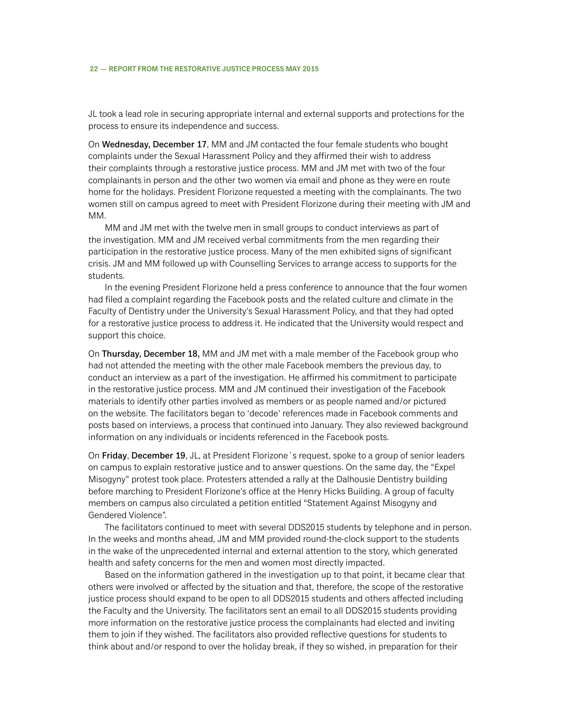JL took a lead role in securing appropriate internal and external supports and protections for the process to ensure its independence and success.

On Wednesday, December 17, MM and JM contacted the four female students who bought complaints under the Sexual Harassment Policy and they affirmed their wish to address their complaints through a restorative justice process. MM and JM met with two of the four complainants in person and the other two women via email and phone as they were en route home for the holidays. President Florizone requested a meeting with the complainants. The two women still on campus agreed to meet with President Florizone during their meeting with JM and MM.

MM and JM met with the twelve men in small groups to conduct interviews as part of the investigation. MM and JM received verbal commitments from the men regarding their participation in the restorative justice process. Many of the men exhibited signs of significant crisis. JM and MM followed up with Counselling Services to arrange access to supports for the students.

In the evening President Florizone held a press conference to announce that the four women had filed a complaint regarding the Facebook posts and the related culture and climate in the Faculty of Dentistry under the University's Sexual Harassment Policy, and that they had opted for a restorative justice process to address it. He indicated that the University would respect and support this choice.

On Thursday, December 18, MM and JM met with a male member of the Facebook group who had not attended the meeting with the other male Facebook members the previous day, to conduct an interview as a part of the investigation. He affirmed his commitment to participate in the restorative justice process. MM and JM continued their investigation of the Facebook materials to identify other parties involved as members or as people named and/or pictured on the website. The facilitators began to 'decode' references made in Facebook comments and posts based on interviews, a process that continued into January. They also reviewed background information on any individuals or incidents referenced in the Facebook posts.

On Friday, December 19, JL, at President Florizone `s request, spoke to a group of senior leaders on campus to explain restorative justice and to answer questions. On the same day, the "Expel Misogyny" protest took place. Protesters attended a rally at the Dalhousie Dentistry building before marching to President Florizone's office at the Henry Hicks Building. A group of faculty members on campus also circulated a petition entitled "Statement Against Misogyny and Gendered Violence".

The facilitators continued to meet with several DDS2015 students by telephone and in person. In the weeks and months ahead, JM and MM provided round-the-clock support to the students in the wake of the unprecedented internal and external attention to the story, which generated health and safety concerns for the men and women most directly impacted.

Based on the information gathered in the investigation up to that point, it became clear that others were involved or affected by the situation and that, therefore, the scope of the restorative justice process should expand to be open to all DDS2015 students and others affected including the Faculty and the University. The facilitators sent an email to all DDS2015 students providing more information on the restorative justice process the complainants had elected and inviting them to join if they wished. The facilitators also provided reflective questions for students to think about and/or respond to over the holiday break, if they so wished, in preparation for their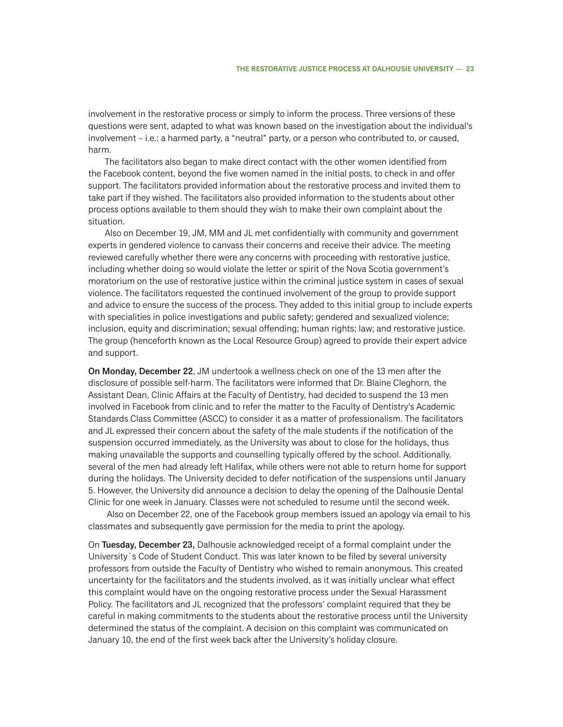involvement in the restorative process or simply to inform the process. Three versions of these questions were sent, adapted to what was known based on the investigation about the individual's involvement – i.e.: a harmed party, a "neutral" party, or a person who contributed to, or caused, harm.

The facilitators also began to make direct contact with the other women identified from the Facebook content, beyond the five women named in the initial posts, to check in and offer support. The facilitators provided information about the restorative process and invited them to take part if they wished. The facilitators also provided information to the students about other process options available to them should they wish to make their own complaint about the situation.

Also on December 19, JM, MM and JL met confidentially with community and government experts in gendered violence to canvass their concerns and receive their advice. The meeting reviewed carefully whether there were any concerns with proceeding with restorative justice, including whether doing so would violate the letter or spirit of the Nova Scotia government's moratorium on the use of restorative justice within the criminal justice system in cases of sexual violence. The facilitators requested the continued involvement of the group to provide support and advice to ensure the success of the process. They added to this initial group to include experts with specialities in police investigations and public safety; gendered and sexualized violence; inclusion, equity and discrimination; sexual offending; human rights; law; and restorative justice. The group (henceforth known as the Local Resource Group) agreed to provide their expert advice and support.

On Monday, December 22, JM undertook a wellness check on one of the 13 men after the disclosure of possible self-harm. The facilitators were informed that Dr. Blaine Cleghorn, the Assistant Dean, Clinic Affairs at the Faculty of Dentistry, had decided to suspend the 13 men involved in Facebook from clinic and to refer the matter to the Faculty of Dentistry's Academic Standards Class Committee (ASCC) to consider it as a matter of professionalism. The facilitators and JL expressed their concern about the safety of the male students if the notification of the suspension occurred immediately, as the University was about to close for the holidays, thus making unavailable the supports and counselling typically offered by the school. Additionally, several of the men had already left Halifax, while others were not able to return home for support during the holidays. The University decided to defer notification of the suspensions until January 5. However, the University did announce a decision to delay the opening of the Dalhousie Dental Clinic for one week in January. Classes were not scheduled to resume until the second week.

 Also on December 22, one of the Facebook group members issued an apology via email to his classmates and subsequently gave permission for the media to print the apology.

On Tuesday, December 23, Dalhousie acknowledged receipt of a formal complaint under the University`s Code of Student Conduct. This was later known to be filed by several university professors from outside the Faculty of Dentistry who wished to remain anonymous. This created uncertainty for the facilitators and the students involved, as it was initially unclear what effect this complaint would have on the ongoing restorative process under the Sexual Harassment Policy. The facilitators and JL recognized that the professors' complaint required that they be careful in making commitments to the students about the restorative process until the University determined the status of the complaint. A decision on this complaint was communicated on January 10, the end of the first week back after the University's holiday closure.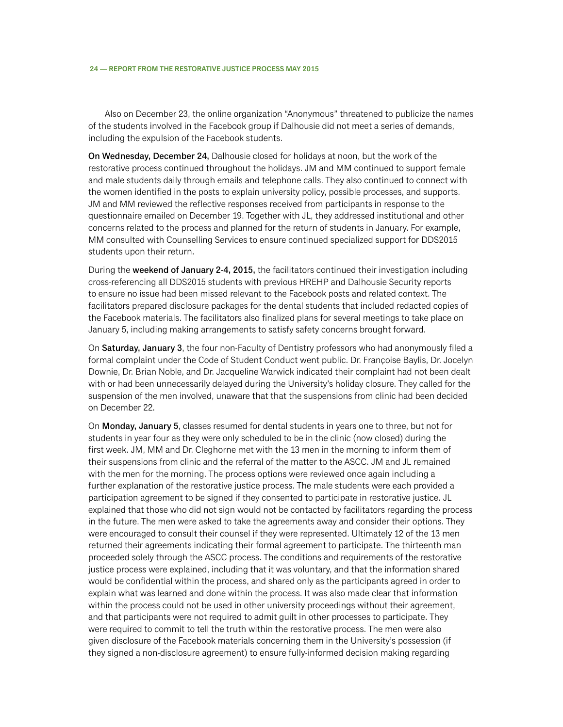Also on December 23, the online organization "Anonymous" threatened to publicize the names of the students involved in the Facebook group if Dalhousie did not meet a series of demands, including the expulsion of the Facebook students.

On Wednesday, December 24, Dalhousie closed for holidays at noon, but the work of the restorative process continued throughout the holidays. JM and MM continued to support female and male students daily through emails and telephone calls. They also continued to connect with the women identified in the posts to explain university policy, possible processes, and supports. JM and MM reviewed the reflective responses received from participants in response to the questionnaire emailed on December 19. Together with JL, they addressed institutional and other concerns related to the process and planned for the return of students in January. For example, MM consulted with Counselling Services to ensure continued specialized support for DDS2015 students upon their return.

During the weekend of January 2-4, 2015, the facilitators continued their investigation including cross-referencing all DDS2015 students with previous HREHP and Dalhousie Security reports to ensure no issue had been missed relevant to the Facebook posts and related context. The facilitators prepared disclosure packages for the dental students that included redacted copies of the Facebook materials. The facilitators also finalized plans for several meetings to take place on January 5, including making arrangements to satisfy safety concerns brought forward.

On Saturday, January 3, the four non-Faculty of Dentistry professors who had anonymously filed a formal complaint under the Code of Student Conduct went public. Dr. Françoise Baylis, Dr. Jocelyn Downie, Dr. Brian Noble, and Dr. Jacqueline Warwick indicated their complaint had not been dealt with or had been unnecessarily delayed during the University's holiday closure. They called for the suspension of the men involved, unaware that that the suspensions from clinic had been decided on December 22.

On Monday, January 5, classes resumed for dental students in years one to three, but not for students in year four as they were only scheduled to be in the clinic (now closed) during the first week. JM, MM and Dr. Cleghorne met with the 13 men in the morning to inform them of their suspensions from clinic and the referral of the matter to the ASCC. JM and JL remained with the men for the morning. The process options were reviewed once again including a further explanation of the restorative justice process. The male students were each provided a participation agreement to be signed if they consented to participate in restorative justice. JL explained that those who did not sign would not be contacted by facilitators regarding the process in the future. The men were asked to take the agreements away and consider their options. They were encouraged to consult their counsel if they were represented. Ultimately 12 of the 13 men returned their agreements indicating their formal agreement to participate. The thirteenth man proceeded solely through the ASCC process. The conditions and requirements of the restorative justice process were explained, including that it was voluntary, and that the information shared would be confidential within the process, and shared only as the participants agreed in order to explain what was learned and done within the process. It was also made clear that information within the process could not be used in other university proceedings without their agreement, and that participants were not required to admit guilt in other processes to participate. They were required to commit to tell the truth within the restorative process. The men were also given disclosure of the Facebook materials concerning them in the University's possession (if they signed a non-disclosure agreement) to ensure fully-informed decision making regarding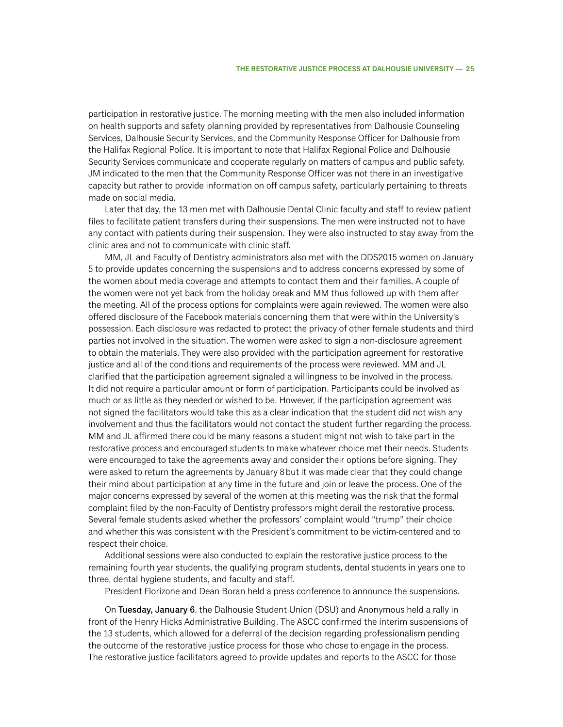participation in restorative justice. The morning meeting with the men also included information on health supports and safety planning provided by representatives from Dalhousie Counseling Services, Dalhousie Security Services, and the Community Response Officer for Dalhousie from the Halifax Regional Police. It is important to note that Halifax Regional Police and Dalhousie Security Services communicate and cooperate regularly on matters of campus and public safety. JM indicated to the men that the Community Response Officer was not there in an investigative capacity but rather to provide information on off campus safety, particularly pertaining to threats made on social media.

Later that day, the 13 men met with Dalhousie Dental Clinic faculty and staff to review patient files to facilitate patient transfers during their suspensions. The men were instructed not to have any contact with patients during their suspension. They were also instructed to stay away from the clinic area and not to communicate with clinic staff.

MM, JL and Faculty of Dentistry administrators also met with the DDS2015 women on January 5 to provide updates concerning the suspensions and to address concerns expressed by some of the women about media coverage and attempts to contact them and their families. A couple of the women were not yet back from the holiday break and MM thus followed up with them after the meeting. All of the process options for complaints were again reviewed. The women were also offered disclosure of the Facebook materials concerning them that were within the University's possession. Each disclosure was redacted to protect the privacy of other female students and third parties not involved in the situation. The women were asked to sign a non-disclosure agreement to obtain the materials. They were also provided with the participation agreement for restorative justice and all of the conditions and requirements of the process were reviewed. MM and JL clarified that the participation agreement signaled a willingness to be involved in the process. It did not require a particular amount or form of participation. Participants could be involved as much or as little as they needed or wished to be. However, if the participation agreement was not signed the facilitators would take this as a clear indication that the student did not wish any involvement and thus the facilitators would not contact the student further regarding the process. MM and JL affirmed there could be many reasons a student might not wish to take part in the restorative process and encouraged students to make whatever choice met their needs. Students were encouraged to take the agreements away and consider their options before signing. They were asked to return the agreements by January 8but it was made clear that they could change their mind about participation at any time in the future and join or leave the process. One of the major concerns expressed by several of the women at this meeting was the risk that the formal complaint filed by the non-Faculty of Dentistry professors might derail the restorative process. Several female students asked whether the professors' complaint would "trump" their choice and whether this was consistent with the President's commitment to be victim-centered and to respect their choice.

Additional sessions were also conducted to explain the restorative justice process to the remaining fourth year students, the qualifying program students, dental students in years one to three, dental hygiene students, and faculty and staff.

President Florizone and Dean Boran held a press conference to announce the suspensions.

On Tuesday, January 6, the Dalhousie Student Union (DSU) and Anonymous held a rally in front of the Henry Hicks Administrative Building. The ASCC confirmed the interim suspensions of the 13 students, which allowed for a deferral of the decision regarding professionalism pending the outcome of the restorative justice process for those who chose to engage in the process. The restorative justice facilitators agreed to provide updates and reports to the ASCC for those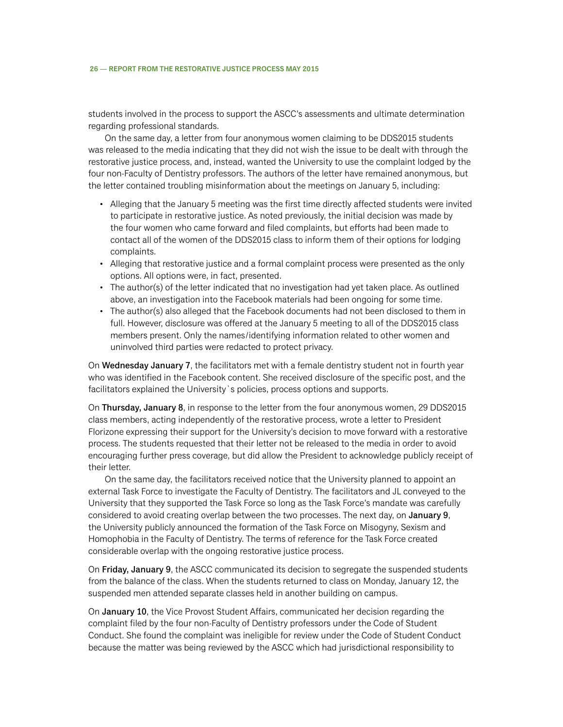students involved in the process to support the ASCC's assessments and ultimate determination regarding professional standards.

On the same day, a letter from four anonymous women claiming to be DDS2015 students was released to the media indicating that they did not wish the issue to be dealt with through the restorative justice process, and, instead, wanted the University to use the complaint lodged by the four non-Faculty of Dentistry professors. The authors of the letter have remained anonymous, but the letter contained troubling misinformation about the meetings on January 5, including:

- • Alleging that the January 5 meeting was the first time directly affected students were invited to participate in restorative justice. As noted previously, the initial decision was made by the four women who came forward and filed complaints, but efforts had been made to contact all of the women of the DDS2015 class to inform them of their options for lodging complaints.
- Alleging that restorative justice and a formal complaint process were presented as the only options. All options were, in fact, presented.
- • The author(s) of the letter indicated that no investigation had yet taken place. As outlined above, an investigation into the Facebook materials had been ongoing for some time.
- The author(s) also alleged that the Facebook documents had not been disclosed to them in full. However, disclosure was offered at the January 5 meeting to all of the DDS2015 class members present. Only the names/identifying information related to other women and uninvolved third parties were redacted to protect privacy.

On Wednesday January 7, the facilitators met with a female dentistry student not in fourth year who was identified in the Facebook content. She received disclosure of the specific post, and the facilitators explained the University`s policies, process options and supports.

On Thursday, January 8, in response to the letter from the four anonymous women, 29 DDS2015 class members, acting independently of the restorative process, wrote a letter to President Florizone expressing their support for the University's decision to move forward with a restorative process. The students requested that their letter not be released to the media in order to avoid encouraging further press coverage, but did allow the President to acknowledge publicly receipt of their letter.

On the same day, the facilitators received notice that the University planned to appoint an external Task Force to investigate the Faculty of Dentistry. The facilitators and JL conveyed to the University that they supported the Task Force so long as the Task Force's mandate was carefully considered to avoid creating overlap between the two processes. The next day, on January 9, the University publicly announced the formation of the Task Force on Misogyny, Sexism and Homophobia in the Faculty of Dentistry. The terms of reference for the Task Force created considerable overlap with the ongoing restorative justice process.

On Friday, January 9, the ASCC communicated its decision to segregate the suspended students from the balance of the class. When the students returned to class on Monday, January 12, the suspended men attended separate classes held in another building on campus.

On January 10, the Vice Provost Student Affairs, communicated her decision regarding the complaint filed by the four non-Faculty of Dentistry professors under the Code of Student Conduct. She found the complaint was ineligible for review under the Code of Student Conduct because the matter was being reviewed by the ASCC which had jurisdictional responsibility to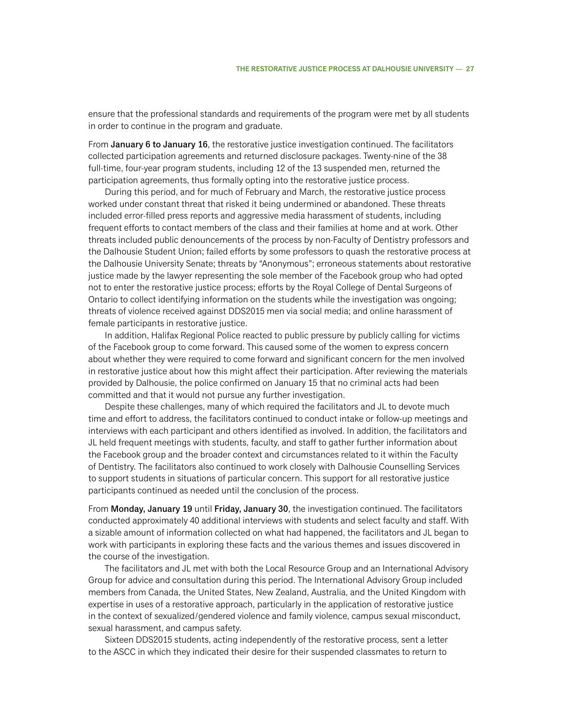ensure that the professional standards and requirements of the program were met by all students in order to continue in the program and graduate.

From January 6 to January 16, the restorative justice investigation continued. The facilitators collected participation agreements and returned disclosure packages. Twenty-nine of the 38 full-time, four-year program students, including 12 of the 13 suspended men, returned the participation agreements, thus formally opting into the restorative justice process.

During this period, and for much of February and March, the restorative justice process worked under constant threat that risked it being undermined or abandoned. These threats included error-filled press reports and aggressive media harassment of students, including frequent efforts to contact members of the class and their families at home and at work. Other threats included public denouncements of the process by non-Faculty of Dentistry professors and the Dalhousie Student Union; failed efforts by some professors to quash the restorative process at the Dalhousie University Senate; threats by "Anonymous"; erroneous statements about restorative justice made by the lawyer representing the sole member of the Facebook group who had opted not to enter the restorative justice process; efforts by the Royal College of Dental Surgeons of Ontario to collect identifying information on the students while the investigation was ongoing; threats of violence received against DDS2015 men via social media; and online harassment of female participants in restorative justice.

In addition, Halifax Regional Police reacted to public pressure by publicly calling for victims of the Facebook group to come forward. This caused some of the women to express concern about whether they were required to come forward and significant concern for the men involved in restorative justice about how this might affect their participation. After reviewing the materials provided by Dalhousie, the police confirmed on January 15 that no criminal acts had been committed and that it would not pursue any further investigation.

Despite these challenges, many of which required the facilitators and JL to devote much time and effort to address, the facilitators continued to conduct intake or follow-up meetings and interviews with each participant and others identified as involved. In addition, the facilitators and JL held frequent meetings with students, faculty, and staff to gather further information about the Facebook group and the broader context and circumstances related to it within the Faculty of Dentistry. The facilitators also continued to work closely with Dalhousie Counselling Services to support students in situations of particular concern. This support for all restorative justice participants continued as needed until the conclusion of the process.

From Monday, January 19 until Friday, January 30, the investigation continued. The facilitators conducted approximately 40 additional interviews with students and select faculty and staff. With a sizable amount of information collected on what had happened, the facilitators and JL began to work with participants in exploring these facts and the various themes and issues discovered in the course of the investigation.

The facilitators and JL met with both the Local Resource Group and an International Advisory Group for advice and consultation during this period. The International Advisory Group included members from Canada, the United States, New Zealand, Australia, and the United Kingdom with expertise in uses of a restorative approach, particularly in the application of restorative justice in the context of sexualized/gendered violence and family violence, campus sexual misconduct, sexual harassment, and campus safety.

Sixteen DDS2015 students, acting independently of the restorative process, sent a letter to the ASCC in which they indicated their desire for their suspended classmates to return to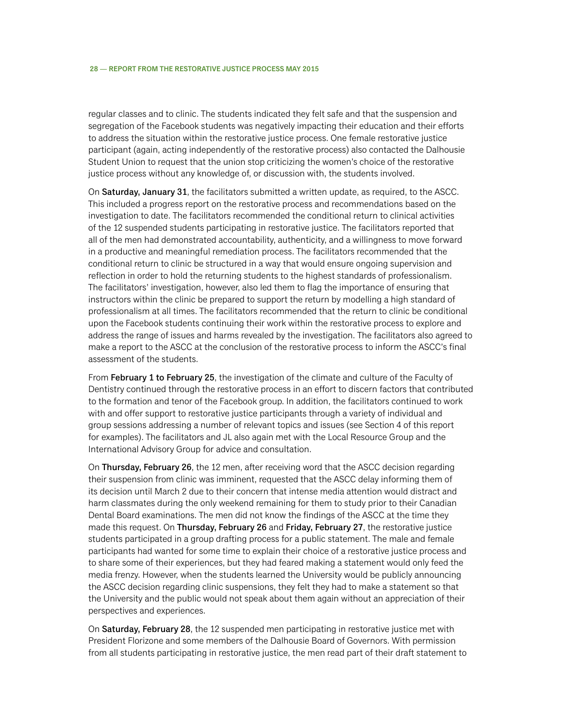regular classes and to clinic. The students indicated they felt safe and that the suspension and segregation of the Facebook students was negatively impacting their education and their efforts to address the situation within the restorative justice process. One female restorative justice participant (again, acting independently of the restorative process) also contacted the Dalhousie Student Union to request that the union stop criticizing the women's choice of the restorative justice process without any knowledge of, or discussion with, the students involved.

On Saturday, January 31, the facilitators submitted a written update, as required, to the ASCC. This included a progress report on the restorative process and recommendations based on the investigation to date. The facilitators recommended the conditional return to clinical activities of the 12 suspended students participating in restorative justice. The facilitators reported that all of the men had demonstrated accountability, authenticity, and a willingness to move forward in a productive and meaningful remediation process. The facilitators recommended that the conditional return to clinic be structured in a way that would ensure ongoing supervision and reflection in order to hold the returning students to the highest standards of professionalism. The facilitators' investigation, however, also led them to flag the importance of ensuring that instructors within the clinic be prepared to support the return by modelling a high standard of professionalism at all times. The facilitators recommended that the return to clinic be conditional upon the Facebook students continuing their work within the restorative process to explore and address the range of issues and harms revealed by the investigation. The facilitators also agreed to make a report to the ASCC at the conclusion of the restorative process to inform the ASCC's final assessment of the students.

From February 1 to February 25, the investigation of the climate and culture of the Faculty of Dentistry continued through the restorative process in an effort to discern factors that contributed to the formation and tenor of the Facebook group. In addition, the facilitators continued to work with and offer support to restorative justice participants through a variety of individual and group sessions addressing a number of relevant topics and issues (see Section 4 of this report for examples). The facilitators and JL also again met with the Local Resource Group and the International Advisory Group for advice and consultation.

On Thursday, February 26, the 12 men, after receiving word that the ASCC decision regarding their suspension from clinic was imminent, requested that the ASCC delay informing them of its decision until March 2 due to their concern that intense media attention would distract and harm classmates during the only weekend remaining for them to study prior to their Canadian Dental Board examinations. The men did not know the findings of the ASCC at the time they made this request. On Thursday, February 26 and Friday, February 27, the restorative justice students participated in a group drafting process for a public statement. The male and female participants had wanted for some time to explain their choice of a restorative justice process and to share some of their experiences, but they had feared making a statement would only feed the media frenzy. However, when the students learned the University would be publicly announcing the ASCC decision regarding clinic suspensions, they felt they had to make a statement so that the University and the public would not speak about them again without an appreciation of their perspectives and experiences.

On Saturday, February 28, the 12 suspended men participating in restorative justice met with President Florizone and some members of the Dalhousie Board of Governors. With permission from all students participating in restorative justice, the men read part of their draft statement to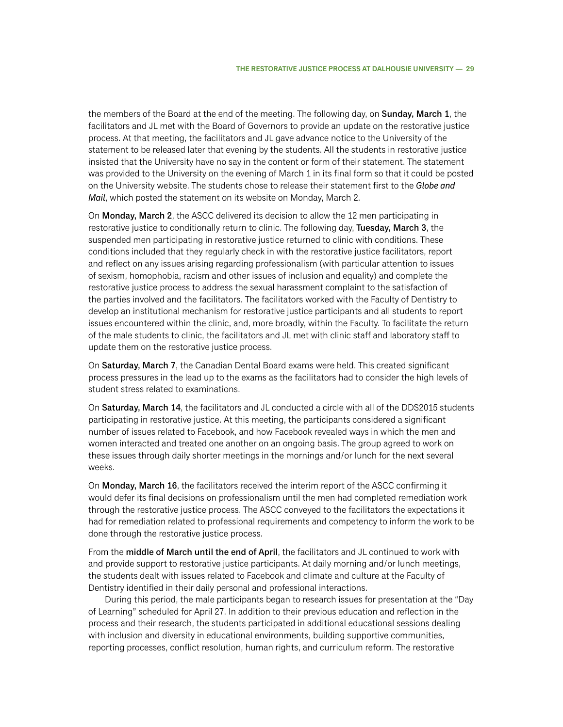the members of the Board at the end of the meeting. The following day, on **Sunday, March 1**, the facilitators and JL met with the Board of Governors to provide an update on the restorative justice process. At that meeting, the facilitators and JL gave advance notice to the University of the statement to be released later that evening by the students. All the students in restorative justice insisted that the University have no say in the content or form of their statement. The statement was provided to the University on the evening of March 1 in its final form so that it could be posted on the University website. The students chose to release their statement first to the *Globe and Mail*, which posted the statement on its website on Monday, March 2.

On Monday, March 2, the ASCC delivered its decision to allow the 12 men participating in restorative justice to conditionally return to clinic. The following day, Tuesday, March 3, the suspended men participating in restorative justice returned to clinic with conditions. These conditions included that they regularly check in with the restorative justice facilitators, report and reflect on any issues arising regarding professionalism (with particular attention to issues of sexism, homophobia, racism and other issues of inclusion and equality) and complete the restorative justice process to address the sexual harassment complaint to the satisfaction of the parties involved and the facilitators. The facilitators worked with the Faculty of Dentistry to develop an institutional mechanism for restorative justice participants and all students to report issues encountered within the clinic, and, more broadly, within the Faculty. To facilitate the return of the male students to clinic, the facilitators and JL met with clinic staff and laboratory staff to update them on the restorative justice process.

On Saturday, March 7, the Canadian Dental Board exams were held. This created significant process pressures in the lead up to the exams as the facilitators had to consider the high levels of student stress related to examinations.

On Saturday, March 14, the facilitators and JL conducted a circle with all of the DDS2015 students participating in restorative justice. At this meeting, the participants considered a significant number of issues related to Facebook, and how Facebook revealed ways in which the men and women interacted and treated one another on an ongoing basis. The group agreed to work on these issues through daily shorter meetings in the mornings and/or lunch for the next several weeks.

On Monday, March 16, the facilitators received the interim report of the ASCC confirming it would defer its final decisions on professionalism until the men had completed remediation work through the restorative justice process. The ASCC conveyed to the facilitators the expectations it had for remediation related to professional requirements and competency to inform the work to be done through the restorative justice process.

From the middle of March until the end of April, the facilitators and JL continued to work with and provide support to restorative justice participants. At daily morning and/or lunch meetings, the students dealt with issues related to Facebook and climate and culture at the Faculty of Dentistry identified in their daily personal and professional interactions.

During this period, the male participants began to research issues for presentation at the "Day of Learning" scheduled for April 27. In addition to their previous education and reflection in the process and their research, the students participated in additional educational sessions dealing with inclusion and diversity in educational environments, building supportive communities, reporting processes, conflict resolution, human rights, and curriculum reform. The restorative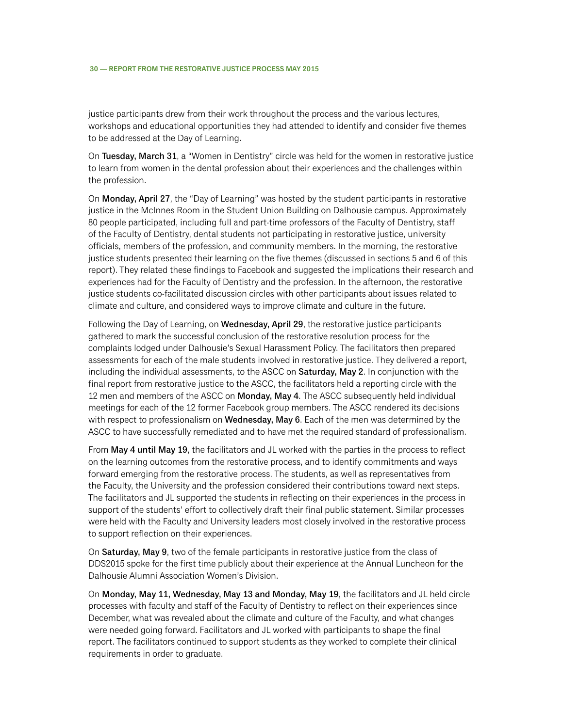justice participants drew from their work throughout the process and the various lectures, workshops and educational opportunities they had attended to identify and consider five themes to be addressed at the Day of Learning.

On Tuesday, March 31, a "Women in Dentistry" circle was held for the women in restorative justice to learn from women in the dental profession about their experiences and the challenges within the profession.

On Monday, April 27, the "Day of Learning" was hosted by the student participants in restorative justice in the McInnes Room in the Student Union Building on Dalhousie campus. Approximately 80 people participated, including full and part-time professors of the Faculty of Dentistry, staff of the Faculty of Dentistry, dental students not participating in restorative justice, university officials, members of the profession, and community members. In the morning, the restorative justice students presented their learning on the five themes (discussed in sections 5 and 6 of this report). They related these findings to Facebook and suggested the implications their research and experiences had for the Faculty of Dentistry and the profession. In the afternoon, the restorative justice students co-facilitated discussion circles with other participants about issues related to climate and culture, and considered ways to improve climate and culture in the future.

Following the Day of Learning, on Wednesday, April 29, the restorative justice participants gathered to mark the successful conclusion of the restorative resolution process for the complaints lodged under Dalhousie's Sexual Harassment Policy. The facilitators then prepared assessments for each of the male students involved in restorative justice. They delivered a report, including the individual assessments, to the ASCC on **Saturday, May 2**. In conjunction with the final report from restorative justice to the ASCC, the facilitators held a reporting circle with the 12 men and members of the ASCC on Monday, May 4. The ASCC subsequently held individual meetings for each of the 12 former Facebook group members. The ASCC rendered its decisions with respect to professionalism on **Wednesday, May 6**. Each of the men was determined by the ASCC to have successfully remediated and to have met the required standard of professionalism.

From May 4 until May 19, the facilitators and JL worked with the parties in the process to reflect on the learning outcomes from the restorative process, and to identify commitments and ways forward emerging from the restorative process. The students, as well as representatives from the Faculty, the University and the profession considered their contributions toward next steps. The facilitators and JL supported the students in reflecting on their experiences in the process in support of the students' effort to collectively draft their final public statement. Similar processes were held with the Faculty and University leaders most closely involved in the restorative process to support reflection on their experiences.

On Saturday, May 9, two of the female participants in restorative justice from the class of DDS2015 spoke for the first time publicly about their experience at the Annual Luncheon for the Dalhousie Alumni Association Women's Division.

On Monday, May 11, Wednesday, May 13 and Monday, May 19, the facilitators and JL held circle processes with faculty and staff of the Faculty of Dentistry to reflect on their experiences since December, what was revealed about the climate and culture of the Faculty, and what changes were needed going forward. Facilitators and JL worked with participants to shape the final report. The facilitators continued to support students as they worked to complete their clinical requirements in order to graduate.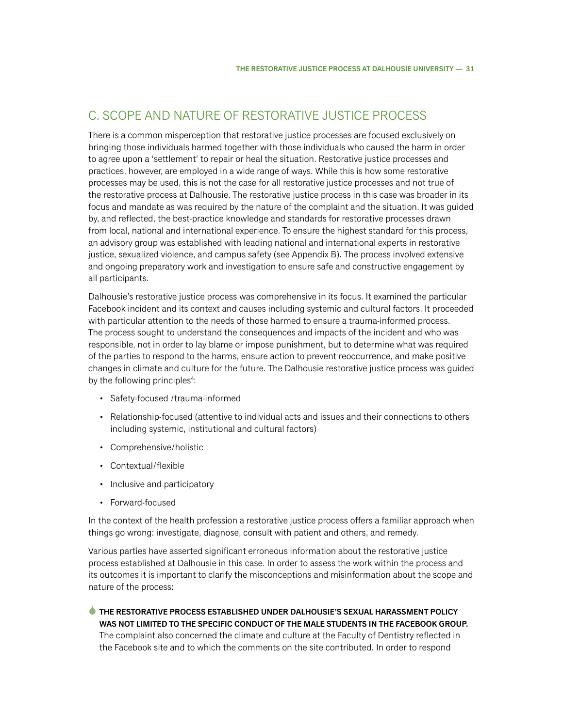### <span id="page-32-0"></span>C. Scope and Nature of Restorative Justice Process

There is a common misperception that restorative justice processes are focused exclusively on bringing those individuals harmed together with those individuals who caused the harm in order to agree upon a 'settlement' to repair or heal the situation. Restorative justice processes and practices, however, are employed in a wide range of ways. While this is how some restorative processes may be used, this is not the case for all restorative justice processes and not true of the restorative process at Dalhousie. The restorative justice process in this case was broader in its focus and mandate as was required by the nature of the complaint and the situation. It was guided by, and reflected, the best-practice knowledge and standards for restorative processes drawn from local, national and international experience. To ensure the highest standard for this process, an advisory group was established with leading national and international experts in restorative justice, sexualized violence, and campus safety (see Appendix B). The process involved extensive and ongoing preparatory work and investigation to ensure safe and constructive engagement by all participants.

Dalhousie's restorative justice process was comprehensive in its focus. It examined the particular Facebook incident and its context and causes including systemic and cultural factors. It proceeded with particular attention to the needs of those harmed to ensure a trauma-informed process. The process sought to understand the consequences and impacts of the incident and who was responsible, not in order to lay blame or impose punishment, but to determine what was required of the parties to respond to the harms, ensure action to prevent reoccurrence, and make positive changes in climate and culture for the future. The Dalhousie restorative justice process was guided by the following principles<sup>4</sup>:

- • Safety-focused /trauma-informed
- • Relationship-focused (attentive to individual acts and issues and their connections to others including systemic, institutional and cultural factors)
- • Comprehensive/holistic
- • Contextual/flexible
- Inclusive and participatory
- Forward-focused

In the context of the health profession a restorative justice process offers a familiar approach when things go wrong: investigate, diagnose, consult with patient and others, and remedy.

Various parties have asserted significant erroneous information about the restorative justice process established at Dalhousie in this case. In order to assess the work within the process and its outcomes it is important to clarify the misconceptions and misinformation about the scope and nature of the process:

6 **The restorative process established under Dalhousie's Sexual Harassment Policy was not limited to the specific conduct of the male students in the Facebook group.**

The complaint also concerned the climate and culture at the Faculty of Dentistry reflected in the Facebook site and to which the comments on the site contributed. In order to respond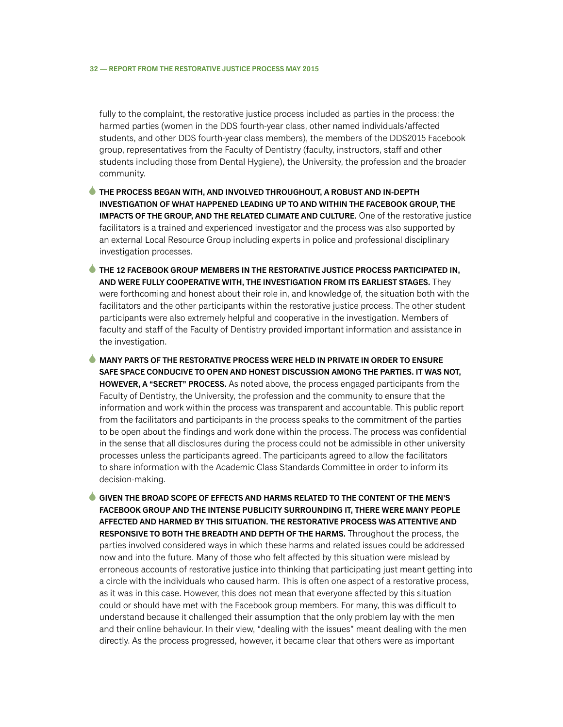fully to the complaint, the restorative justice process included as parties in the process: the harmed parties (women in the DDS fourth-year class, other named individuals/affected students, and other DDS fourth-year class members), the members of the DDS2015 Facebook group, representatives from the Faculty of Dentistry (faculty, instructors, staff and other students including those from Dental Hygiene), the University, the profession and the broader community.

6 **The process began with, and involved throughout, a robust and in-depth investigation of what happened leading up to and within the Facebook group, the impacts of the group, and the related climate and culture.** One of the restorative justice facilitators is a trained and experienced investigator and the process was also supported by an external Local Resource Group including experts in police and professional disciplinary investigation processes.

- 6 **The 12 Facebook group members in the restorative justice process participated in, and were fully cooperative with, the investigation from its earliest stages.** They were forthcoming and honest about their role in, and knowledge of, the situation both with the facilitators and the other participants within the restorative justice process. The other student participants were also extremely helpful and cooperative in the investigation. Members of faculty and staff of the Faculty of Dentistry provided important information and assistance in the investigation.
- 6 **Many parts of the restorative process were held in private in order to ensure safe space conducive to open and honest discussion among the parties. It was not, however, a "secret" process.** As noted above, the process engaged participants from the Faculty of Dentistry, the University, the profession and the community to ensure that the information and work within the process was transparent and accountable. This public report from the facilitators and participants in the process speaks to the commitment of the parties to be open about the findings and work done within the process. The process was confidential in the sense that all disclosures during the process could not be admissible in other university processes unless the participants agreed. The participants agreed to allow the facilitators to share information with the Academic Class Standards Committee in order to inform its decision-making.

6 **Given the broad scope of effects and harms related to the content of the men's Facebook group and the intense publicity surrounding it, there were many people affected and harmed by this situation. The restorative process was attentive and responsive to both the breadth and depth of the harms.** Throughout the process, the parties involved considered ways in which these harms and related issues could be addressed now and into the future. Many of those who felt affected by this situation were mislead by erroneous accounts of restorative justice into thinking that participating just meant getting into a circle with the individuals who caused harm. This is often one aspect of a restorative process, as it was in this case. However, this does not mean that everyone affected by this situation could or should have met with the Facebook group members. For many, this was difficult to understand because it challenged their assumption that the only problem lay with the men and their online behaviour. In their view, "dealing with the issues" meant dealing with the men directly. As the process progressed, however, it became clear that others were as important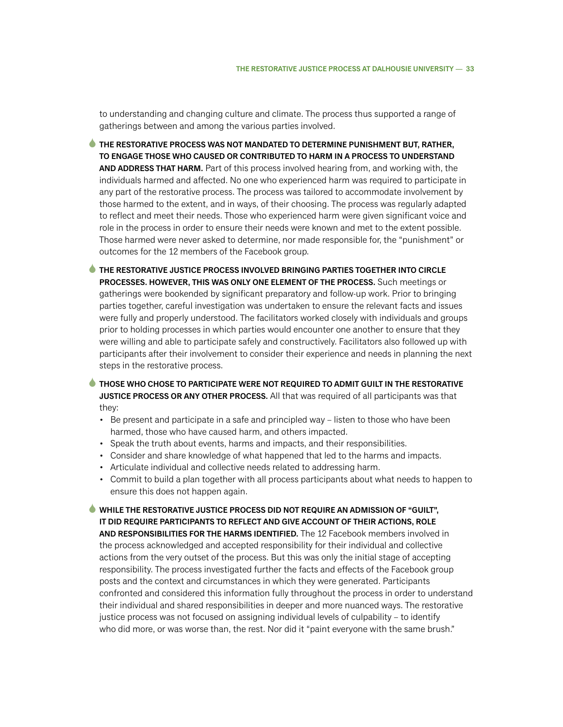to understanding and changing culture and climate. The process thus supported a range of gatherings between and among the various parties involved.

- 6 **The restorative process was not mandated to determine punishment but, rather, to engage those who caused or contributed to harm in a process to understand and address that harm.** Part of this process involved hearing from, and working with, the individuals harmed and affected. No one who experienced harm was required to participate in any part of the restorative process. The process was tailored to accommodate involvement by those harmed to the extent, and in ways, of their choosing. The process was regularly adapted to reflect and meet their needs. Those who experienced harm were given significant voice and role in the process in order to ensure their needs were known and met to the extent possible. Those harmed were never asked to determine, nor made responsible for, the "punishment" or outcomes for the 12 members of the Facebook group.
- 6 **The restorative justice process involved bringing parties together into circle processes. However, this was only one element of the process.** Such meetings or gatherings were bookended by significant preparatory and follow-up work. Prior to bringing parties together, careful investigation was undertaken to ensure the relevant facts and issues were fully and properly understood. The facilitators worked closely with individuals and groups prior to holding processes in which parties would encounter one another to ensure that they were willing and able to participate safely and constructively. Facilitators also followed up with participants after their involvement to consider their experience and needs in planning the next steps in the restorative process.
- 6 **Those who chose to participate were not required to admit guilt in the restorative JUSTICE PROCESS OR ANY OTHER PROCESS.** All that was required of all participants was that they:
	- Be present and participate in a safe and principled way listen to those who have been harmed, those who have caused harm, and others impacted.
	- Speak the truth about events, harms and impacts, and their responsibilities.
	- • Consider and share knowledge of what happened that led to the harms and impacts.
	- Articulate individual and collective needs related to addressing harm.
	- • Commit to build a plan together with all process participants about what needs to happen to ensure this does not happen again.

6 **While the restorative justice process did not require an admission of "guilt", it did require participants to reflect and give account of their actions, role and responsibilities for the harms identified.** The 12 Facebook members involved in the process acknowledged and accepted responsibility for their individual and collective actions from the very outset of the process. But this was only the initial stage of accepting responsibility. The process investigated further the facts and effects of the Facebook group posts and the context and circumstances in which they were generated. Participants confronted and considered this information fully throughout the process in order to understand their individual and shared responsibilities in deeper and more nuanced ways. The restorative justice process was not focused on assigning individual levels of culpability – to identify who did more, or was worse than, the rest. Nor did it "paint everyone with the same brush."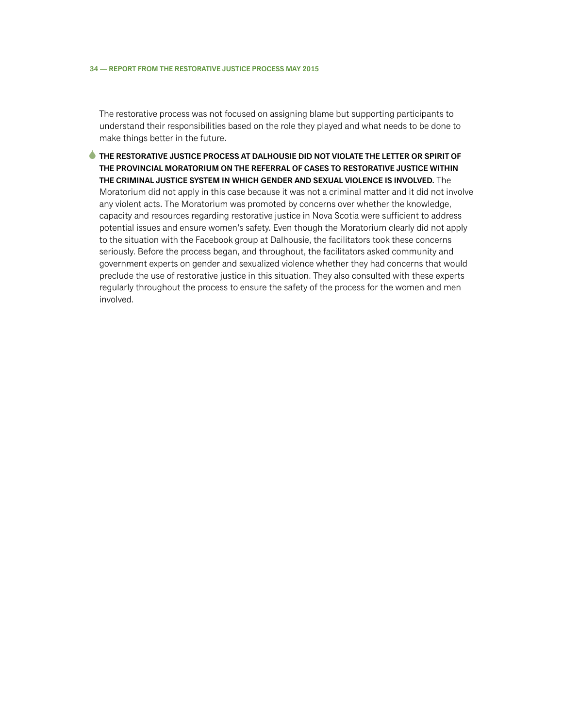The restorative process was not focused on assigning blame but supporting participants to understand their responsibilities based on the role they played and what needs to be done to make things better in the future.

6 **The restorative justice process at Dalhousie did not violate the letter or spirit of the Provincial Moratorium on the referral of cases to restorative justice within the criminal justice system in which gender and sexual violence is involved.** The Moratorium did not apply in this case because it was not a criminal matter and it did not involve any violent acts. The Moratorium was promoted by concerns over whether the knowledge, capacity and resources regarding restorative justice in Nova Scotia were sufficient to address potential issues and ensure women's safety. Even though the Moratorium clearly did not apply to the situation with the Facebook group at Dalhousie, the facilitators took these concerns seriously. Before the process began, and throughout, the facilitators asked community and government experts on gender and sexualized violence whether they had concerns that would preclude the use of restorative justice in this situation. They also consulted with these experts regularly throughout the process to ensure the safety of the process for the women and men involved.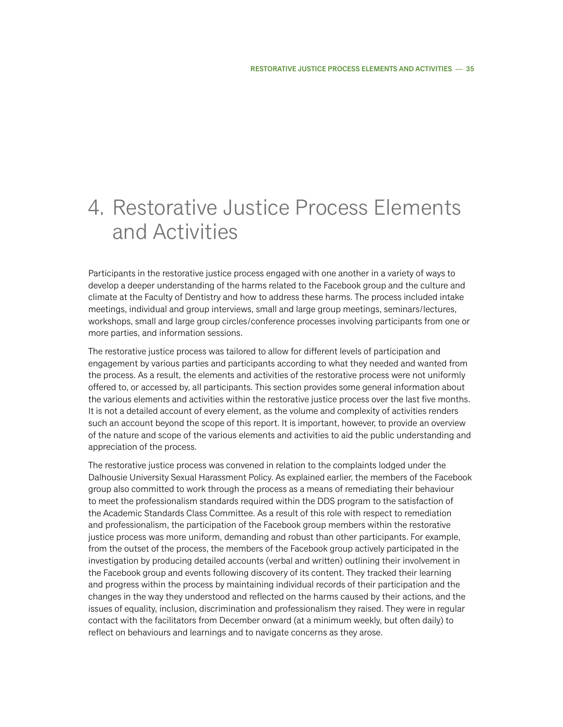# 4. Restorative Justice Process Elements and Activities

Participants in the restorative justice process engaged with one another in a variety of ways to develop a deeper understanding of the harms related to the Facebook group and the culture and climate at the Faculty of Dentistry and how to address these harms. The process included intake meetings, individual and group interviews, small and large group meetings, seminars/lectures, workshops, small and large group circles/conference processes involving participants from one or more parties, and information sessions.

The restorative justice process was tailored to allow for different levels of participation and engagement by various parties and participants according to what they needed and wanted from the process. As a result, the elements and activities of the restorative process were not uniformly offered to, or accessed by, all participants. This section provides some general information about the various elements and activities within the restorative justice process over the last five months. It is not a detailed account of every element, as the volume and complexity of activities renders such an account beyond the scope of this report. It is important, however, to provide an overview of the nature and scope of the various elements and activities to aid the public understanding and appreciation of the process.

The restorative justice process was convened in relation to the complaints lodged under the Dalhousie University Sexual Harassment Policy. As explained earlier, the members of the Facebook group also committed to work through the process as a means of remediating their behaviour to meet the professionalism standards required within the DDS program to the satisfaction of the Academic Standards Class Committee. As a result of this role with respect to remediation and professionalism, the participation of the Facebook group members within the restorative justice process was more uniform, demanding and robust than other participants. For example, from the outset of the process, the members of the Facebook group actively participated in the investigation by producing detailed accounts (verbal and written) outlining their involvement in the Facebook group and events following discovery of its content. They tracked their learning and progress within the process by maintaining individual records of their participation and the changes in the way they understood and reflected on the harms caused by their actions, and the issues of equality, inclusion, discrimination and professionalism they raised. They were in regular contact with the facilitators from December onward (at a minimum weekly, but often daily) to reflect on behaviours and learnings and to navigate concerns as they arose.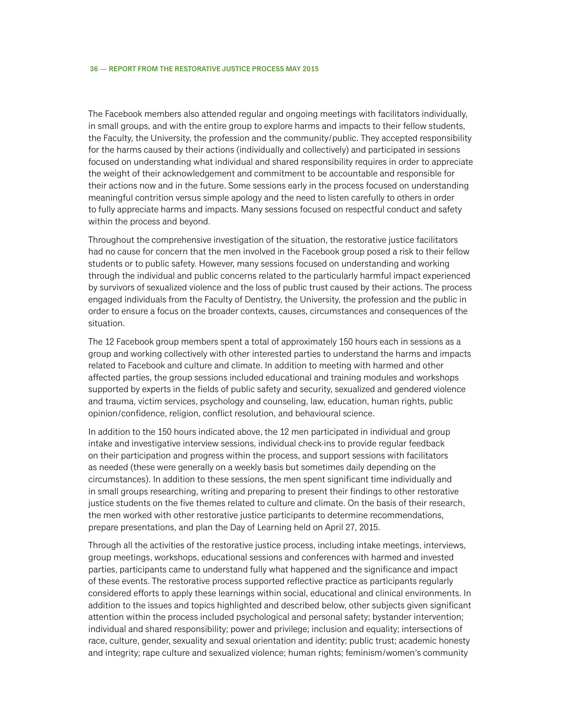The Facebook members also attended regular and ongoing meetings with facilitators individually, in small groups, and with the entire group to explore harms and impacts to their fellow students, the Faculty, the University, the profession and the community/public. They accepted responsibility for the harms caused by their actions (individually and collectively) and participated in sessions focused on understanding what individual and shared responsibility requires in order to appreciate the weight of their acknowledgement and commitment to be accountable and responsible for their actions now and in the future. Some sessions early in the process focused on understanding meaningful contrition versus simple apology and the need to listen carefully to others in order to fully appreciate harms and impacts. Many sessions focused on respectful conduct and safety within the process and beyond.

Throughout the comprehensive investigation of the situation, the restorative justice facilitators had no cause for concern that the men involved in the Facebook group posed a risk to their fellow students or to public safety. However, many sessions focused on understanding and working through the individual and public concerns related to the particularly harmful impact experienced by survivors of sexualized violence and the loss of public trust caused by their actions. The process engaged individuals from the Faculty of Dentistry, the University, the profession and the public in order to ensure a focus on the broader contexts, causes, circumstances and consequences of the situation.

The 12 Facebook group members spent a total of approximately 150 hours each in sessions as a group and working collectively with other interested parties to understand the harms and impacts related to Facebook and culture and climate. In addition to meeting with harmed and other affected parties, the group sessions included educational and training modules and workshops supported by experts in the fields of public safety and security, sexualized and gendered violence and trauma, victim services, psychology and counseling, law, education, human rights, public opinion/confidence, religion, conflict resolution, and behavioural science.

In addition to the 150 hours indicated above, the 12 men participated in individual and group intake and investigative interview sessions, individual check-ins to provide regular feedback on their participation and progress within the process, and support sessions with facilitators as needed (these were generally on a weekly basis but sometimes daily depending on the circumstances). In addition to these sessions, the men spent significant time individually and in small groups researching, writing and preparing to present their findings to other restorative justice students on the five themes related to culture and climate. On the basis of their research, the men worked with other restorative justice participants to determine recommendations, prepare presentations, and plan the Day of Learning held on April 27, 2015.

Through all the activities of the restorative justice process, including intake meetings, interviews, group meetings, workshops, educational sessions and conferences with harmed and invested parties, participants came to understand fully what happened and the significance and impact of these events. The restorative process supported reflective practice as participants regularly considered efforts to apply these learnings within social, educational and clinical environments. In addition to the issues and topics highlighted and described below, other subjects given significant attention within the process included psychological and personal safety; bystander intervention; individual and shared responsibility; power and privilege; inclusion and equality; intersections of race, culture, gender, sexuality and sexual orientation and identity; public trust; academic honesty and integrity; rape culture and sexualized violence; human rights; feminism/women's community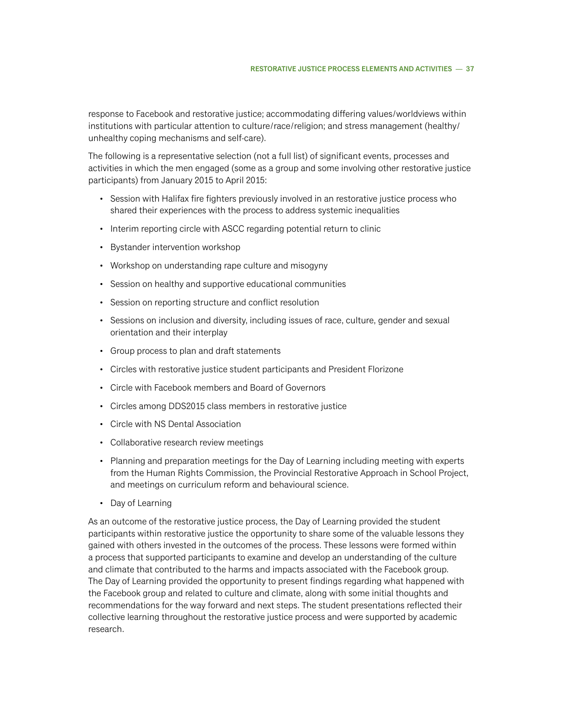response to Facebook and restorative justice; accommodating differing values/worldviews within institutions with particular attention to culture/race/religion; and stress management (healthy/ unhealthy coping mechanisms and self-care).

The following is a representative selection (not a full list) of significant events, processes and activities in which the men engaged (some as a group and some involving other restorative justice participants) from January 2015 to April 2015:

- Session with Halifax fire fighters previously involved in an restorative justice process who shared their experiences with the process to address systemic inequalities
- Interim reporting circle with ASCC regarding potential return to clinic
- • Bystander intervention workshop
- Workshop on understanding rape culture and misogyny
- Session on healthy and supportive educational communities
- Session on reporting structure and conflict resolution
- • Sessions on inclusion and diversity, including issues of race, culture, gender and sexual orientation and their interplay
- • Group process to plan and draft statements
- Circles with restorative justice student participants and President Florizone
- • Circle with Facebook members and Board of Governors
- Circles among DDS2015 class members in restorative justice
- Circle with NS Dental Association
- Collaborative research review meetings
- Planning and preparation meetings for the Day of Learning including meeting with experts from the Human Rights Commission, the Provincial Restorative Approach in School Project, and meetings on curriculum reform and behavioural science.
- Day of Learning

As an outcome of the restorative justice process, the Day of Learning provided the student participants within restorative justice the opportunity to share some of the valuable lessons they gained with others invested in the outcomes of the process. These lessons were formed within a process that supported participants to examine and develop an understanding of the culture and climate that contributed to the harms and impacts associated with the Facebook group. The Day of Learning provided the opportunity to present findings regarding what happened with the Facebook group and related to culture and climate, along with some initial thoughts and recommendations for the way forward and next steps. The student presentations reflected their collective learning throughout the restorative justice process and were supported by academic research.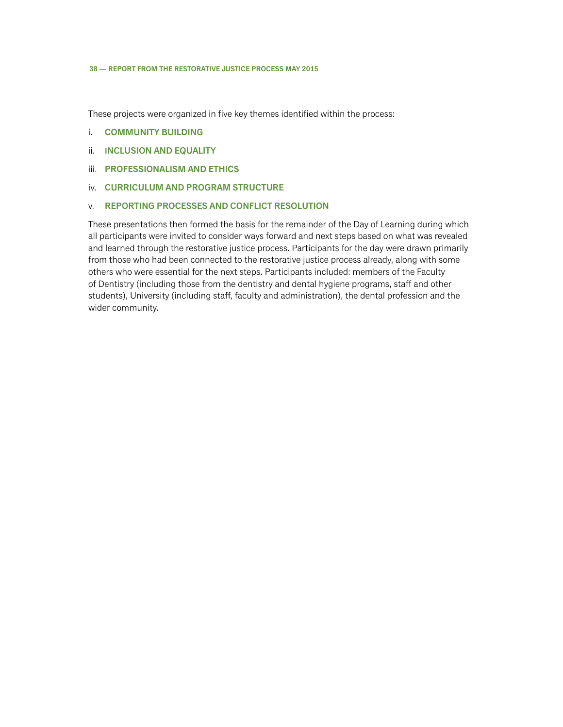These projects were organized in five key themes identified within the process:

- i. **Community Building**
- ii. **Inclusion and Equality**
- iii. **Professionalism and Ethics**
- iv. **Curriculum and Program Structure**

### v. **Reporting Processes and Conflict Resolution**

These presentations then formed the basis for the remainder of the Day of Learning during which all participants were invited to consider ways forward and next steps based on what was revealed and learned through the restorative justice process. Participants for the day were drawn primarily from those who had been connected to the restorative justice process already, along with some others who were essential for the next steps. Participants included: members of the Faculty of Dentistry (including those from the dentistry and dental hygiene programs, staff and other students), University (including staff, faculty and administration), the dental profession and the wider community.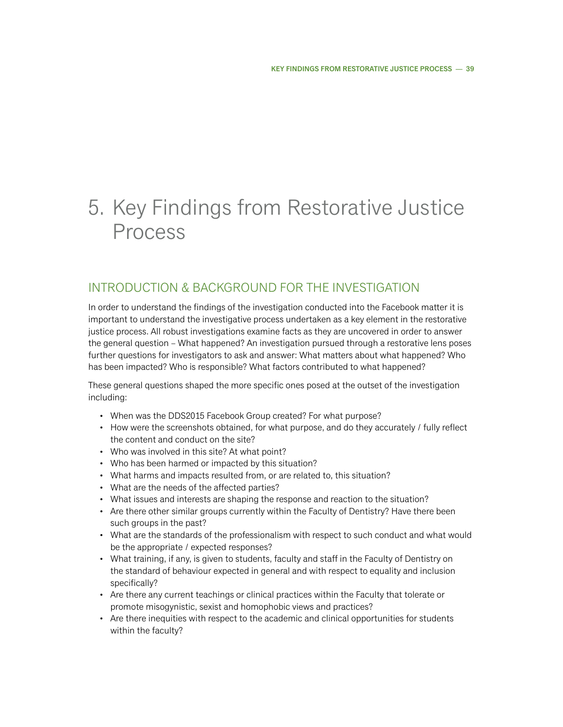# 5. Key Findings from Restorative Justice Process

## Introduction & Background for the Investigation

In order to understand the findings of the investigation conducted into the Facebook matter it is important to understand the investigative process undertaken as a key element in the restorative justice process. All robust investigations examine facts as they are uncovered in order to answer the general question – What happened? An investigation pursued through a restorative lens poses further questions for investigators to ask and answer: What matters about what happened? Who has been impacted? Who is responsible? What factors contributed to what happened?

These general questions shaped the more specific ones posed at the outset of the investigation including:

- When was the DDS2015 Facebook Group created? For what purpose?
- How were the screenshots obtained, for what purpose, and do they accurately / fully reflect the content and conduct on the site?
- Who was involved in this site? At what point?
- Who has been harmed or impacted by this situation?
- What harms and impacts resulted from, or are related to, this situation?
- • What are the needs of the affected parties?
- What issues and interests are shaping the response and reaction to the situation?
- Are there other similar groups currently within the Faculty of Dentistry? Have there been such groups in the past?
- • What are the standards of the professionalism with respect to such conduct and what would be the appropriate / expected responses?
- What training, if any, is given to students, faculty and staff in the Faculty of Dentistry on the standard of behaviour expected in general and with respect to equality and inclusion specifically?
- • Are there any current teachings or clinical practices within the Faculty that tolerate or promote misogynistic, sexist and homophobic views and practices?
- • Are there inequities with respect to the academic and clinical opportunities for students within the faculty?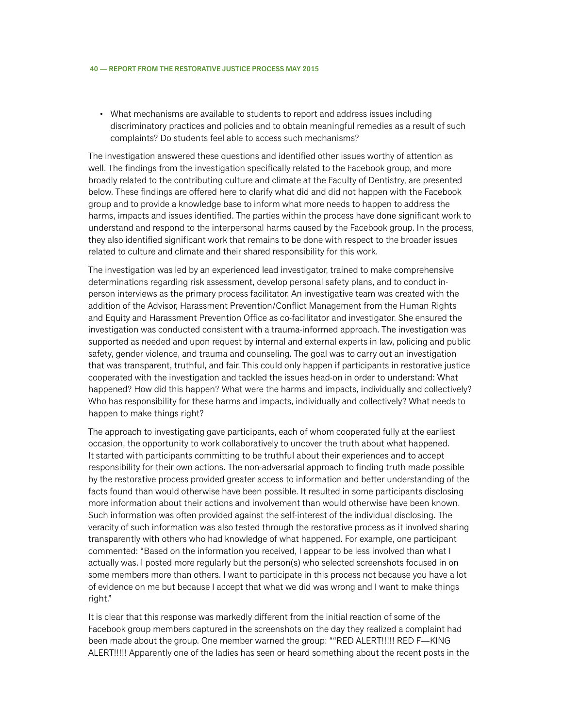• What mechanisms are available to students to report and address issues including discriminatory practices and policies and to obtain meaningful remedies as a result of such complaints? Do students feel able to access such mechanisms?

The investigation answered these questions and identified other issues worthy of attention as well. The findings from the investigation specifically related to the Facebook group, and more broadly related to the contributing culture and climate at the Faculty of Dentistry, are presented below. These findings are offered here to clarify what did and did not happen with the Facebook group and to provide a knowledge base to inform what more needs to happen to address the harms, impacts and issues identified. The parties within the process have done significant work to understand and respond to the interpersonal harms caused by the Facebook group. In the process, they also identified significant work that remains to be done with respect to the broader issues related to culture and climate and their shared responsibility for this work.

The investigation was led by an experienced lead investigator, trained to make comprehensive determinations regarding risk assessment, develop personal safety plans, and to conduct inperson interviews as the primary process facilitator. An investigative team was created with the addition of the Advisor, Harassment Prevention/Conflict Management from the Human Rights and Equity and Harassment Prevention Office as co-facilitator and investigator. She ensured the investigation was conducted consistent with a trauma-informed approach. The investigation was supported as needed and upon request by internal and external experts in law, policing and public safety, gender violence, and trauma and counseling. The goal was to carry out an investigation that was transparent, truthful, and fair. This could only happen if participants in restorative justice cooperated with the investigation and tackled the issues head-on in order to understand: What happened? How did this happen? What were the harms and impacts, individually and collectively? Who has responsibility for these harms and impacts, individually and collectively? What needs to happen to make things right?

The approach to investigating gave participants, each of whom cooperated fully at the earliest occasion, the opportunity to work collaboratively to uncover the truth about what happened. It started with participants committing to be truthful about their experiences and to accept responsibility for their own actions. The non-adversarial approach to finding truth made possible by the restorative process provided greater access to information and better understanding of the facts found than would otherwise have been possible. It resulted in some participants disclosing more information about their actions and involvement than would otherwise have been known. Such information was often provided against the self-interest of the individual disclosing. The veracity of such information was also tested through the restorative process as it involved sharing transparently with others who had knowledge of what happened. For example, one participant commented: "Based on the information you received, I appear to be less involved than what I actually was. I posted more regularly but the person(s) who selected screenshots focused in on some members more than others. I want to participate in this process not because you have a lot of evidence on me but because I accept that what we did was wrong and I want to make things right."

It is clear that this response was markedly different from the initial reaction of some of the Facebook group members captured in the screenshots on the day they realized a complaint had been made about the group. One member warned the group: ""RED ALERT!!!!! RED F—KING ALERT!!!!! Apparently one of the ladies has seen or heard something about the recent posts in the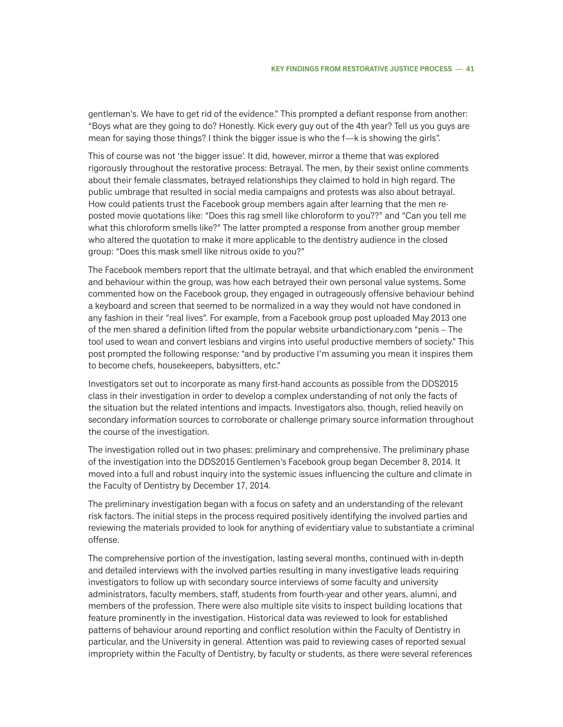gentleman's. We have to get rid of the evidence." This prompted a defiant response from another: "Boys what are they going to do? Honestly. Kick every guy out of the 4th year? Tell us you guys are mean for saying those things? I think the bigger issue is who the f—k is showing the girls".

This of course was not 'the bigger issue'. It did, however, mirror a theme that was explored rigorously throughout the restorative process: Betrayal. The men, by their sexist online comments about their female classmates, betrayed relationships they claimed to hold in high regard. The public umbrage that resulted in social media campaigns and protests was also about betrayal. How could patients trust the Facebook group members again after learning that the men reposted movie quotations like: "Does this rag smell like chloroform to you??" and "Can you tell me what this chloroform smells like?" The latter prompted a response from another group member who altered the quotation to make it more applicable to the dentistry audience in the closed group: "Does this mask smell like nitrous oxide to you?"

The Facebook members report that the ultimate betrayal, and that which enabled the environment and behaviour within the group, was how each betrayed their own personal value systems. Some commented how on the Facebook group, they engaged in outrageously offensive behaviour behind a keyboard and screen that seemed to be normalized in a way they would not have condoned in any fashion in their "real lives". For example, from a Facebook group post uploaded May 2013 one of the men shared a definition lifted from the popular website<urbandictionary.com> "penis – The tool used to wean and convert lesbians and virgins into useful productive members of society." This post prompted the following response*:* "and by productive I'm assuming you mean it inspires them to become chefs, housekeepers, babysitters, etc."

Investigators set out to incorporate as many first-hand accounts as possible from the DDS2015 class in their investigation in order to develop a complex understanding of not only the facts of the situation but the related intentions and impacts. Investigators also, though, relied heavily on secondary information sources to corroborate or challenge primary source information throughout the course of the investigation.

The investigation rolled out in two phases: preliminary and comprehensive. The preliminary phase of the investigation into the DDS2015 Gentlemen's Facebook group began December 8, 2014. It moved into a full and robust inquiry into the systemic issues influencing the culture and climate in the Faculty of Dentistry by December 17, 2014.

The preliminary investigation began with a focus on safety and an understanding of the relevant risk factors. The initial steps in the process required positively identifying the involved parties and reviewing the materials provided to look for anything of evidentiary value to substantiate a criminal offense.

The comprehensive portion of the investigation, lasting several months, continued with in-depth and detailed interviews with the involved parties resulting in many investigative leads requiring investigators to follow up with secondary source interviews of some faculty and university administrators, faculty members, staff, students from fourth-year and other years, alumni, and members of the profession. There were also multiple site visits to inspect building locations that feature prominently in the investigation. Historical data was reviewed to look for established patterns of behaviour around reporting and conflict resolution within the Faculty of Dentistry in particular, and the University in general. Attention was paid to reviewing cases of reported sexual impropriety within the Faculty of Dentistry, by faculty or students, as there were several references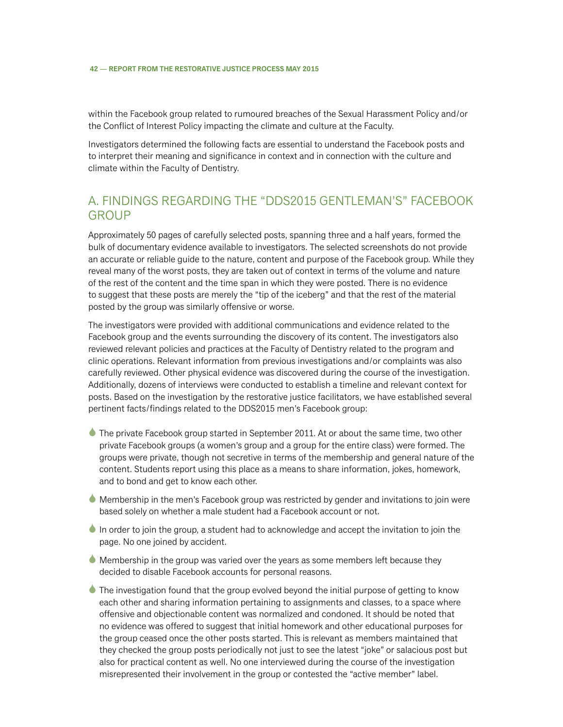within the Facebook group related to rumoured breaches of the Sexual Harassment Policy and/or the Conflict of Interest Policy impacting the climate and culture at the Faculty.

Investigators determined the following facts are essential to understand the Facebook posts and to interpret their meaning and significance in context and in connection with the culture and climate within the Faculty of Dentistry.

# A. Findings Regarding the "DDS2015 Gentleman's" Facebook **GROUP**

Approximately 50 pages of carefully selected posts, spanning three and a half years, formed the bulk of documentary evidence available to investigators. The selected screenshots do not provide an accurate or reliable guide to the nature, content and purpose of the Facebook group. While they reveal many of the worst posts, they are taken out of context in terms of the volume and nature of the rest of the content and the time span in which they were posted. There is no evidence to suggest that these posts are merely the "tip of the iceberg" and that the rest of the material posted by the group was similarly offensive or worse.

The investigators were provided with additional communications and evidence related to the Facebook group and the events surrounding the discovery of its content. The investigators also reviewed relevant policies and practices at the Faculty of Dentistry related to the program and clinic operations. Relevant information from previous investigations and/or complaints was also carefully reviewed. Other physical evidence was discovered during the course of the investigation. Additionally, dozens of interviews were conducted to establish a timeline and relevant context for posts. Based on the investigation by the restorative justice facilitators, we have established several pertinent facts/findings related to the DDS2015 men's Facebook group:

- The private Facebook group started in September 2011. At or about the same time, two other private Facebook groups (a women's group and a group for the entire class) were formed. The groups were private, though not secretive in terms of the membership and general nature of the content. Students report using this place as a means to share information, jokes, homework, and to bond and get to know each other.
- $\bullet$  Membership in the men's Facebook group was restricted by gender and invitations to join were based solely on whether a male student had a Facebook account or not.
- In order to join the group, a student had to acknowledge and accept the invitation to join the page. No one joined by accident.
- 6 Membership in the group was varied over the years as some members left because they decided to disable Facebook accounts for personal reasons.
- The investigation found that the group evolved beyond the initial purpose of getting to know each other and sharing information pertaining to assignments and classes, to a space where offensive and objectionable content was normalized and condoned. It should be noted that no evidence was offered to suggest that initial homework and other educational purposes for the group ceased once the other posts started. This is relevant as members maintained that they checked the group posts periodically not just to see the latest "joke" or salacious post but also for practical content as well. No one interviewed during the course of the investigation misrepresented their involvement in the group or contested the "active member" label.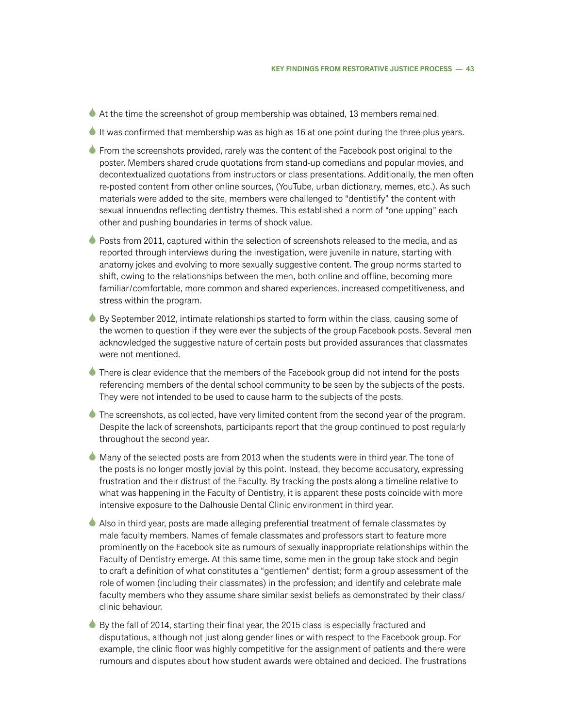- 6 At the time the screenshot of group membership was obtained, 13 members remained.
- It was confirmed that membership was as high as 16 at one point during the three-plus years.
- **From the screenshots provided, rarely was the content of the Facebook post original to the** poster. Members shared crude quotations from stand-up comedians and popular movies, and decontextualized quotations from instructors or class presentations. Additionally, the men often re-posted content from other online sources, (YouTube, urban dictionary, memes, etc.). As such materials were added to the site, members were challenged to "dentistify" the content with sexual innuendos reflecting dentistry themes. This established a norm of "one upping" each other and pushing boundaries in terms of shock value.
- **Posts from 2011, captured within the selection of screenshots released to the media, and as** reported through interviews during the investigation, were juvenile in nature, starting with anatomy jokes and evolving to more sexually suggestive content. The group norms started to shift, owing to the relationships between the men, both online and offline, becoming more familiar/comfortable, more common and shared experiences, increased competitiveness, and stress within the program.
- 6 By September 2012, intimate relationships started to form within the class, causing some of the women to question if they were ever the subjects of the group Facebook posts. Several men acknowledged the suggestive nature of certain posts but provided assurances that classmates were not mentioned.
- $\bullet$  There is clear evidence that the members of the Facebook group did not intend for the posts referencing members of the dental school community to be seen by the subjects of the posts. They were not intended to be used to cause harm to the subjects of the posts.
- The screenshots, as collected, have very limited content from the second year of the program. Despite the lack of screenshots, participants report that the group continued to post regularly throughout the second year.
- 6 Many of the selected posts are from 2013 when the students were in third year. The tone of the posts is no longer mostly jovial by this point. Instead, they become accusatory, expressing frustration and their distrust of the Faculty. By tracking the posts along a timeline relative to what was happening in the Faculty of Dentistry, it is apparent these posts coincide with more intensive exposure to the Dalhousie Dental Clinic environment in third year.
- 6 Also in third year, posts are made alleging preferential treatment of female classmates by male faculty members. Names of female classmates and professors start to feature more prominently on the Facebook site as rumours of sexually inappropriate relationships within the Faculty of Dentistry emerge. At this same time, some men in the group take stock and begin to craft a definition of what constitutes a "gentlemen" dentist; form a group assessment of the role of women (including their classmates) in the profession; and identify and celebrate male faculty members who they assume share similar sexist beliefs as demonstrated by their class/ clinic behaviour.
- By the fall of 2014, starting their final year, the 2015 class is especially fractured and disputatious, although not just along gender lines or with respect to the Facebook group. For example, the clinic floor was highly competitive for the assignment of patients and there were rumours and disputes about how student awards were obtained and decided. The frustrations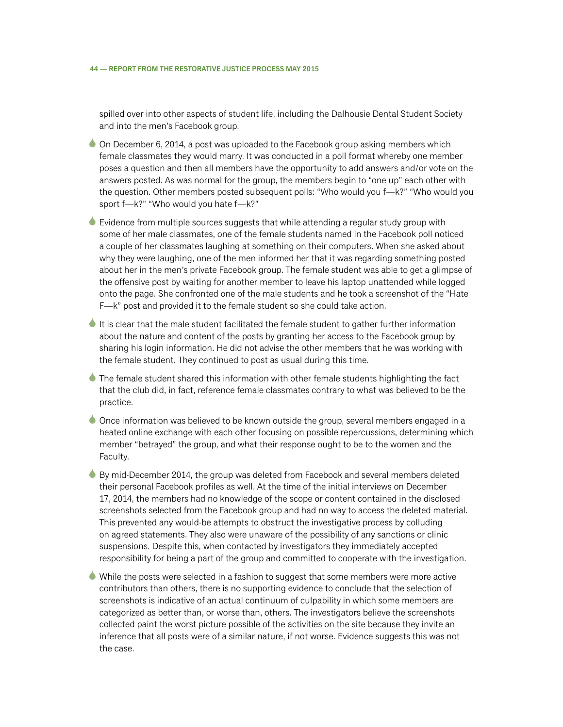spilled over into other aspects of student life, including the Dalhousie Dental Student Society and into the men's Facebook group.

- $\bullet$  On December 6, 2014, a post was uploaded to the Facebook group asking members which female classmates they would marry. It was conducted in a poll format whereby one member poses a question and then all members have the opportunity to add answers and/or vote on the answers posted. As was normal for the group, the members begin to "one up" each other with the question. Other members posted subsequent polls: "Who would you f—k?" "Who would you sport f—k?" "Who would you hate f—k?"
- 6 Evidence from multiple sources suggests that while attending a regular study group with some of her male classmates, one of the female students named in the Facebook poll noticed a couple of her classmates laughing at something on their computers. When she asked about why they were laughing, one of the men informed her that it was regarding something posted about her in the men's private Facebook group. The female student was able to get a glimpse of the offensive post by waiting for another member to leave his laptop unattended while logged onto the page. She confronted one of the male students and he took a screenshot of the "Hate F—k" post and provided it to the female student so she could take action.
- $\bullet$  It is clear that the male student facilitated the female student to gather further information about the nature and content of the posts by granting her access to the Facebook group by sharing his login information. He did not advise the other members that he was working with the female student. They continued to post as usual during this time.
- The female student shared this information with other female students highlighting the fact that the club did, in fact, reference female classmates contrary to what was believed to be the practice.
- 6 Once information was believed to be known outside the group, several members engaged in a heated online exchange with each other focusing on possible repercussions, determining which member "betrayed" the group, and what their response ought to be to the women and the Faculty.
- 6 By mid-December 2014, the group was deleted from Facebook and several members deleted their personal Facebook profiles as well. At the time of the initial interviews on December 17, 2014, the members had no knowledge of the scope or content contained in the disclosed screenshots selected from the Facebook group and had no way to access the deleted material. This prevented any would-be attempts to obstruct the investigative process by colluding on agreed statements. They also were unaware of the possibility of any sanctions or clinic suspensions. Despite this, when contacted by investigators they immediately accepted responsibility for being a part of the group and committed to cooperate with the investigation.
- 6 While the posts were selected in a fashion to suggest that some members were more active contributors than others, there is no supporting evidence to conclude that the selection of screenshots is indicative of an actual continuum of culpability in which some members are categorized as better than, or worse than, others. The investigators believe the screenshots collected paint the worst picture possible of the activities on the site because they invite an inference that all posts were of a similar nature, if not worse. Evidence suggests this was not the case.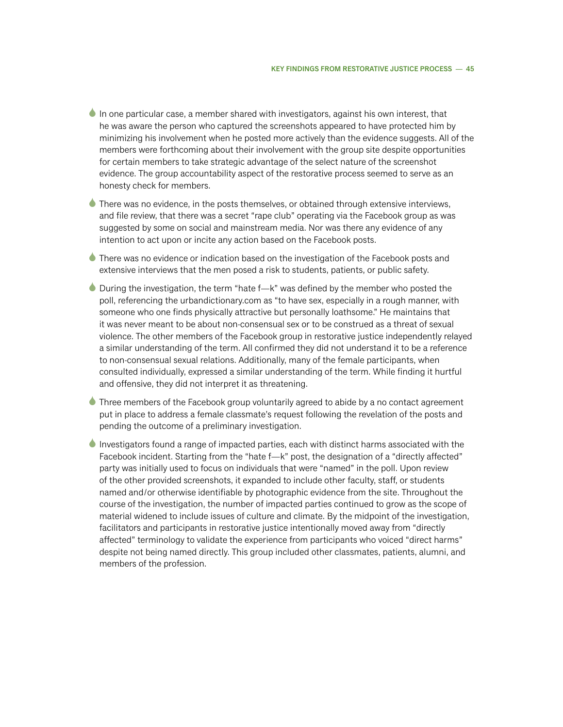- $\bullet$  In one particular case, a member shared with investigators, against his own interest, that he was aware the person who captured the screenshots appeared to have protected him by minimizing his involvement when he posted more actively than the evidence suggests. All of the members were forthcoming about their involvement with the group site despite opportunities for certain members to take strategic advantage of the select nature of the screenshot evidence. The group accountability aspect of the restorative process seemed to serve as an honesty check for members.
- 6 There was no evidence, in the posts themselves, or obtained through extensive interviews, and file review, that there was a secret "rape club" operating via the Facebook group as was suggested by some on social and mainstream media. Nor was there any evidence of any intention to act upon or incite any action based on the Facebook posts.
- There was no evidence or indication based on the investigation of the Facebook posts and extensive interviews that the men posed a risk to students, patients, or public safety.
- **During the investigation, the term "hate f—k" was defined by the member who posted the** poll, referencing the<urbandictionary.com> as "to have sex, especially in a rough manner, with someone who one finds physically attractive but personally loathsome." He maintains that it was never meant to be about non-consensual sex or to be construed as a threat of sexual violence. The other members of the Facebook group in restorative justice independently relayed a similar understanding of the term. All confirmed they did not understand it to be a reference to non-consensual sexual relations. Additionally, many of the female participants, when consulted individually, expressed a similar understanding of the term. While finding it hurtful and offensive, they did not interpret it as threatening.
- 6 Three members of the Facebook group voluntarily agreed to abide by a no contact agreement put in place to address a female classmate's request following the revelation of the posts and pending the outcome of a preliminary investigation.
- **Investigators found a range of impacted parties, each with distinct harms associated with the** Facebook incident. Starting from the "hate f—k" post, the designation of a "directly affected" party was initially used to focus on individuals that were "named" in the poll. Upon review of the other provided screenshots, it expanded to include other faculty, staff, or students named and/or otherwise identifiable by photographic evidence from the site. Throughout the course of the investigation, the number of impacted parties continued to grow as the scope of material widened to include issues of culture and climate. By the midpoint of the investigation, facilitators and participants in restorative justice intentionally moved away from "directly affected" terminology to validate the experience from participants who voiced "direct harms" despite not being named directly. This group included other classmates, patients, alumni, and members of the profession.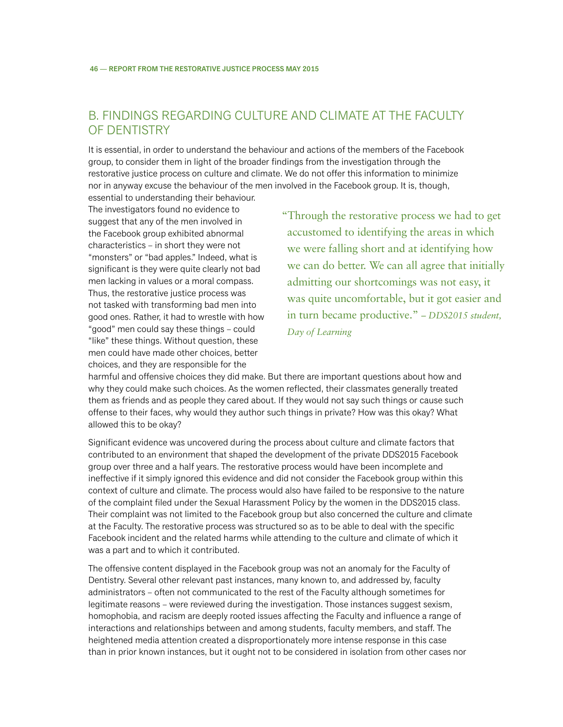# B. Findings Regarding Culture and Climate at the Faculty of Dentistry

It is essential, in order to understand the behaviour and actions of the members of the Facebook group, to consider them in light of the broader findings from the investigation through the restorative justice process on culture and climate. We do not offer this information to minimize nor in anyway excuse the behaviour of the men involved in the Facebook group. It is, though,

essential to understanding their behaviour. The investigators found no evidence to suggest that any of the men involved in the Facebook group exhibited abnormal characteristics – in short they were not "monsters" or "bad apples." Indeed, what is significant is they were quite clearly not bad men lacking in values or a moral compass. Thus, the restorative justice process was not tasked with transforming bad men into good ones. Rather, it had to wrestle with how "good" men could say these things – could "like" these things. Without question, these men could have made other choices, better choices, and they are responsible for the

"Through the restorative process we had to get accustomed to identifying the areas in which we were falling short and at identifying how we can do better. We can all agree that initially admitting our shortcomings was not easy, it was quite uncomfortable, but it got easier and in turn became productive." *– DDS2015 student, Day of Learning*

harmful and offensive choices they did make. But there are important questions about how and why they could make such choices. As the women reflected, their classmates generally treated them as friends and as people they cared about. If they would not say such things or cause such offense to their faces, why would they author such things in private? How was this okay? What allowed this to be okay?

Significant evidence was uncovered during the process about culture and climate factors that contributed to an environment that shaped the development of the private DDS2015 Facebook group over three and a half years. The restorative process would have been incomplete and ineffective if it simply ignored this evidence and did not consider the Facebook group within this context of culture and climate. The process would also have failed to be responsive to the nature of the complaint filed under the Sexual Harassment Policy by the women in the DDS2015 class. Their complaint was not limited to the Facebook group but also concerned the culture and climate at the Faculty. The restorative process was structured so as to be able to deal with the specific Facebook incident and the related harms while attending to the culture and climate of which it was a part and to which it contributed.

The offensive content displayed in the Facebook group was not an anomaly for the Faculty of Dentistry. Several other relevant past instances, many known to, and addressed by, faculty administrators – often not communicated to the rest of the Faculty although sometimes for legitimate reasons – were reviewed during the investigation. Those instances suggest sexism, homophobia, and racism are deeply rooted issues affecting the Faculty and influence a range of interactions and relationships between and among students, faculty members, and staff. The heightened media attention created a disproportionately more intense response in this case than in prior known instances, but it ought not to be considered in isolation from other cases nor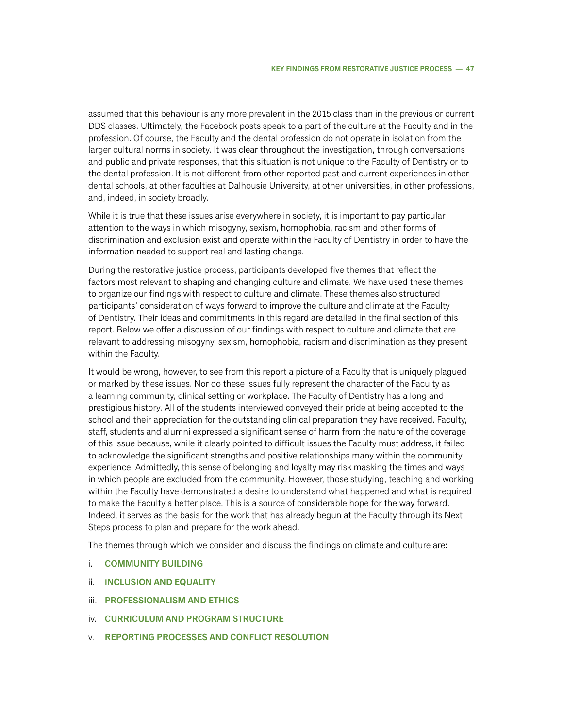assumed that this behaviour is any more prevalent in the 2015 class than in the previous or current DDS classes. Ultimately, the Facebook posts speak to a part of the culture at the Faculty and in the profession. Of course, the Faculty and the dental profession do not operate in isolation from the larger cultural norms in society. It was clear throughout the investigation, through conversations and public and private responses, that this situation is not unique to the Faculty of Dentistry or to the dental profession. It is not different from other reported past and current experiences in other dental schools, at other faculties at Dalhousie University, at other universities, in other professions, and, indeed, in society broadly.

While it is true that these issues arise everywhere in society, it is important to pay particular attention to the ways in which misogyny, sexism, homophobia, racism and other forms of discrimination and exclusion exist and operate within the Faculty of Dentistry in order to have the information needed to support real and lasting change.

During the restorative justice process, participants developed five themes that reflect the factors most relevant to shaping and changing culture and climate. We have used these themes to organize our findings with respect to culture and climate. These themes also structured participants' consideration of ways forward to improve the culture and climate at the Faculty of Dentistry. Their ideas and commitments in this regard are detailed in the final section of this report. Below we offer a discussion of our findings with respect to culture and climate that are relevant to addressing misogyny, sexism, homophobia, racism and discrimination as they present within the Faculty.

It would be wrong, however, to see from this report a picture of a Faculty that is uniquely plagued or marked by these issues. Nor do these issues fully represent the character of the Faculty as a learning community, clinical setting or workplace. The Faculty of Dentistry has a long and prestigious history. All of the students interviewed conveyed their pride at being accepted to the school and their appreciation for the outstanding clinical preparation they have received. Faculty, staff, students and alumni expressed a significant sense of harm from the nature of the coverage of this issue because, while it clearly pointed to difficult issues the Faculty must address, it failed to acknowledge the significant strengths and positive relationships many within the community experience. Admittedly, this sense of belonging and loyalty may risk masking the times and ways in which people are excluded from the community. However, those studying, teaching and working within the Faculty have demonstrated a desire to understand what happened and what is required to make the Faculty a better place. This is a source of considerable hope for the way forward. Indeed, it serves as the basis for the work that has already begun at the Faculty through its Next Steps process to plan and prepare for the work ahead.

The themes through which we consider and discuss the findings on climate and culture are:

- i. **Community Building**
- ii. **Inclusion and Equality**
- iii. **Professionalism and Ethics**
- iv. **Curriculum and Program Structure**
- v. **Reporting Processes and Conflict Resolution**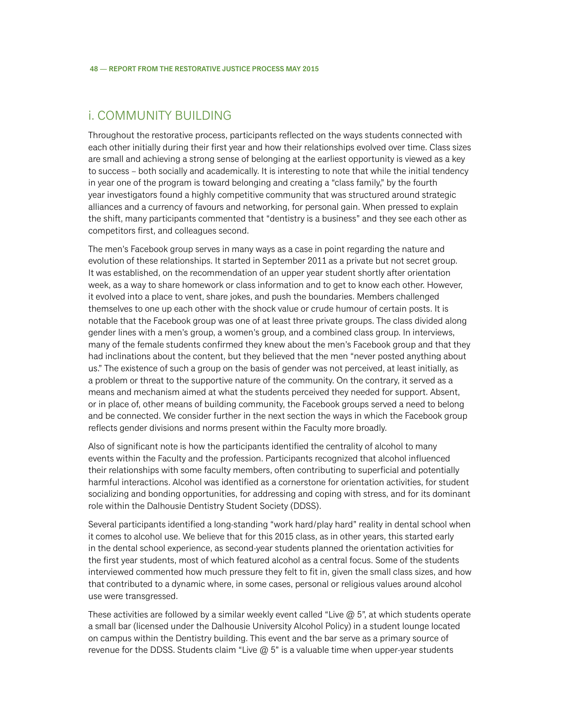## i. COMMUNITY BUILDING

Throughout the restorative process, participants reflected on the ways students connected with each other initially during their first year and how their relationships evolved over time. Class sizes are small and achieving a strong sense of belonging at the earliest opportunity is viewed as a key to success – both socially and academically. It is interesting to note that while the initial tendency in year one of the program is toward belonging and creating a "class family," by the fourth year investigators found a highly competitive community that was structured around strategic alliances and a currency of favours and networking, for personal gain. When pressed to explain the shift, many participants commented that "dentistry is a business" and they see each other as competitors first, and colleagues second.

The men's Facebook group serves in many ways as a case in point regarding the nature and evolution of these relationships. It started in September 2011 as a private but not secret group. It was established, on the recommendation of an upper year student shortly after orientation week, as a way to share homework or class information and to get to know each other. However, it evolved into a place to vent, share jokes, and push the boundaries. Members challenged themselves to one up each other with the shock value or crude humour of certain posts. It is notable that the Facebook group was one of at least three private groups. The class divided along gender lines with a men's group, a women's group, and a combined class group. In interviews, many of the female students confirmed they knew about the men's Facebook group and that they had inclinations about the content, but they believed that the men "never posted anything about us." The existence of such a group on the basis of gender was not perceived, at least initially, as a problem or threat to the supportive nature of the community. On the contrary, it served as a means and mechanism aimed at what the students perceived they needed for support. Absent, or in place of, other means of building community, the Facebook groups served a need to belong and be connected. We consider further in the next section the ways in which the Facebook group reflects gender divisions and norms present within the Faculty more broadly.

Also of significant note is how the participants identified the centrality of alcohol to many events within the Faculty and the profession. Participants recognized that alcohol influenced their relationships with some faculty members, often contributing to superficial and potentially harmful interactions. Alcohol was identified as a cornerstone for orientation activities, for student socializing and bonding opportunities, for addressing and coping with stress, and for its dominant role within the Dalhousie Dentistry Student Society (DDSS).

Several participants identified a long-standing "work hard/play hard" reality in dental school when it comes to alcohol use. We believe that for this 2015 class, as in other years, this started early in the dental school experience, as second-year students planned the orientation activities for the first year students, most of which featured alcohol as a central focus. Some of the students interviewed commented how much pressure they felt to fit in, given the small class sizes, and how that contributed to a dynamic where, in some cases, personal or religious values around alcohol use were transgressed.

These activities are followed by a similar weekly event called "Live  $\omega$  5", at which students operate a small bar (licensed under the Dalhousie University Alcohol Policy) in a student lounge located on campus within the Dentistry building. This event and the bar serve as a primary source of revenue for the DDSS. Students claim "Live  $@$  5" is a valuable time when upper-year students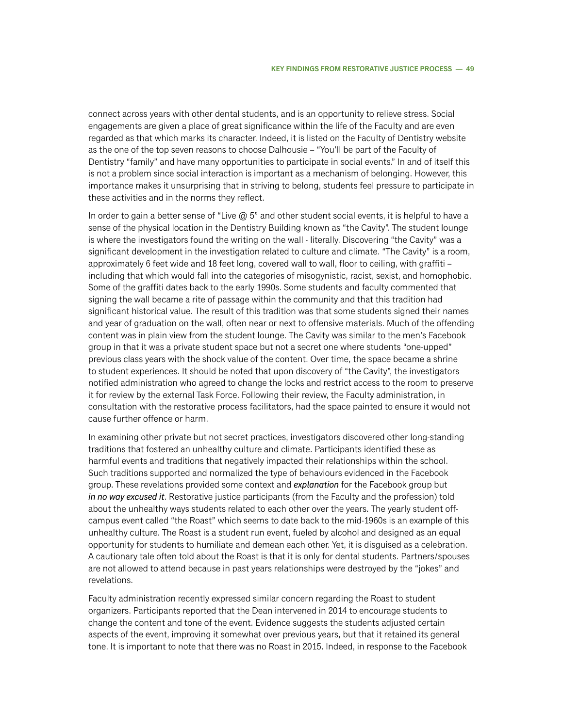connect across years with other dental students, and is an opportunity to relieve stress. Social engagements are given a place of great significance within the life of the Faculty and are even regarded as that which marks its character. Indeed, it is listed on the Faculty of Dentistry website as the one of the top seven reasons to choose Dalhousie – "You'll be part of the Faculty of Dentistry "family" and have many opportunities to participate in social events." In and of itself this is not a problem since social interaction is important as a mechanism of belonging. However, this importance makes it unsurprising that in striving to belong, students feel pressure to participate in these activities and in the norms they reflect.

In order to gain a better sense of "Live  $@$  5" and other student social events, it is helpful to have a sense of the physical location in the Dentistry Building known as "the Cavity". The student lounge is where the investigators found the writing on the wall - literally. Discovering "the Cavity" was a significant development in the investigation related to culture and climate. "The Cavity" is a room, approximately 6 feet wide and 18 feet long, covered wall to wall, floor to ceiling, with graffiti – including that which would fall into the categories of misogynistic, racist, sexist, and homophobic. Some of the graffiti dates back to the early 1990s. Some students and faculty commented that signing the wall became a rite of passage within the community and that this tradition had significant historical value. The result of this tradition was that some students signed their names and year of graduation on the wall, often near or next to offensive materials. Much of the offending content was in plain view from the student lounge. The Cavity was similar to the men's Facebook group in that it was a private student space but not a secret one where students "one-upped" previous class years with the shock value of the content. Over time, the space became a shrine to student experiences. It should be noted that upon discovery of "the Cavity", the investigators notified administration who agreed to change the locks and restrict access to the room to preserve it for review by the external Task Force. Following their review, the Faculty administration, in consultation with the restorative process facilitators, had the space painted to ensure it would not cause further offence or harm.

In examining other private but not secret practices, investigators discovered other long-standing traditions that fostered an unhealthy culture and climate. Participants identified these as harmful events and traditions that negatively impacted their relationships within the school. Such traditions supported and normalized the type of behaviours evidenced in the Facebook group. These revelations provided some context and *explanation* for the Facebook group but *in no way excused it*. Restorative justice participants (from the Faculty and the profession) told about the unhealthy ways students related to each other over the years. The yearly student offcampus event called "the Roast" which seems to date back to the mid-1960s is an example of this unhealthy culture. The Roast is a student run event, fueled by alcohol and designed as an equal opportunity for students to humiliate and demean each other. Yet, it is disguised as a celebration. A cautionary tale often told about the Roast is that it is only for dental students. Partners/spouses are not allowed to attend because in past years relationships were destroyed by the "jokes" and revelations.

Faculty administration recently expressed similar concern regarding the Roast to student organizers. Participants reported that the Dean intervened in 2014 to encourage students to change the content and tone of the event. Evidence suggests the students adjusted certain aspects of the event, improving it somewhat over previous years, but that it retained its general tone. It is important to note that there was no Roast in 2015. Indeed, in response to the Facebook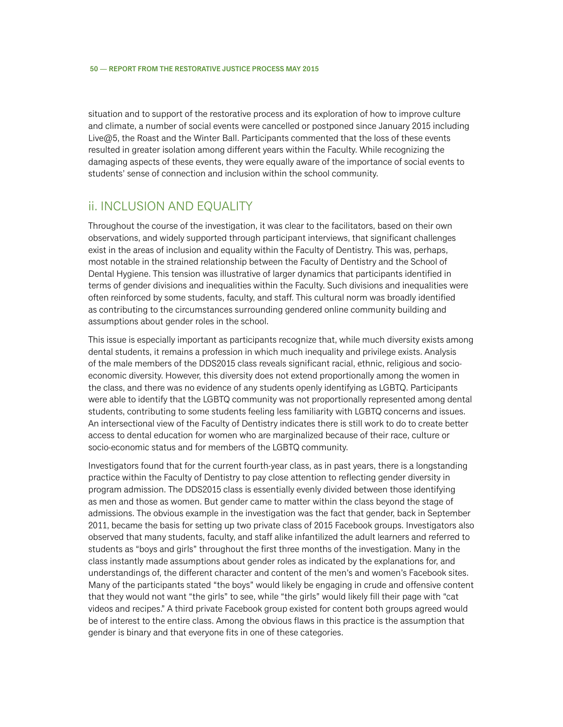situation and to support of the restorative process and its exploration of how to improve culture and climate, a number of social events were cancelled or postponed since January 2015 including Live@5, the Roast and the Winter Ball. Participants commented that the loss of these events resulted in greater isolation among different years within the Faculty. While recognizing the damaging aspects of these events, they were equally aware of the importance of social events to students' sense of connection and inclusion within the school community.

## ii. Inclusion and Equality

Throughout the course of the investigation, it was clear to the facilitators, based on their own observations, and widely supported through participant interviews, that significant challenges exist in the areas of inclusion and equality within the Faculty of Dentistry. This was, perhaps, most notable in the strained relationship between the Faculty of Dentistry and the School of Dental Hygiene. This tension was illustrative of larger dynamics that participants identified in terms of gender divisions and inequalities within the Faculty. Such divisions and inequalities were often reinforced by some students, faculty, and staff. This cultural norm was broadly identified as contributing to the circumstances surrounding gendered online community building and assumptions about gender roles in the school.

This issue is especially important as participants recognize that, while much diversity exists among dental students, it remains a profession in which much inequality and privilege exists. Analysis of the male members of the DDS2015 class reveals significant racial, ethnic, religious and socioeconomic diversity. However, this diversity does not extend proportionally among the women in the class, and there was no evidence of any students openly identifying as LGBTQ. Participants were able to identify that the LGBTQ community was not proportionally represented among dental students, contributing to some students feeling less familiarity with LGBTQ concerns and issues. An intersectional view of the Faculty of Dentistry indicates there is still work to do to create better access to dental education for women who are marginalized because of their race, culture or socio-economic status and for members of the LGBTQ community.

Investigators found that for the current fourth-year class, as in past years, there is a longstanding practice within the Faculty of Dentistry to pay close attention to reflecting gender diversity in program admission. The DDS2015 class is essentially evenly divided between those identifying as men and those as women. But gender came to matter within the class beyond the stage of admissions. The obvious example in the investigation was the fact that gender, back in September 2011, became the basis for setting up two private class of 2015 Facebook groups. Investigators also observed that many students, faculty, and staff alike infantilized the adult learners and referred to students as "boys and girls" throughout the first three months of the investigation. Many in the class instantly made assumptions about gender roles as indicated by the explanations for, and understandings of, the different character and content of the men's and women's Facebook sites. Many of the participants stated "the boys" would likely be engaging in crude and offensive content that they would not want "the girls" to see, while "the girls" would likely fill their page with "cat videos and recipes." A third private Facebook group existed for content both groups agreed would be of interest to the entire class. Among the obvious flaws in this practice is the assumption that gender is binary and that everyone fits in one of these categories.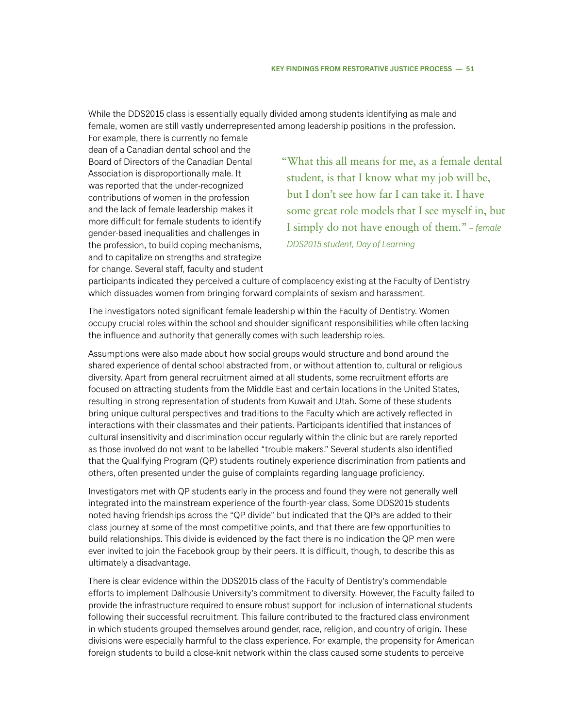While the DDS2015 class is essentially equally divided among students identifying as male and female, women are still vastly underrepresented among leadership positions in the profession.

For example, there is currently no female dean of a Canadian dental school and the Board of Directors of the Canadian Dental Association is disproportionally male. It was reported that the under-recognized contributions of women in the profession and the lack of female leadership makes it more difficult for female students to identify gender-based inequalities and challenges in the profession, to build coping mechanisms, and to capitalize on strengths and strategize for change. Several staff, faculty and student

"What this all means for me, as a female dental student, is that I know what my job will be, but I don't see how far I can take it. I have some great role models that I see myself in, but I simply do not have enough of them." *– female DDS2015 student, Day of Learning*

participants indicated they perceived a culture of complacency existing at the Faculty of Dentistry which dissuades women from bringing forward complaints of sexism and harassment.

The investigators noted significant female leadership within the Faculty of Dentistry. Women occupy crucial roles within the school and shoulder significant responsibilities while often lacking the influence and authority that generally comes with such leadership roles.

Assumptions were also made about how social groups would structure and bond around the shared experience of dental school abstracted from, or without attention to, cultural or religious diversity. Apart from general recruitment aimed at all students, some recruitment efforts are focused on attracting students from the Middle East and certain locations in the United States, resulting in strong representation of students from Kuwait and Utah. Some of these students bring unique cultural perspectives and traditions to the Faculty which are actively reflected in interactions with their classmates and their patients. Participants identified that instances of cultural insensitivity and discrimination occur regularly within the clinic but are rarely reported as those involved do not want to be labelled "trouble makers." Several students also identified that the Qualifying Program (QP) students routinely experience discrimination from patients and others, often presented under the guise of complaints regarding language proficiency.

Investigators met with QP students early in the process and found they were not generally well integrated into the mainstream experience of the fourth-year class. Some DDS2015 students noted having friendships across the "QP divide" but indicated that the QPs are added to their class journey at some of the most competitive points, and that there are few opportunities to build relationships. This divide is evidenced by the fact there is no indication the QP men were ever invited to join the Facebook group by their peers. It is difficult, though, to describe this as ultimately a disadvantage.

There is clear evidence within the DDS2015 class of the Faculty of Dentistry's commendable efforts to implement Dalhousie University's commitment to diversity. However, the Faculty failed to provide the infrastructure required to ensure robust support for inclusion of international students following their successful recruitment. This failure contributed to the fractured class environment in which students grouped themselves around gender, race, religion, and country of origin. These divisions were especially harmful to the class experience. For example, the propensity for American foreign students to build a close-knit network within the class caused some students to perceive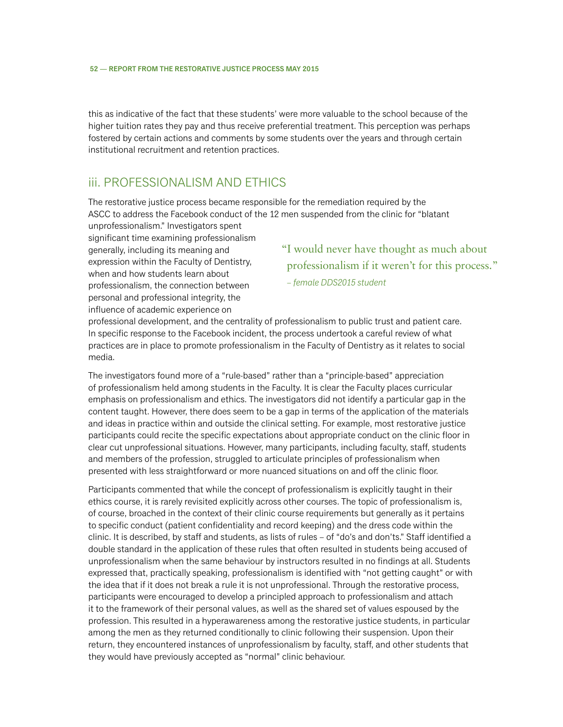this as indicative of the fact that these students' were more valuable to the school because of the higher tuition rates they pay and thus receive preferential treatment. This perception was perhaps fostered by certain actions and comments by some students over the years and through certain institutional recruitment and retention practices.

## iii. Professionalism and Ethics

The restorative justice process became responsible for the remediation required by the ASCC to address the Facebook conduct of the 12 men suspended from the clinic for "blatant

unprofessionalism." Investigators spent significant time examining professionalism generally, including its meaning and expression within the Faculty of Dentistry, when and how students learn about professionalism, the connection between personal and professional integrity, the influence of academic experience on

"I would never have thought as much about professionalism if it weren't for this process."

*– female DDS2015 student*

professional development, and the centrality of professionalism to public trust and patient care. In specific response to the Facebook incident, the process undertook a careful review of what practices are in place to promote professionalism in the Faculty of Dentistry as it relates to social media.

The investigators found more of a "rule-based" rather than a "principle-based" appreciation of professionalism held among students in the Faculty. It is clear the Faculty places curricular emphasis on professionalism and ethics. The investigators did not identify a particular gap in the content taught. However, there does seem to be a gap in terms of the application of the materials and ideas in practice within and outside the clinical setting. For example, most restorative justice participants could recite the specific expectations about appropriate conduct on the clinic floor in clear cut unprofessional situations. However, many participants, including faculty, staff, students and members of the profession, struggled to articulate principles of professionalism when presented with less straightforward or more nuanced situations on and off the clinic floor.

Participants commented that while the concept of professionalism is explicitly taught in their ethics course, it is rarely revisited explicitly across other courses. The topic of professionalism is, of course, broached in the context of their clinic course requirements but generally as it pertains to specific conduct (patient confidentiality and record keeping) and the dress code within the clinic. It is described, by staff and students, as lists of rules – of "do's and don'ts." Staff identified a double standard in the application of these rules that often resulted in students being accused of unprofessionalism when the same behaviour by instructors resulted in no findings at all. Students expressed that, practically speaking, professionalism is identified with "not getting caught" or with the idea that if it does not break a rule it is not unprofessional. Through the restorative process, participants were encouraged to develop a principled approach to professionalism and attach it to the framework of their personal values, as well as the shared set of values espoused by the profession. This resulted in a hyperawareness among the restorative justice students, in particular among the men as they returned conditionally to clinic following their suspension. Upon their return, they encountered instances of unprofessionalism by faculty, staff, and other students that they would have previously accepted as "normal" clinic behaviour.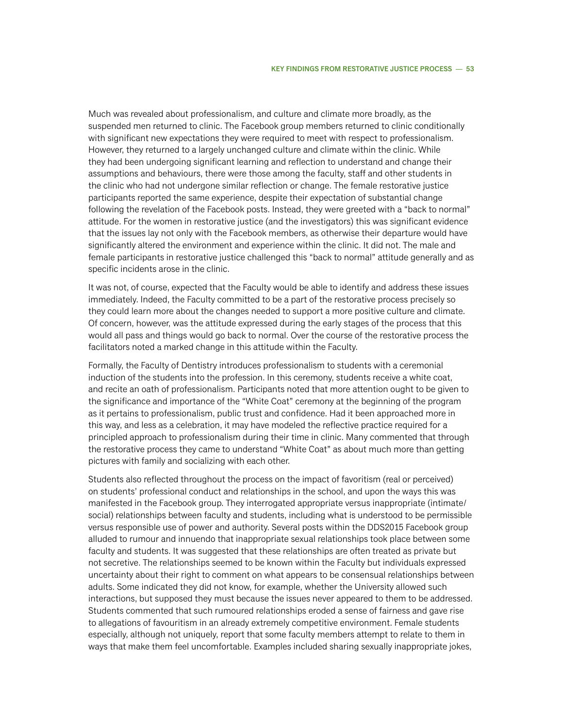Much was revealed about professionalism, and culture and climate more broadly, as the suspended men returned to clinic. The Facebook group members returned to clinic conditionally with significant new expectations they were required to meet with respect to professionalism. However, they returned to a largely unchanged culture and climate within the clinic. While they had been undergoing significant learning and reflection to understand and change their assumptions and behaviours, there were those among the faculty, staff and other students in the clinic who had not undergone similar reflection or change. The female restorative justice participants reported the same experience, despite their expectation of substantial change following the revelation of the Facebook posts. Instead, they were greeted with a "back to normal" attitude. For the women in restorative justice (and the investigators) this was significant evidence that the issues lay not only with the Facebook members, as otherwise their departure would have significantly altered the environment and experience within the clinic. It did not. The male and female participants in restorative justice challenged this "back to normal" attitude generally and as specific incidents arose in the clinic.

It was not, of course, expected that the Faculty would be able to identify and address these issues immediately. Indeed, the Faculty committed to be a part of the restorative process precisely so they could learn more about the changes needed to support a more positive culture and climate. Of concern, however, was the attitude expressed during the early stages of the process that this would all pass and things would go back to normal. Over the course of the restorative process the facilitators noted a marked change in this attitude within the Faculty.

Formally, the Faculty of Dentistry introduces professionalism to students with a ceremonial induction of the students into the profession. In this ceremony, students receive a white coat, and recite an oath of professionalism. Participants noted that more attention ought to be given to the significance and importance of the "White Coat" ceremony at the beginning of the program as it pertains to professionalism, public trust and confidence. Had it been approached more in this way, and less as a celebration, it may have modeled the reflective practice required for a principled approach to professionalism during their time in clinic. Many commented that through the restorative process they came to understand "White Coat" as about much more than getting pictures with family and socializing with each other.

Students also reflected throughout the process on the impact of favoritism (real or perceived) on students' professional conduct and relationships in the school, and upon the ways this was manifested in the Facebook group. They interrogated appropriate versus inappropriate (intimate/ social) relationships between faculty and students, including what is understood to be permissible versus responsible use of power and authority. Several posts within the DDS2015 Facebook group alluded to rumour and innuendo that inappropriate sexual relationships took place between some faculty and students. It was suggested that these relationships are often treated as private but not secretive. The relationships seemed to be known within the Faculty but individuals expressed uncertainty about their right to comment on what appears to be consensual relationships between adults. Some indicated they did not know, for example, whether the University allowed such interactions, but supposed they must because the issues never appeared to them to be addressed. Students commented that such rumoured relationships eroded a sense of fairness and gave rise to allegations of favouritism in an already extremely competitive environment. Female students especially, although not uniquely, report that some faculty members attempt to relate to them in ways that make them feel uncomfortable. Examples included sharing sexually inappropriate jokes,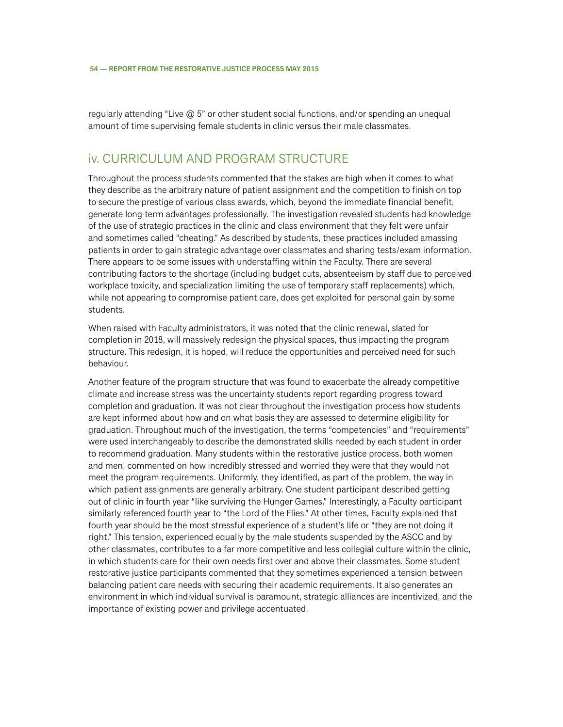regularly attending "Live  $\omega$  5" or other student social functions, and/or spending an unequal amount of time supervising female students in clinic versus their male classmates.

## iv. Curriculum and Program Structure

Throughout the process students commented that the stakes are high when it comes to what they describe as the arbitrary nature of patient assignment and the competition to finish on top to secure the prestige of various class awards, which, beyond the immediate financial benefit, generate long-term advantages professionally. The investigation revealed students had knowledge of the use of strategic practices in the clinic and class environment that they felt were unfair and sometimes called "cheating." As described by students, these practices included amassing patients in order to gain strategic advantage over classmates and sharing tests/exam information. There appears to be some issues with understaffing within the Faculty. There are several contributing factors to the shortage (including budget cuts, absenteeism by staff due to perceived workplace toxicity, and specialization limiting the use of temporary staff replacements) which, while not appearing to compromise patient care, does get exploited for personal gain by some students.

When raised with Faculty administrators, it was noted that the clinic renewal, slated for completion in 2018, will massively redesign the physical spaces, thus impacting the program structure. This redesign, it is hoped, will reduce the opportunities and perceived need for such behaviour.

Another feature of the program structure that was found to exacerbate the already competitive climate and increase stress was the uncertainty students report regarding progress toward completion and graduation. It was not clear throughout the investigation process how students are kept informed about how and on what basis they are assessed to determine eligibility for graduation. Throughout much of the investigation, the terms "competencies" and "requirements" were used interchangeably to describe the demonstrated skills needed by each student in order to recommend graduation. Many students within the restorative justice process, both women and men, commented on how incredibly stressed and worried they were that they would not meet the program requirements. Uniformly, they identified, as part of the problem, the way in which patient assignments are generally arbitrary. One student participant described getting out of clinic in fourth year "like surviving the Hunger Games." Interestingly, a Faculty participant similarly referenced fourth year to "the Lord of the Flies." At other times, Faculty explained that fourth year should be the most stressful experience of a student's life or "they are not doing it right." This tension, experienced equally by the male students suspended by the ASCC and by other classmates, contributes to a far more competitive and less collegial culture within the clinic, in which students care for their own needs first over and above their classmates. Some student restorative justice participants commented that they sometimes experienced a tension between balancing patient care needs with securing their academic requirements. It also generates an environment in which individual survival is paramount, strategic alliances are incentivized, and the importance of existing power and privilege accentuated.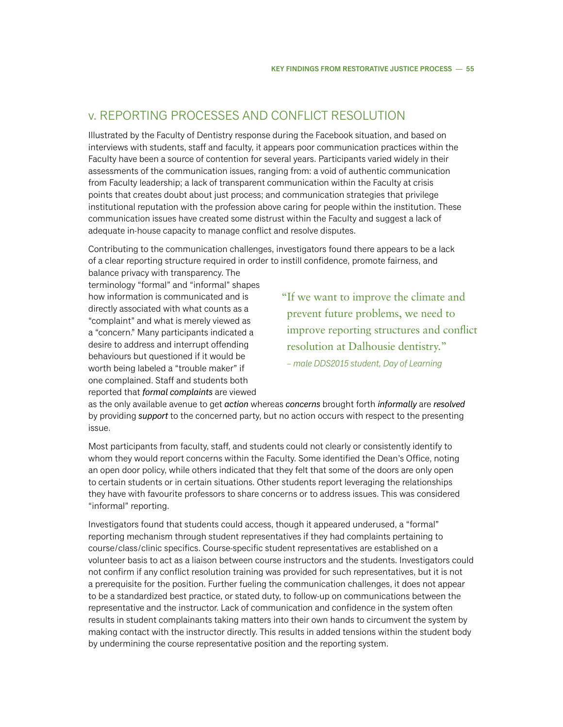## v. Reporting processes and Conflict Resolution

Illustrated by the Faculty of Dentistry response during the Facebook situation, and based on interviews with students, staff and faculty, it appears poor communication practices within the Faculty have been a source of contention for several years. Participants varied widely in their assessments of the communication issues, ranging from: a void of authentic communication from Faculty leadership; a lack of transparent communication within the Faculty at crisis points that creates doubt about just process; and communication strategies that privilege institutional reputation with the profession above caring for people within the institution. These communication issues have created some distrust within the Faculty and suggest a lack of adequate in-house capacity to manage conflict and resolve disputes.

Contributing to the communication challenges, investigators found there appears to be a lack of a clear reporting structure required in order to instill confidence, promote fairness, and

balance privacy with transparency. The terminology "formal" and "informal" shapes how information is communicated and is directly associated with what counts as a "complaint" and what is merely viewed as a "concern." Many participants indicated a desire to address and interrupt offending behaviours but questioned if it would be worth being labeled a "trouble maker" if one complained. Staff and students both reported that *formal complaints* are viewed

"If we want to improve the climate and prevent future problems, we need to improve reporting structures and conflict resolution at Dalhousie dentistry." *– male DDS2015 student, Day of Learning*

as the only available avenue to get *action* whereas *concerns* brought forth *informally* are *resolved* by providing *support* to the concerned party, but no action occurs with respect to the presenting issue.

Most participants from faculty, staff, and students could not clearly or consistently identify to whom they would report concerns within the Faculty. Some identified the Dean's Office, noting an open door policy, while others indicated that they felt that some of the doors are only open to certain students or in certain situations. Other students report leveraging the relationships they have with favourite professors to share concerns or to address issues. This was considered "informal" reporting.

Investigators found that students could access, though it appeared underused, a "formal" reporting mechanism through student representatives if they had complaints pertaining to course/class/clinic specifics. Course-specific student representatives are established on a volunteer basis to act as a liaison between course instructors and the students. Investigators could not confirm if any conflict resolution training was provided for such representatives, but it is not a prerequisite for the position. Further fueling the communication challenges, it does not appear to be a standardized best practice, or stated duty, to follow-up on communications between the representative and the instructor. Lack of communication and confidence in the system often results in student complainants taking matters into their own hands to circumvent the system by making contact with the instructor directly. This results in added tensions within the student body by undermining the course representative position and the reporting system.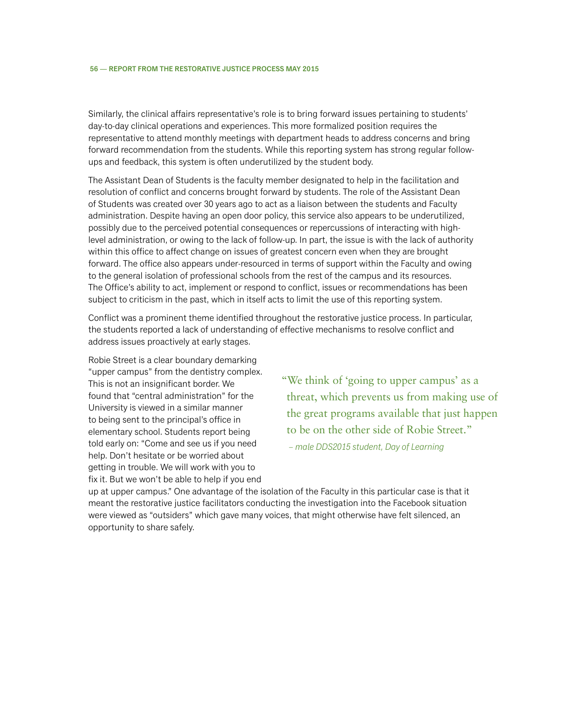Similarly, the clinical affairs representative's role is to bring forward issues pertaining to students' day-to-day clinical operations and experiences. This more formalized position requires the representative to attend monthly meetings with department heads to address concerns and bring forward recommendation from the students. While this reporting system has strong regular followups and feedback, this system is often underutilized by the student body.

The Assistant Dean of Students is the faculty member designated to help in the facilitation and resolution of conflict and concerns brought forward by students. The role of the Assistant Dean of Students was created over 30 years ago to act as a liaison between the students and Faculty administration. Despite having an open door policy, this service also appears to be underutilized, possibly due to the perceived potential consequences or repercussions of interacting with highlevel administration, or owing to the lack of follow-up. In part, the issue is with the lack of authority within this office to affect change on issues of greatest concern even when they are brought forward. The office also appears under-resourced in terms of support within the Faculty and owing to the general isolation of professional schools from the rest of the campus and its resources. The Office's ability to act, implement or respond to conflict, issues or recommendations has been subject to criticism in the past, which in itself acts to limit the use of this reporting system.

Conflict was a prominent theme identified throughout the restorative justice process. In particular, the students reported a lack of understanding of effective mechanisms to resolve conflict and address issues proactively at early stages.

Robie Street is a clear boundary demarking "upper campus" from the dentistry complex. This is not an insignificant border. We found that "central administration" for the University is viewed in a similar manner to being sent to the principal's office in elementary school. Students report being told early on: "Come and see us if you need help. Don't hesitate or be worried about getting in trouble. We will work with you to fix it. But we won't be able to help if you end

"We think of 'going to upper campus' as a threat, which prevents us from making use of the great programs available that just happen to be on the other side of Robie Street."  *– male DDS2015 student, Day of Learning*

up at upper campus." One advantage of the isolation of the Faculty in this particular case is that it meant the restorative justice facilitators conducting the investigation into the Facebook situation were viewed as "outsiders" which gave many voices, that might otherwise have felt silenced, an opportunity to share safely.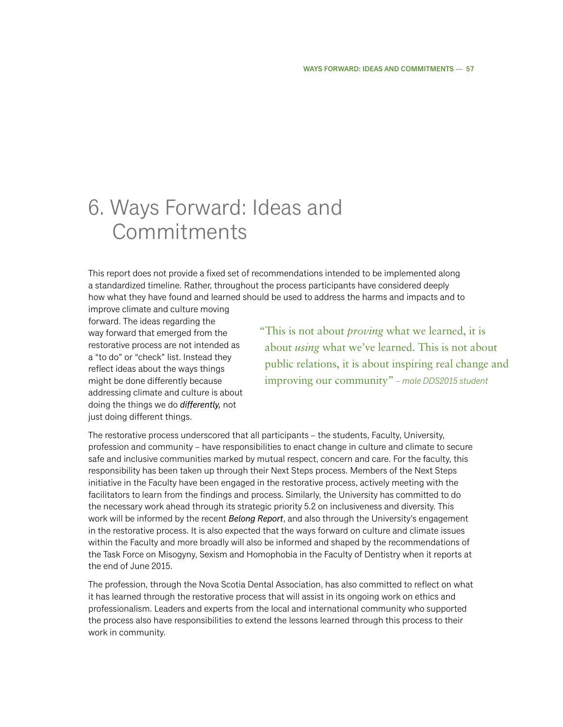# 6. Ways Forward: Ideas and **Commitments**

This report does not provide a fixed set of recommendations intended to be implemented along a standardized timeline. Rather, throughout the process participants have considered deeply how what they have found and learned should be used to address the harms and impacts and to

improve climate and culture moving forward. The ideas regarding the way forward that emerged from the restorative process are not intended as a "to do" or "check" list. Instead they reflect ideas about the ways things might be done differently because addressing climate and culture is about doing the things we do *differently,* not just doing different things.

"This is not about *proving* what we learned, it is about *using* what we've learned. This is not about public relations, it is about inspiring real change and improving our community" *– male DDS2015 student*

The restorative process underscored that all participants – the students, Faculty, University, profession and community – have responsibilities to enact change in culture and climate to secure safe and inclusive communities marked by mutual respect, concern and care. For the faculty, this responsibility has been taken up through their Next Steps process. Members of the Next Steps initiative in the Faculty have been engaged in the restorative process, actively meeting with the facilitators to learn from the findings and process. Similarly, the University has committed to do the necessary work ahead through its strategic priority 5.2 on inclusiveness and diversity. This work will be informed by the recent *Belong Report*, and also through the University's engagement in the restorative process. It is also expected that the ways forward on culture and climate issues within the Faculty and more broadly will also be informed and shaped by the recommendations of the Task Force on Misogyny, Sexism and Homophobia in the Faculty of Dentistry when it reports at the end of June 2015.

The profession, through the Nova Scotia Dental Association, has also committed to reflect on what it has learned through the restorative process that will assist in its ongoing work on ethics and professionalism. Leaders and experts from the local and international community who supported the process also have responsibilities to extend the lessons learned through this process to their work in community.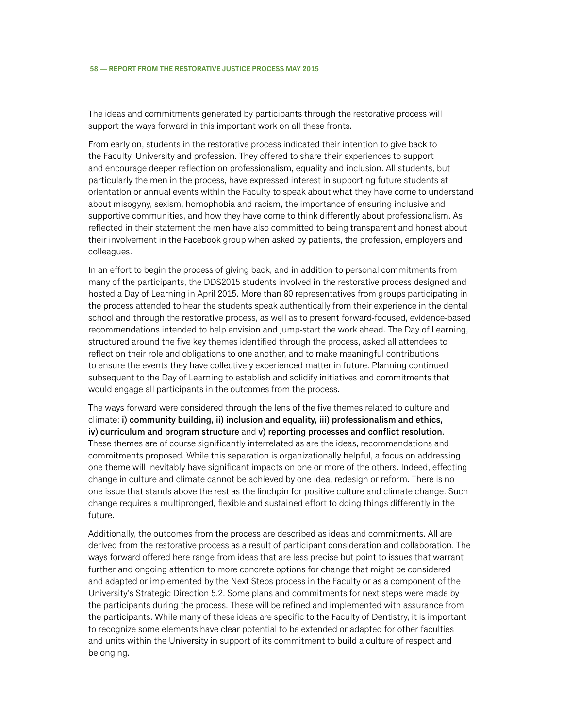The ideas and commitments generated by participants through the restorative process will support the ways forward in this important work on all these fronts.

From early on, students in the restorative process indicated their intention to give back to the Faculty, University and profession. They offered to share their experiences to support and encourage deeper reflection on professionalism, equality and inclusion. All students, but particularly the men in the process, have expressed interest in supporting future students at orientation or annual events within the Faculty to speak about what they have come to understand about misogyny, sexism, homophobia and racism, the importance of ensuring inclusive and supportive communities, and how they have come to think differently about professionalism. As reflected in their statement the men have also committed to being transparent and honest about their involvement in the Facebook group when asked by patients, the profession, employers and colleagues.

In an effort to begin the process of giving back, and in addition to personal commitments from many of the participants, the DDS2015 students involved in the restorative process designed and hosted a Day of Learning in April 2015. More than 80 representatives from groups participating in the process attended to hear the students speak authentically from their experience in the dental school and through the restorative process, as well as to present forward-focused, evidence-based recommendations intended to help envision and jump-start the work ahead. The Day of Learning, structured around the five key themes identified through the process, asked all attendees to reflect on their role and obligations to one another, and to make meaningful contributions to ensure the events they have collectively experienced matter in future. Planning continued subsequent to the Day of Learning to establish and solidify initiatives and commitments that would engage all participants in the outcomes from the process.

The ways forward were considered through the lens of the five themes related to culture and climate: i) community building, ii) inclusion and equality, iii) professionalism and ethics, iv) curriculum and program structure and v) reporting processes and conflict resolution. These themes are of course significantly interrelated as are the ideas, recommendations and commitments proposed. While this separation is organizationally helpful, a focus on addressing one theme will inevitably have significant impacts on one or more of the others. Indeed, effecting change in culture and climate cannot be achieved by one idea, redesign or reform. There is no one issue that stands above the rest as the linchpin for positive culture and climate change. Such change requires a multipronged, flexible and sustained effort to doing things differently in the future.

Additionally, the outcomes from the process are described as ideas and commitments. All are derived from the restorative process as a result of participant consideration and collaboration. The ways forward offered here range from ideas that are less precise but point to issues that warrant further and ongoing attention to more concrete options for change that might be considered and adapted or implemented by the Next Steps process in the Faculty or as a component of the University's Strategic Direction 5.2. Some plans and commitments for next steps were made by the participants during the process. These will be refined and implemented with assurance from the participants. While many of these ideas are specific to the Faculty of Dentistry, it is important to recognize some elements have clear potential to be extended or adapted for other faculties and units within the University in support of its commitment to build a culture of respect and belonging.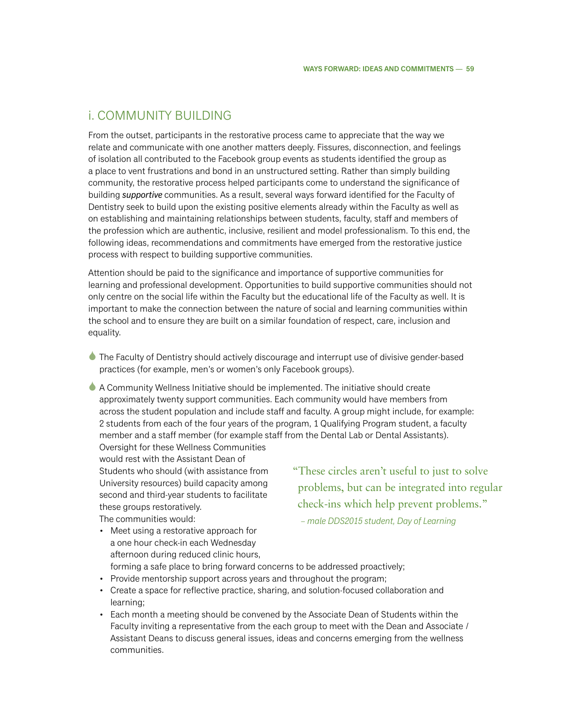# i. COMMUNITY BUILDING

From the outset, participants in the restorative process came to appreciate that the way we relate and communicate with one another matters deeply. Fissures, disconnection, and feelings of isolation all contributed to the Facebook group events as students identified the group as a place to vent frustrations and bond in an unstructured setting. Rather than simply building community, the restorative process helped participants come to understand the significance of building *supportive* communities. As a result, several ways forward identified for the Faculty of Dentistry seek to build upon the existing positive elements already within the Faculty as well as on establishing and maintaining relationships between students, faculty, staff and members of the profession which are authentic, inclusive, resilient and model professionalism. To this end, the following ideas, recommendations and commitments have emerged from the restorative justice process with respect to building supportive communities.

Attention should be paid to the significance and importance of supportive communities for learning and professional development. Opportunities to build supportive communities should not only centre on the social life within the Faculty but the educational life of the Faculty as well. It is important to make the connection between the nature of social and learning communities within the school and to ensure they are built on a similar foundation of respect, care, inclusion and equality.

- 6 The Faculty of Dentistry should actively discourage and interrupt use of divisive gender-based practices (for example, men's or women's only Facebook groups).
- 6 A Community Wellness Initiative should be implemented. The initiative should create approximately twenty support communities. Each community would have members from across the student population and include staff and faculty. A group might include, for example: 2 students from each of the four years of the program, 1 Qualifying Program student, a faculty member and a staff member (for example staff from the Dental Lab or Dental Assistants). Oversight for these Wellness Communities

would rest with the Assistant Dean of Students who should (with assistance from University resources) build capacity among second and third-year students to facilitate these groups restoratively.

The communities would:

- "These circles aren't useful to just to solve problems, but can be integrated into regular check-ins which help prevent problems." *– male DDS2015 student, Day of Learning*
- Meet using a restorative approach for a one hour check-in each Wednesday afternoon during reduced clinic hours, forming a safe place to bring forward concerns to be addressed proactively;
- Provide mentorship support across years and throughout the program;
- Create a space for reflective practice, sharing, and solution-focused collaboration and learning;
- • Each month a meeting should be convened by the Associate Dean of Students within the Faculty inviting a representative from the each group to meet with the Dean and Associate / Assistant Deans to discuss general issues, ideas and concerns emerging from the wellness communities.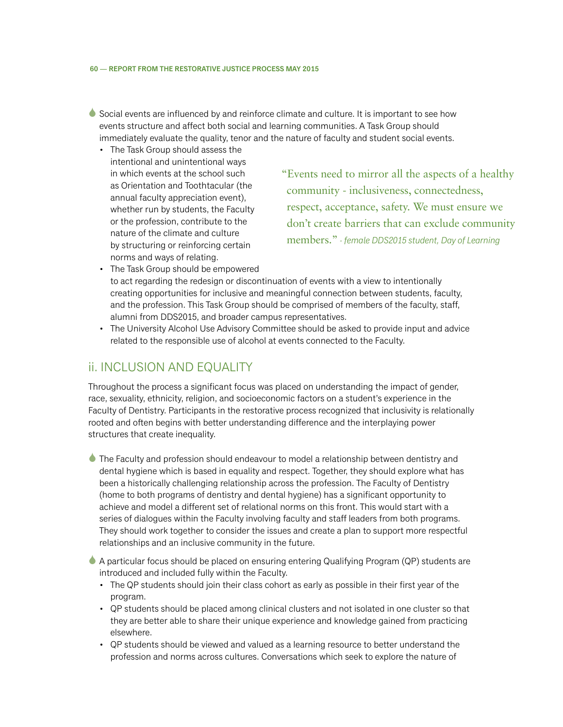- 6 Social events are influenced by and reinforce climate and culture. It is important to see how events structure and affect both social and learning communities. A Task Group should immediately evaluate the quality, tenor and the nature of faculty and student social events.
	- The Task Group should assess the intentional and unintentional ways in which events at the school such as Orientation and Toothtacular (the annual faculty appreciation event), whether run by students, the Faculty or the profession, contribute to the nature of the climate and culture by structuring or reinforcing certain norms and ways of relating.
- "Events need to mirror all the aspects of a healthy community - inclusiveness, connectedness, respect, acceptance, safety. We must ensure we don't create barriers that can exclude community members." *- female DDS2015 student, Day of Learning*
- The Task Group should be empowered to act regarding the redesign or discontinuation of events with a view to intentionally creating opportunities for inclusive and meaningful connection between students, faculty, and the profession. This Task Group should be comprised of members of the faculty, staff, alumni from DDS2015, and broader campus representatives.
- • The University Alcohol Use Advisory Committee should be asked to provide input and advice related to the responsible use of alcohol at events connected to the Faculty.

## ii. inclusion and equality

Throughout the process a significant focus was placed on understanding the impact of gender, race, sexuality, ethnicity, religion, and socioeconomic factors on a student's experience in the Faculty of Dentistry. Participants in the restorative process recognized that inclusivity is relationally rooted and often begins with better understanding difference and the interplaying power structures that create inequality.

- The Faculty and profession should endeavour to model a relationship between dentistry and dental hygiene which is based in equality and respect. Together, they should explore what has been a historically challenging relationship across the profession. The Faculty of Dentistry (home to both programs of dentistry and dental hygiene) has a significant opportunity to achieve and model a different set of relational norms on this front. This would start with a series of dialogues within the Faculty involving faculty and staff leaders from both programs. They should work together to consider the issues and create a plan to support more respectful relationships and an inclusive community in the future.
- 6 A particular focus should be placed on ensuring entering Qualifying Program (QP) students are introduced and included fully within the Faculty.
	- • The QP students should join their class cohort as early as possible in their first year of the program.
	- • QP students should be placed among clinical clusters and not isolated in one cluster so that they are better able to share their unique experience and knowledge gained from practicing elsewhere.
	- • QP students should be viewed and valued as a learning resource to better understand the profession and norms across cultures. Conversations which seek to explore the nature of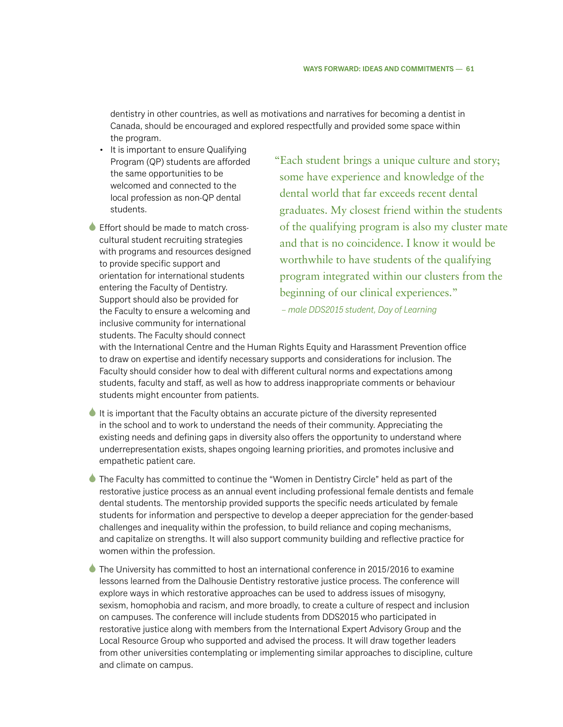dentistry in other countries, as well as motivations and narratives for becoming a dentist in Canada, should be encouraged and explored respectfully and provided some space within the program.

- It is important to ensure Qualifying Program (QP) students are afforded the same opportunities to be welcomed and connected to the local profession as non-QP dental students.
- **Effort should be made to match cross**cultural student recruiting strategies with programs and resources designed to provide specific support and orientation for international students entering the Faculty of Dentistry. Support should also be provided for the Faculty to ensure a welcoming and inclusive community for international students. The Faculty should connect
- "Each student brings a unique culture and story; some have experience and knowledge of the dental world that far exceeds recent dental graduates. My closest friend within the students of the qualifying program is also my cluster mate and that is no coincidence. I know it would be worthwhile to have students of the qualifying program integrated within our clusters from the beginning of our clinical experiences."

 *– male DDS2015 student, Day of Learning*

with the International Centre and the Human Rights Equity and Harassment Prevention office to draw on expertise and identify necessary supports and considerations for inclusion. The Faculty should consider how to deal with different cultural norms and expectations among students, faculty and staff, as well as how to address inappropriate comments or behaviour students might encounter from patients.

- It is important that the Faculty obtains an accurate picture of the diversity represented in the school and to work to understand the needs of their community. Appreciating the existing needs and defining gaps in diversity also offers the opportunity to understand where underrepresentation exists, shapes ongoing learning priorities, and promotes inclusive and empathetic patient care.
- 6 The Faculty has committed to continue the "Women in Dentistry Circle" held as part of the restorative justice process as an annual event including professional female dentists and female dental students. The mentorship provided supports the specific needs articulated by female students for information and perspective to develop a deeper appreciation for the gender-based challenges and inequality within the profession, to build reliance and coping mechanisms, and capitalize on strengths. It will also support community building and reflective practice for women within the profession.
- 6 The University has committed to host an international conference in 2015/2016 to examine lessons learned from the Dalhousie Dentistry restorative justice process. The conference will explore ways in which restorative approaches can be used to address issues of misogyny, sexism, homophobia and racism, and more broadly, to create a culture of respect and inclusion on campuses. The conference will include students from DDS2015 who participated in restorative justice along with members from the International Expert Advisory Group and the Local Resource Group who supported and advised the process. It will draw together leaders from other universities contemplating or implementing similar approaches to discipline, culture and climate on campus.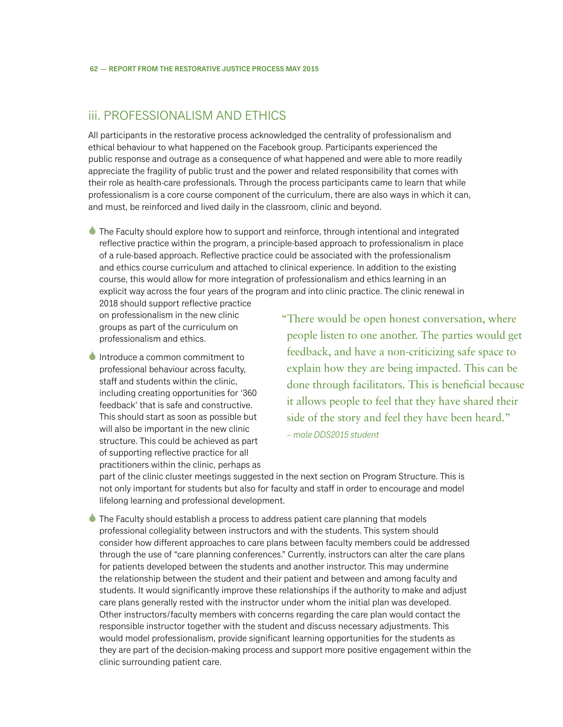## iii. Professionalism and Ethics

All participants in the restorative process acknowledged the centrality of professionalism and ethical behaviour to what happened on the Facebook group. Participants experienced the public response and outrage as a consequence of what happened and were able to more readily appreciate the fragility of public trust and the power and related responsibility that comes with their role as health-care professionals. Through the process participants came to learn that while professionalism is a core course component of the curriculum, there are also ways in which it can, and must, be reinforced and lived daily in the classroom, clinic and beyond.

The Faculty should explore how to support and reinforce, through intentional and integrated reflective practice within the program, a principle-based approach to professionalism in place of a rule-based approach. Reflective practice could be associated with the professionalism and ethics course curriculum and attached to clinical experience. In addition to the existing course, this would allow for more integration of professionalism and ethics learning in an explicit way across the four years of the program and into clinic practice. The clinic renewal in 2018 should support reflective practice

on professionalism in the new clinic groups as part of the curriculum on professionalism and ethics.

Introduce a common commitment to professional behaviour across faculty, staff and students within the clinic, including creating opportunities for '360 feedback' that is safe and constructive. This should start as soon as possible but will also be important in the new clinic structure. This could be achieved as part of supporting reflective practice for all practitioners within the clinic, perhaps as "There would be open honest conversation, where people listen to one another. The parties would get feedback, and have a non-criticizing safe space to explain how they are being impacted. This can be done through facilitators. This is beneficial because it allows people to feel that they have shared their side of the story and feel they have been heard." *– male DDS2015 student*

part of the clinic cluster meetings suggested in the next section on Program Structure. This is not only important for students but also for faculty and staff in order to encourage and model lifelong learning and professional development.

The Faculty should establish a process to address patient care planning that models professional collegiality between instructors and with the students. This system should consider how different approaches to care plans between faculty members could be addressed through the use of "care planning conferences." Currently, instructors can alter the care plans for patients developed between the students and another instructor. This may undermine the relationship between the student and their patient and between and among faculty and students. It would significantly improve these relationships if the authority to make and adjust care plans generally rested with the instructor under whom the initial plan was developed. Other instructors/faculty members with concerns regarding the care plan would contact the responsible instructor together with the student and discuss necessary adjustments. This would model professionalism, provide significant learning opportunities for the students as they are part of the decision-making process and support more positive engagement within the clinic surrounding patient care.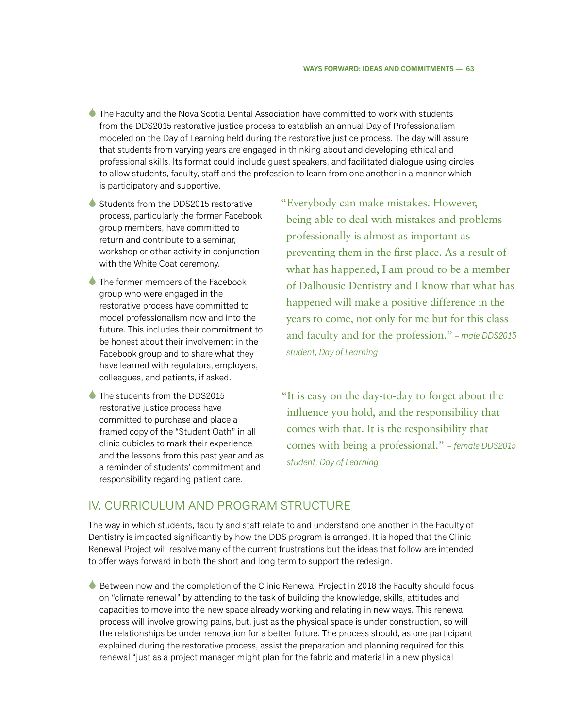- 6 The Faculty and the Nova Scotia Dental Association have committed to work with students from the DDS2015 restorative justice process to establish an annual Day of Professionalism modeled on the Day of Learning held during the restorative justice process. The day will assure that students from varying years are engaged in thinking about and developing ethical and professional skills. Its format could include guest speakers, and facilitated dialogue using circles to allow students, faculty, staff and the profession to learn from one another in a manner which is participatory and supportive.
- 6 Students from the DDS2015 restorative process, particularly the former Facebook group members, have committed to return and contribute to a seminar, workshop or other activity in conjunction with the White Coat ceremony.
- The former members of the Facebook group who were engaged in the restorative process have committed to model professionalism now and into the future. This includes their commitment to be honest about their involvement in the Facebook group and to share what they have learned with regulators, employers, colleagues, and patients, if asked.
- The students from the DDS2015 restorative justice process have committed to purchase and place a framed copy of the "Student Oath" in all clinic cubicles to mark their experience and the lessons from this past year and as a reminder of students' commitment and responsibility regarding patient care.

"Everybody can make mistakes. However, being able to deal with mistakes and problems professionally is almost as important as preventing them in the first place. As a result of what has happened, I am proud to be a member of Dalhousie Dentistry and I know that what has happened will make a positive difference in the years to come, not only for me but for this class and faculty and for the profession." *– male DDS2015 student, Day of Learning*

"It is easy on the day-to-day to forget about the influence you hold, and the responsibility that comes with that. It is the responsibility that comes with being a professional." *– female DDS2015 student, Day of Learning*

## iv. Curriculum and Program Structure

The way in which students, faculty and staff relate to and understand one another in the Faculty of Dentistry is impacted significantly by how the DDS program is arranged. It is hoped that the Clinic Renewal Project will resolve many of the current frustrations but the ideas that follow are intended to offer ways forward in both the short and long term to support the redesign.

**EXECTED BETWEEN NOW And the completion of the Clinic Renewal Project in 2018 the Faculty should focus** on "climate renewal" by attending to the task of building the knowledge, skills, attitudes and capacities to move into the new space already working and relating in new ways. This renewal process will involve growing pains, but, just as the physical space is under construction, so will the relationships be under renovation for a better future. The process should, as one participant explained during the restorative process, assist the preparation and planning required for this renewal "just as a project manager might plan for the fabric and material in a new physical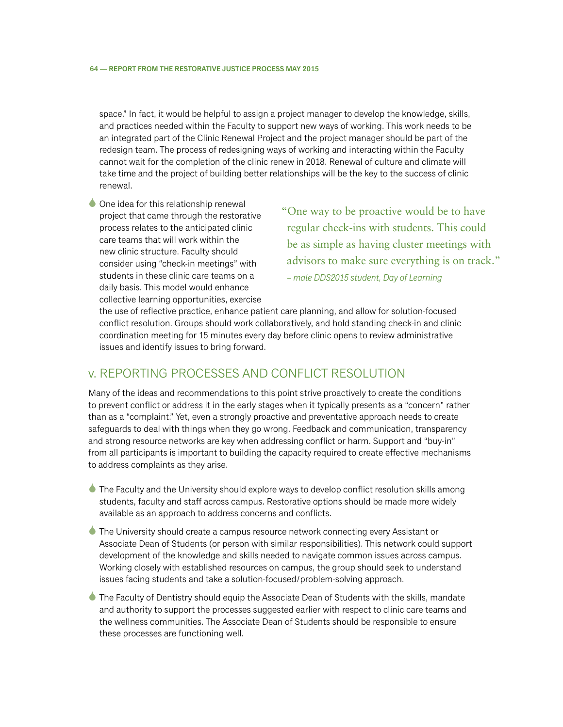space." In fact, it would be helpful to assign a project manager to develop the knowledge, skills, and practices needed within the Faculty to support new ways of working. This work needs to be an integrated part of the Clinic Renewal Project and the project manager should be part of the redesign team. The process of redesigning ways of working and interacting within the Faculty cannot wait for the completion of the clinic renew in 2018. Renewal of culture and climate will take time and the project of building better relationships will be the key to the success of clinic renewal.

**Cone idea for this relationship renewal** project that came through the restorative process relates to the anticipated clinic care teams that will work within the new clinic structure. Faculty should consider using "check-in meetings" with students in these clinic care teams on a daily basis. This model would enhance collective learning opportunities, exercise

"One way to be proactive would be to have regular check-ins with students. This could be as simple as having cluster meetings with advisors to make sure everything is on track." *– male DDS2015 student, Day of Learning*

the use of reflective practice, enhance patient care planning, and allow for solution-focused conflict resolution. Groups should work collaboratively, and hold standing check-in and clinic coordination meeting for 15 minutes every day before clinic opens to review administrative issues and identify issues to bring forward.

## v. Reporting processes and Conflict Resolution

Many of the ideas and recommendations to this point strive proactively to create the conditions to prevent conflict or address it in the early stages when it typically presents as a "concern" rather than as a "complaint." Yet, even a strongly proactive and preventative approach needs to create safeguards to deal with things when they go wrong. Feedback and communication, transparency and strong resource networks are key when addressing conflict or harm. Support and "buy-in" from all participants is important to building the capacity required to create effective mechanisms to address complaints as they arise.

- The Faculty and the University should explore ways to develop conflict resolution skills among students, faculty and staff across campus. Restorative options should be made more widely available as an approach to address concerns and conflicts.
- 6 The University should create a campus resource network connecting every Assistant or Associate Dean of Students (or person with similar responsibilities). This network could support development of the knowledge and skills needed to navigate common issues across campus. Working closely with established resources on campus, the group should seek to understand issues facing students and take a solution-focused/problem-solving approach.
- 6 The Faculty of Dentistry should equip the Associate Dean of Students with the skills, mandate and authority to support the processes suggested earlier with respect to clinic care teams and the wellness communities. The Associate Dean of Students should be responsible to ensure these processes are functioning well.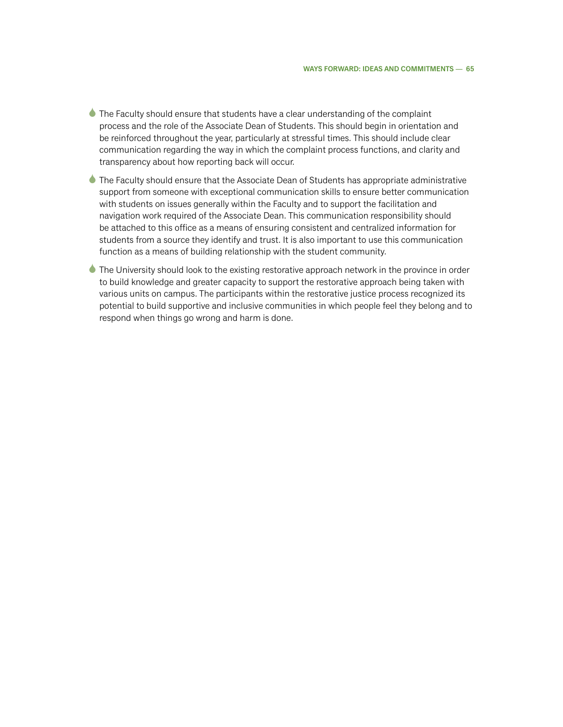- $\bullet$  The Faculty should ensure that students have a clear understanding of the complaint process and the role of the Associate Dean of Students. This should begin in orientation and be reinforced throughout the year, particularly at stressful times. This should include clear communication regarding the way in which the complaint process functions, and clarity and transparency about how reporting back will occur.
- The Faculty should ensure that the Associate Dean of Students has appropriate administrative support from someone with exceptional communication skills to ensure better communication with students on issues generally within the Faculty and to support the facilitation and navigation work required of the Associate Dean. This communication responsibility should be attached to this office as a means of ensuring consistent and centralized information for students from a source they identify and trust. It is also important to use this communication function as a means of building relationship with the student community.
- The University should look to the existing restorative approach network in the province in order to build knowledge and greater capacity to support the restorative approach being taken with various units on campus. The participants within the restorative justice process recognized its potential to build supportive and inclusive communities in which people feel they belong and to respond when things go wrong and harm is done.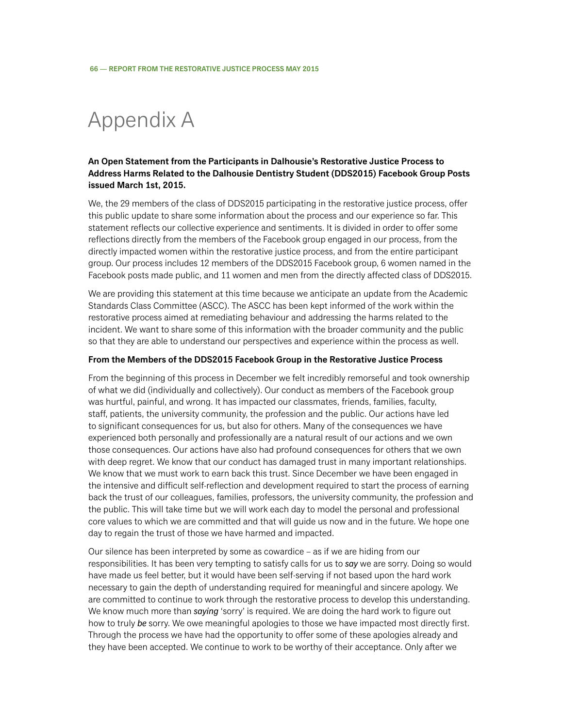# Appendix A

### **An Open Statement from the Participants in Dalhousie's Restorative Justice Process to Address Harms Related to the Dalhousie Dentistry Student (DDS2015) Facebook Group Posts issued March 1st, 2015.**

We, the 29 members of the class of DDS2015 participating in the restorative justice process, offer this public update to share some information about the process and our experience so far. This statement reflects our collective experience and sentiments. It is divided in order to offer some reflections directly from the members of the Facebook group engaged in our process, from the directly impacted women within the restorative justice process, and from the entire participant group. Our process includes 12 members of the DDS2015 Facebook group, 6 women named in the Facebook posts made public, and 11 women and men from the directly affected class of DDS2015.

We are providing this statement at this time because we anticipate an update from the Academic Standards Class Committee (ASCC). The ASCC has been kept informed of the work within the restorative process aimed at remediating behaviour and addressing the harms related to the incident. We want to share some of this information with the broader community and the public so that they are able to understand our perspectives and experience within the process as well.

#### **From the Members of the DDS2015 Facebook Group in the Restorative Justice Process**

From the beginning of this process in December we felt incredibly remorseful and took ownership of what we did (individually and collectively). Our conduct as members of the Facebook group was hurtful, painful, and wrong. It has impacted our classmates, friends, families, faculty, staff, patients, the university community, the profession and the public. Our actions have led to significant consequences for us, but also for others. Many of the consequences we have experienced both personally and professionally are a natural result of our actions and we own those consequences. Our actions have also had profound consequences for others that we own with deep regret. We know that our conduct has damaged trust in many important relationships. We know that we must work to earn back this trust. Since December we have been engaged in the intensive and difficult self-reflection and development required to start the process of earning back the trust of our colleagues, families, professors, the university community, the profession and the public. This will take time but we will work each day to model the personal and professional core values to which we are committed and that will guide us now and in the future. We hope one day to regain the trust of those we have harmed and impacted.

Our silence has been interpreted by some as cowardice – as if we are hiding from our responsibilities. It has been very tempting to satisfy calls for us to *say* we are sorry. Doing so would have made us feel better, but it would have been self-serving if not based upon the hard work necessary to gain the depth of understanding required for meaningful and sincere apology. We are committed to continue to work through the restorative process to develop this understanding. We know much more than *saying* 'sorry' is required. We are doing the hard work to figure out how to truly *be* sorry. We owe meaningful apologies to those we have impacted most directly first. Through the process we have had the opportunity to offer some of these apologies already and they have been accepted. We continue to work to be worthy of their acceptance. Only after we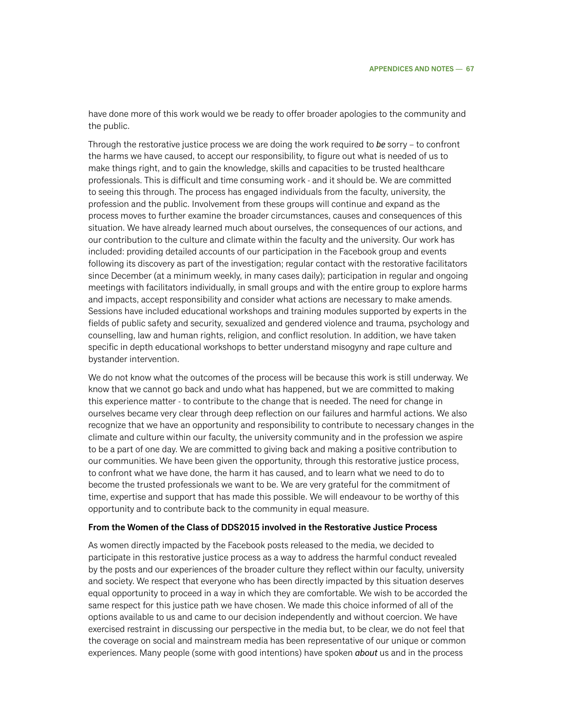have done more of this work would we be ready to offer broader apologies to the community and the public.

Through the restorative justice process we are doing the work required to *be* sorry – to confront the harms we have caused, to accept our responsibility, to figure out what is needed of us to make things right, and to gain the knowledge, skills and capacities to be trusted healthcare professionals. This is difficult and time consuming work - and it should be. We are committed to seeing this through. The process has engaged individuals from the faculty, university, the profession and the public. Involvement from these groups will continue and expand as the process moves to further examine the broader circumstances, causes and consequences of this situation. We have already learned much about ourselves, the consequences of our actions, and our contribution to the culture and climate within the faculty and the university. Our work has included: providing detailed accounts of our participation in the Facebook group and events following its discovery as part of the investigation; regular contact with the restorative facilitators since December (at a minimum weekly, in many cases daily); participation in regular and ongoing meetings with facilitators individually, in small groups and with the entire group to explore harms and impacts, accept responsibility and consider what actions are necessary to make amends. Sessions have included educational workshops and training modules supported by experts in the fields of public safety and security, sexualized and gendered violence and trauma, psychology and counselling, law and human rights, religion, and conflict resolution. In addition, we have taken specific in depth educational workshops to better understand misogyny and rape culture and bystander intervention.

We do not know what the outcomes of the process will be because this work is still underway. We know that we cannot go back and undo what has happened, but we are committed to making this experience matter - to contribute to the change that is needed. The need for change in ourselves became very clear through deep reflection on our failures and harmful actions. We also recognize that we have an opportunity and responsibility to contribute to necessary changes in the climate and culture within our faculty, the university community and in the profession we aspire to be a part of one day. We are committed to giving back and making a positive contribution to our communities. We have been given the opportunity, through this restorative justice process, to confront what we have done, the harm it has caused, and to learn what we need to do to become the trusted professionals we want to be. We are very grateful for the commitment of time, expertise and support that has made this possible. We will endeavour to be worthy of this opportunity and to contribute back to the community in equal measure.

#### **From the Women of the Class of DDS2015 involved in the Restorative Justice Process**

As women directly impacted by the Facebook posts released to the media, we decided to participate in this restorative justice process as a way to address the harmful conduct revealed by the posts and our experiences of the broader culture they reflect within our faculty, university and society. We respect that everyone who has been directly impacted by this situation deserves equal opportunity to proceed in a way in which they are comfortable. We wish to be accorded the same respect for this justice path we have chosen. We made this choice informed of all of the options available to us and came to our decision independently and without coercion. We have exercised restraint in discussing our perspective in the media but, to be clear, we do not feel that the coverage on social and mainstream media has been representative of our unique or common experiences. Many people (some with good intentions) have spoken *about* us and in the process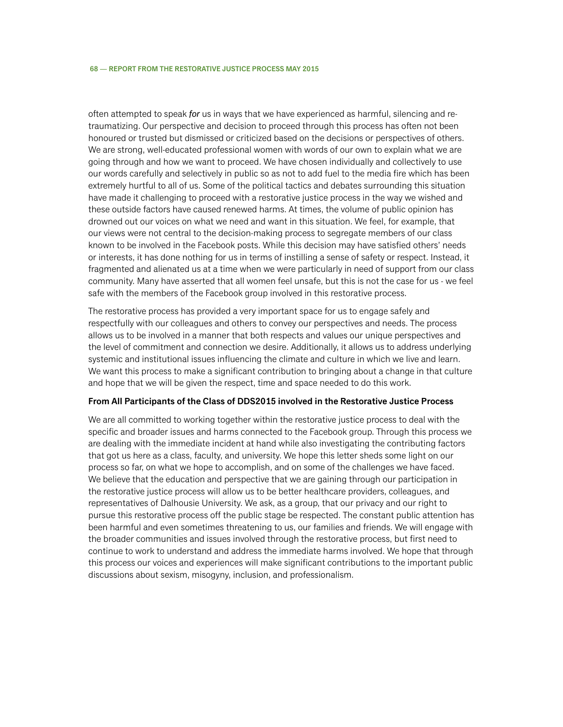often attempted to speak *for* us in ways that we have experienced as harmful, silencing and retraumatizing. Our perspective and decision to proceed through this process has often not been honoured or trusted but dismissed or criticized based on the decisions or perspectives of others. We are strong, well-educated professional women with words of our own to explain what we are going through and how we want to proceed. We have chosen individually and collectively to use our words carefully and selectively in public so as not to add fuel to the media fire which has been extremely hurtful to all of us. Some of the political tactics and debates surrounding this situation have made it challenging to proceed with a restorative justice process in the way we wished and these outside factors have caused renewed harms. At times, the volume of public opinion has drowned out our voices on what we need and want in this situation. We feel, for example, that our views were not central to the decision-making process to segregate members of our class known to be involved in the Facebook posts. While this decision may have satisfied others' needs or interests, it has done nothing for us in terms of instilling a sense of safety or respect. Instead, it fragmented and alienated us at a time when we were particularly in need of support from our class community. Many have asserted that all women feel unsafe, but this is not the case for us - we feel safe with the members of the Facebook group involved in this restorative process.

The restorative process has provided a very important space for us to engage safely and respectfully with our colleagues and others to convey our perspectives and needs. The process allows us to be involved in a manner that both respects and values our unique perspectives and the level of commitment and connection we desire. Additionally, it allows us to address underlying systemic and institutional issues influencing the climate and culture in which we live and learn. We want this process to make a significant contribution to bringing about a change in that culture and hope that we will be given the respect, time and space needed to do this work.

#### **From All Participants of the Class of DDS2015 involved in the Restorative Justice Process**

We are all committed to working together within the restorative justice process to deal with the specific and broader issues and harms connected to the Facebook group. Through this process we are dealing with the immediate incident at hand while also investigating the contributing factors that got us here as a class, faculty, and university. We hope this letter sheds some light on our process so far, on what we hope to accomplish, and on some of the challenges we have faced. We believe that the education and perspective that we are gaining through our participation in the restorative justice process will allow us to be better healthcare providers, colleagues, and representatives of Dalhousie University. We ask, as a group, that our privacy and our right to pursue this restorative process off the public stage be respected. The constant public attention has been harmful and even sometimes threatening to us, our families and friends. We will engage with the broader communities and issues involved through the restorative process, but first need to continue to work to understand and address the immediate harms involved. We hope that through this process our voices and experiences will make significant contributions to the important public discussions about sexism, misogyny, inclusion, and professionalism.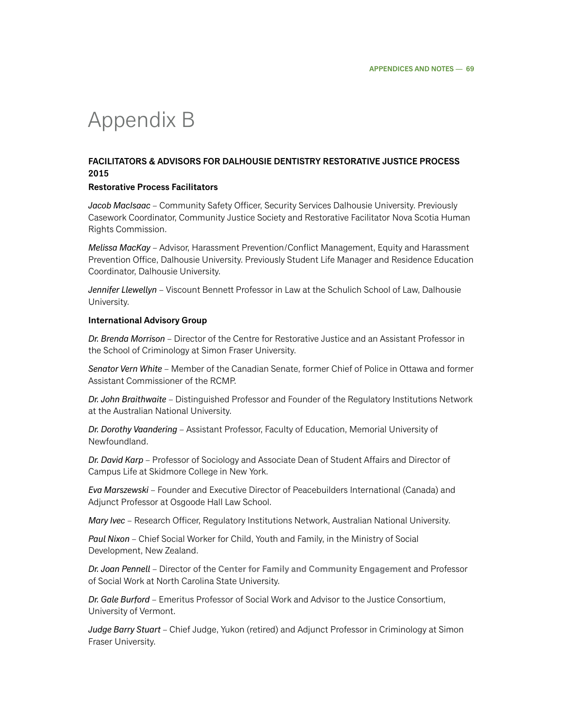# Appendix B

## **Facilitators & Advisors for Dalhousie Dentistry Restorative Justice Process 2015**

### **Restorative Process Facilitators**

*Jacob MacIsaac* – Community Safety Officer, Security Services Dalhousie University. Previously Casework Coordinator, Community Justice Society and Restorative Facilitator Nova Scotia Human Rights Commission.

*Melissa MacKay* – Advisor, Harassment Prevention/Conflict Management, Equity and Harassment Prevention Office, Dalhousie University. Previously Student Life Manager and Residence Education Coordinator, Dalhousie University.

*Jennifer Llewellyn* – Viscount Bennett Professor in Law at the Schulich School of Law, Dalhousie University.

### **International Advisory Group**

*Dr. Brenda Morrison* – Director of the Centre for Restorative Justice and an Assistant Professor in the School of Criminology at Simon Fraser University.

*Senator Vern White* – Member of the Canadian Senate, former Chief of Police in Ottawa and former Assistant Commissioner of the RCMP.

*Dr. John Braithwaite* – Distinguished Professor and Founder of the Regulatory Institutions Network at the Australian National University.

*Dr. Dorothy Vaandering* – Assistant Professor, Faculty of Education, Memorial University of Newfoundland.

*Dr. David Karp* – Professor of Sociology and Associate Dean of Student Affairs and Director of Campus Life at Skidmore College in New York.

*Eva Marszewski* – Founder and Executive Director of Peacebuilders International (Canada) and Adjunct Professor at Osgoode Hall Law School.

*Mary Ivec* – Research Officer, Regulatory Institutions Network, Australian National University.

*Paul Nixon* – Chief Social Worker for Child, Youth and Family, in the Ministry of Social Development, New Zealand.

*Dr. Joan Pennell* – Director of the **[Center for Family and Community Engagement](http://www.cfface.org/)** and Professor of Social Work at North Carolina State University.

*Dr. Gale Burford* – Emeritus Professor of Social Work and Advisor to the Justice Consortium, University of Vermont.

*Judge Barry Stuart* – Chief Judge, Yukon (retired) and Adjunct Professor in Criminology at Simon Fraser University.